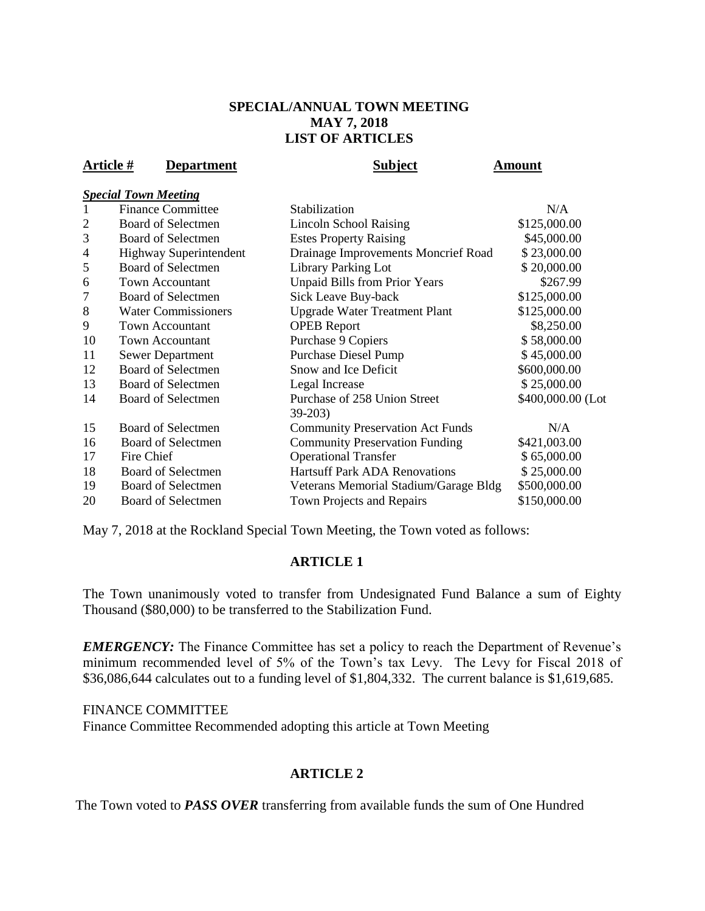## **SPECIAL/ANNUAL TOWN MEETING MAY 7, 2018 LIST OF ARTICLES**

**Article # Department Subject Amount** 

|                |                             |                                          | <b>AAAAV</b> WAAS |
|----------------|-----------------------------|------------------------------------------|-------------------|
|                | <b>Special Town Meeting</b> |                                          |                   |
| 1              | <b>Finance Committee</b>    | Stabilization                            | N/A               |
| $\overline{2}$ | <b>Board of Selectmen</b>   | <b>Lincoln School Raising</b>            | \$125,000.00      |
| 3              | <b>Board of Selectmen</b>   | <b>Estes Property Raising</b>            | \$45,000.00       |
| 4              | Highway Superintendent      | Drainage Improvements Moncrief Road      | \$23,000.00       |
| 5              | <b>Board of Selectmen</b>   | <b>Library Parking Lot</b>               | \$20,000.00       |
| 6              | <b>Town Accountant</b>      | <b>Unpaid Bills from Prior Years</b>     | \$267.99          |
| 7              | <b>Board of Selectmen</b>   | Sick Leave Buy-back                      | \$125,000.00      |
| $8\,$          | <b>Water Commissioners</b>  | <b>Upgrade Water Treatment Plant</b>     | \$125,000.00      |
| 9              | <b>Town Accountant</b>      | <b>OPEB</b> Report                       | \$8,250.00        |
| 10             | <b>Town Accountant</b>      | Purchase 9 Copiers                       | \$58,000.00       |
| 11             | <b>Sewer Department</b>     | <b>Purchase Diesel Pump</b>              | \$45,000.00       |
| 12             | <b>Board of Selectmen</b>   | Snow and Ice Deficit                     | \$600,000.00      |
| 13             | <b>Board of Selectmen</b>   | Legal Increase                           | \$25,000.00       |
| 14             | <b>Board of Selectmen</b>   | Purchase of 258 Union Street<br>$39-203$ | \$400,000.00 (Lot |
| 15             | <b>Board of Selectmen</b>   | <b>Community Preservation Act Funds</b>  | N/A               |
| 16             | <b>Board of Selectmen</b>   | <b>Community Preservation Funding</b>    | \$421,003.00      |
| 17             | Fire Chief                  | <b>Operational Transfer</b>              | \$65,000.00       |
| 18             | <b>Board of Selectmen</b>   | Hartsuff Park ADA Renovations            | \$25,000.00       |
| 19             | Board of Selectmen          | Veterans Memorial Stadium/Garage Bldg    | \$500,000.00      |
| 20             | <b>Board of Selectmen</b>   | Town Projects and Repairs                | \$150,000.00      |
|                |                             |                                          |                   |

May 7, 2018 at the Rockland Special Town Meeting, the Town voted as follows:

#### **ARTICLE 1**

The Town unanimously voted to transfer from Undesignated Fund Balance a sum of Eighty Thousand (\$80,000) to be transferred to the Stabilization Fund.

*EMERGENCY:* The Finance Committee has set a policy to reach the Department of Revenue's minimum recommended level of 5% of the Town's tax Levy. The Levy for Fiscal 2018 of \$36,086,644 calculates out to a funding level of \$1,804,332. The current balance is \$1,619,685.

### FINANCE COMMITTEE

Finance Committee Recommended adopting this article at Town Meeting

#### **ARTICLE 2**

The Town voted to *PASS OVER* transferring from available funds the sum of One Hundred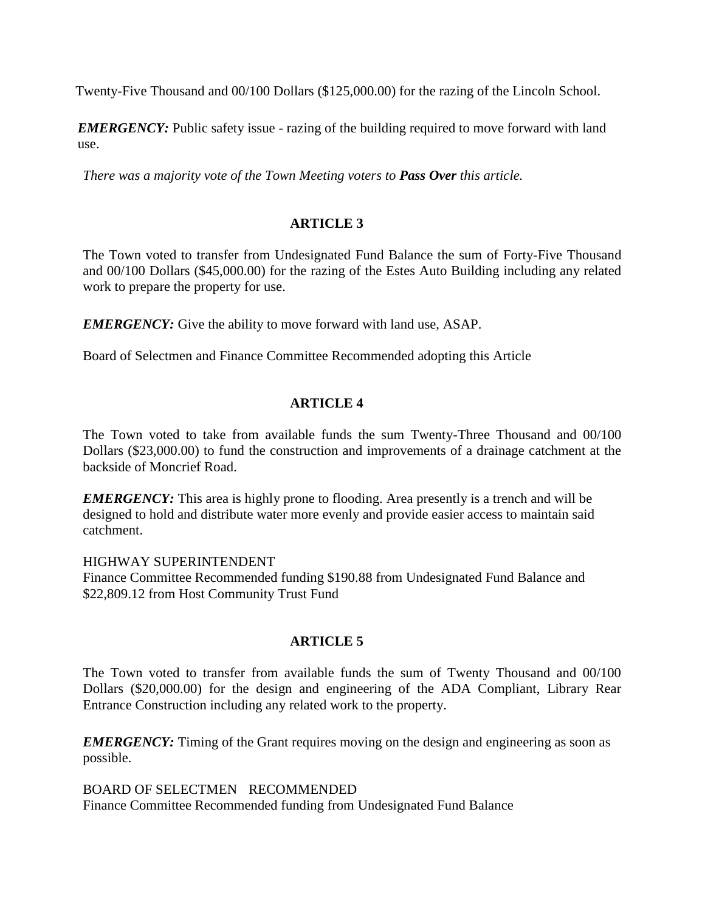Twenty-Five Thousand and 00/100 Dollars (\$125,000.00) for the razing of the Lincoln School.

*EMERGENCY:* Public safety issue - razing of the building required to move forward with land use.

*There was a majority vote of the Town Meeting voters to Pass Over this article.*

#### **ARTICLE 3**

The Town voted to transfer from Undesignated Fund Balance the sum of Forty-Five Thousand and 00/100 Dollars (\$45,000.00) for the razing of the Estes Auto Building including any related work to prepare the property for use.

*EMERGENCY:* Give the ability to move forward with land use, ASAP.

Board of Selectmen and Finance Committee Recommended adopting this Article

#### **ARTICLE 4**

The Town voted to take from available funds the sum Twenty-Three Thousand and 00/100 Dollars (\$23,000.00) to fund the construction and improvements of a drainage catchment at the backside of Moncrief Road.

*EMERGENCY*: This area is highly prone to flooding. Area presently is a trench and will be designed to hold and distribute water more evenly and provide easier access to maintain said catchment.

HIGHWAY SUPERINTENDENT

Finance Committee Recommended funding \$190.88 from Undesignated Fund Balance and \$22,809.12 from Host Community Trust Fund

### **ARTICLE 5**

The Town voted to transfer from available funds the sum of Twenty Thousand and 00/100 Dollars (\$20,000.00) for the design and engineering of the ADA Compliant, Library Rear Entrance Construction including any related work to the property.

*EMERGENCY:* Timing of the Grant requires moving on the design and engineering as soon as possible.

BOARD OF SELECTMEN RECOMMENDED Finance Committee Recommended funding from Undesignated Fund Balance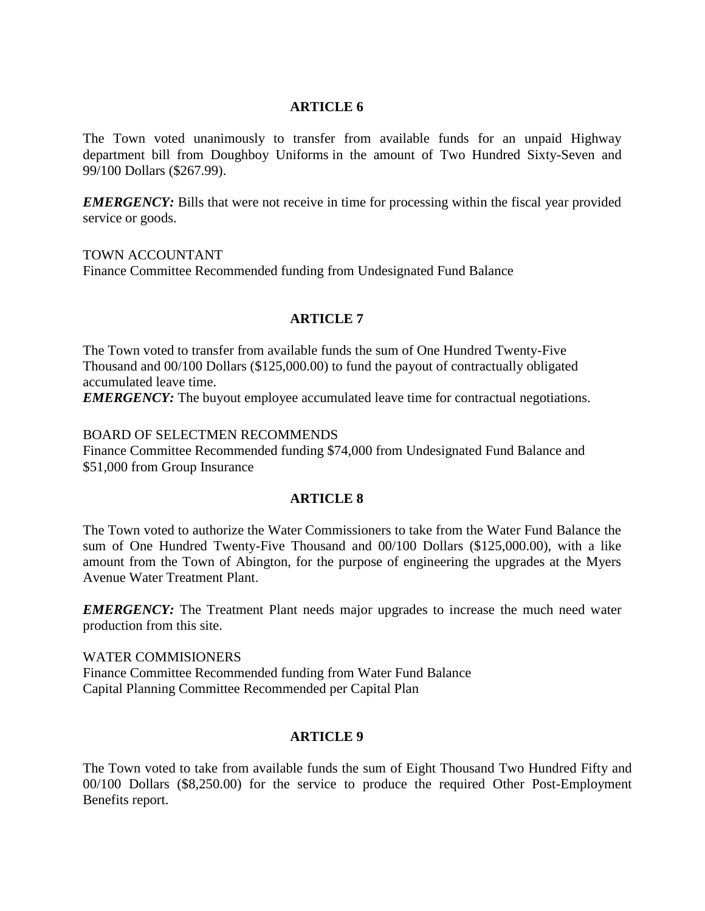#### **ARTICLE 6**

The Town voted unanimously to transfer from available funds for an unpaid Highway department bill from Doughboy Uniforms in the amount of Two Hundred Sixty-Seven and 99/100 Dollars (\$267.99).

*EMERGENCY:* Bills that were not receive in time for processing within the fiscal year provided service or goods.

TOWN ACCOUNTANT Finance Committee Recommended funding from Undesignated Fund Balance

## **ARTICLE 7**

The Town voted to transfer from available funds the sum of One Hundred Twenty-Five Thousand and 00/100 Dollars (\$125,000.00) to fund the payout of contractually obligated accumulated leave time.

*EMERGENCY:* The buyout employee accumulated leave time for contractual negotiations.

#### BOARD OF SELECTMEN RECOMMENDS

Finance Committee Recommended funding \$74,000 from Undesignated Fund Balance and \$51,000 from Group Insurance

#### **ARTICLE 8**

The Town voted to authorize the Water Commissioners to take from the Water Fund Balance the sum of One Hundred Twenty-Five Thousand and 00/100 Dollars (\$125,000.00), with a like amount from the Town of Abington, for the purpose of engineering the upgrades at the Myers Avenue Water Treatment Plant.

*EMERGENCY:* The Treatment Plant needs major upgrades to increase the much need water production from this site.

WATER COMMISIONERS Finance Committee Recommended funding from Water Fund Balance Capital Planning Committee Recommended per Capital Plan

### **ARTICLE 9**

The Town voted to take from available funds the sum of Eight Thousand Two Hundred Fifty and 00/100 Dollars (\$8,250.00) for the service to produce the required Other Post-Employment Benefits report.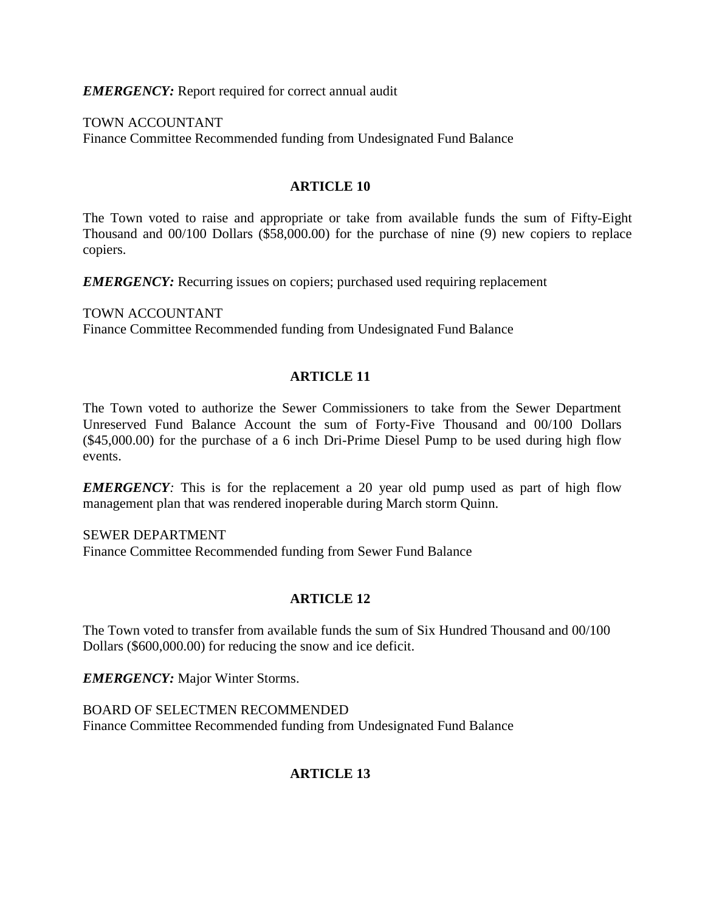*EMERGENCY:* Report required for correct annual audit

TOWN ACCOUNTANT Finance Committee Recommended funding from Undesignated Fund Balance

## **ARTICLE 10**

The Town voted to raise and appropriate or take from available funds the sum of Fifty-Eight Thousand and 00/100 Dollars (\$58,000.00) for the purchase of nine (9) new copiers to replace copiers.

*EMERGENCY:* Recurring issues on copiers; purchased used requiring replacement

TOWN ACCOUNTANT Finance Committee Recommended funding from Undesignated Fund Balance

## **ARTICLE 11**

The Town voted to authorize the Sewer Commissioners to take from the Sewer Department Unreserved Fund Balance Account the sum of Forty-Five Thousand and 00/100 Dollars (\$45,000.00) for the purchase of a 6 inch Dri-Prime Diesel Pump to be used during high flow events.

*EMERGENCY*: This is for the replacement a 20 year old pump used as part of high flow management plan that was rendered inoperable during March storm Quinn.

SEWER DEPARTMENT

Finance Committee Recommended funding from Sewer Fund Balance

## **ARTICLE 12**

The Town voted to transfer from available funds the sum of Six Hundred Thousand and 00/100 Dollars (\$600,000.00) for reducing the snow and ice deficit.

*EMERGENCY:* Major Winter Storms.

BOARD OF SELECTMEN RECOMMENDED Finance Committee Recommended funding from Undesignated Fund Balance

## **ARTICLE 13**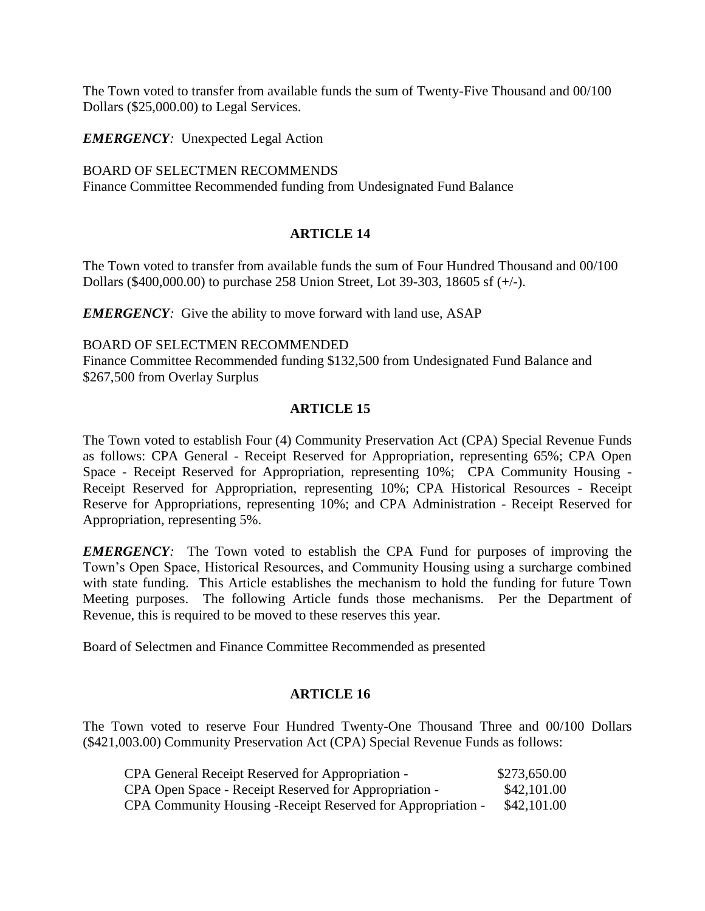The Town voted to transfer from available funds the sum of Twenty-Five Thousand and 00/100 Dollars (\$25,000.00) to Legal Services.

*EMERGENCY:* Unexpected Legal Action

### BOARD OF SELECTMEN RECOMMENDS

Finance Committee Recommended funding from Undesignated Fund Balance

## **ARTICLE 14**

The Town voted to transfer from available funds the sum of Four Hundred Thousand and 00/100 Dollars (\$400,000.00) to purchase 258 Union Street, Lot 39-303, 18605 sf (+/-).

*EMERGENCY:* Give the ability to move forward with land use, ASAP

BOARD OF SELECTMEN RECOMMENDED

Finance Committee Recommended funding \$132,500 from Undesignated Fund Balance and \$267,500 from Overlay Surplus

## **ARTICLE 15**

The Town voted to establish Four (4) Community Preservation Act (CPA) Special Revenue Funds as follows: CPA General - Receipt Reserved for Appropriation, representing 65%; CPA Open Space - Receipt Reserved for Appropriation, representing 10%; CPA Community Housing - Receipt Reserved for Appropriation, representing 10%; CPA Historical Resources - Receipt Reserve for Appropriations, representing 10%; and CPA Administration - Receipt Reserved for Appropriation, representing 5%.

*EMERGENCY:* The Town voted to establish the CPA Fund for purposes of improving the Town's Open Space, Historical Resources, and Community Housing using a surcharge combined with state funding. This Article establishes the mechanism to hold the funding for future Town Meeting purposes. The following Article funds those mechanisms. Per the Department of Revenue, this is required to be moved to these reserves this year.

Board of Selectmen and Finance Committee Recommended as presented

### **ARTICLE 16**

The Town voted to reserve Four Hundred Twenty-One Thousand Three and 00/100 Dollars (\$421,003.00) Community Preservation Act (CPA) Special Revenue Funds as follows:

| CPA General Receipt Reserved for Appropriation -             | \$273,650.00 |
|--------------------------------------------------------------|--------------|
| CPA Open Space - Receipt Reserved for Appropriation -        | \$42,101.00  |
| CPA Community Housing - Receipt Reserved for Appropriation - | \$42,101.00  |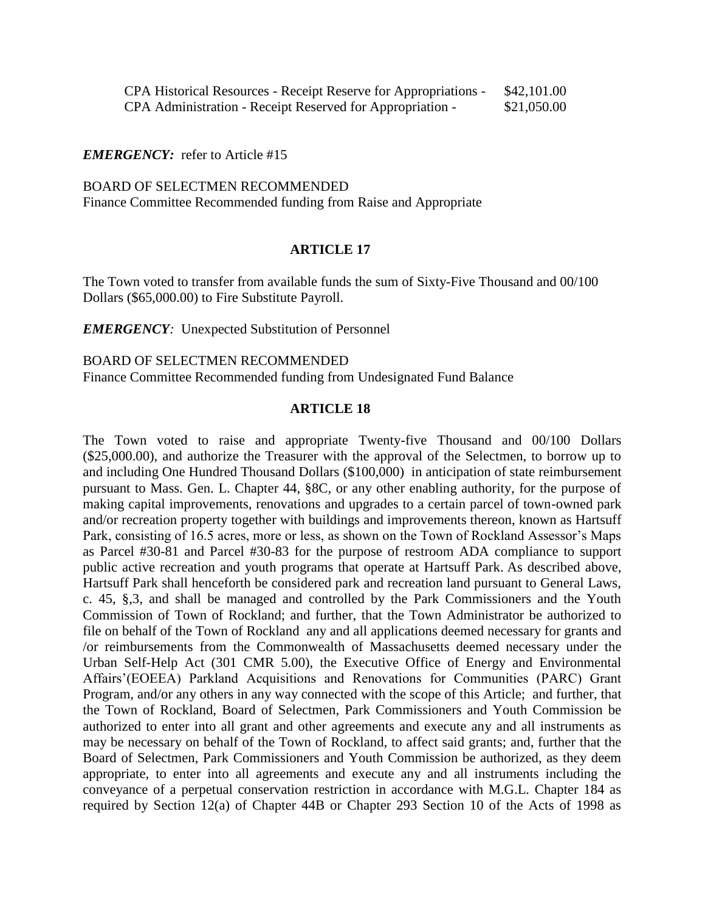CPA Historical Resources - Receipt Reserve for Appropriations - \$42,101.00 CPA Administration - Receipt Reserved for Appropriation - \$21,050.00

#### *EMERGENCY:* refer to Article #15

BOARD OF SELECTMEN RECOMMENDED Finance Committee Recommended funding from Raise and Appropriate

#### **ARTICLE 17**

The Town voted to transfer from available funds the sum of Sixty-Five Thousand and 00/100 Dollars (\$65,000.00) to Fire Substitute Payroll.

*EMERGENCY:* Unexpected Substitution of Personnel

BOARD OF SELECTMEN RECOMMENDED Finance Committee Recommended funding from Undesignated Fund Balance

### **ARTICLE 18**

The Town voted to raise and appropriate Twenty-five Thousand and 00/100 Dollars (\$25,000.00), and authorize the Treasurer with the approval of the Selectmen, to borrow up to and including One Hundred Thousand Dollars (\$100,000) in anticipation of state reimbursement pursuant to Mass. Gen. L. Chapter 44, §8C, or any other enabling authority, for the purpose of making capital improvements, renovations and upgrades to a certain parcel of town-owned park and/or recreation property together with buildings and improvements thereon, known as Hartsuff Park, consisting of 16.5 acres, more or less, as shown on the Town of Rockland Assessor's Maps as Parcel #30-81 and Parcel #30-83 for the purpose of restroom ADA compliance to support public active recreation and youth programs that operate at Hartsuff Park. As described above, Hartsuff Park shall henceforth be considered park and recreation land pursuant to General Laws, c. 45, §,3, and shall be managed and controlled by the Park Commissioners and the Youth Commission of Town of Rockland; and further, that the Town Administrator be authorized to file on behalf of the Town of Rockland any and all applications deemed necessary for grants and /or reimbursements from the Commonwealth of Massachusetts deemed necessary under the Urban Self-Help Act (301 CMR 5.00), the Executive Office of Energy and Environmental Affairs'(EOEEA) Parkland Acquisitions and Renovations for Communities (PARC) Grant Program, and/or any others in any way connected with the scope of this Article; and further, that the Town of Rockland, Board of Selectmen, Park Commissioners and Youth Commission be authorized to enter into all grant and other agreements and execute any and all instruments as may be necessary on behalf of the Town of Rockland, to affect said grants; and, further that the Board of Selectmen, Park Commissioners and Youth Commission be authorized, as they deem appropriate, to enter into all agreements and execute any and all instruments including the conveyance of a perpetual conservation restriction in accordance with M.G.L. Chapter 184 as required by Section 12(a) of Chapter 44B or Chapter 293 Section 10 of the Acts of 1998 as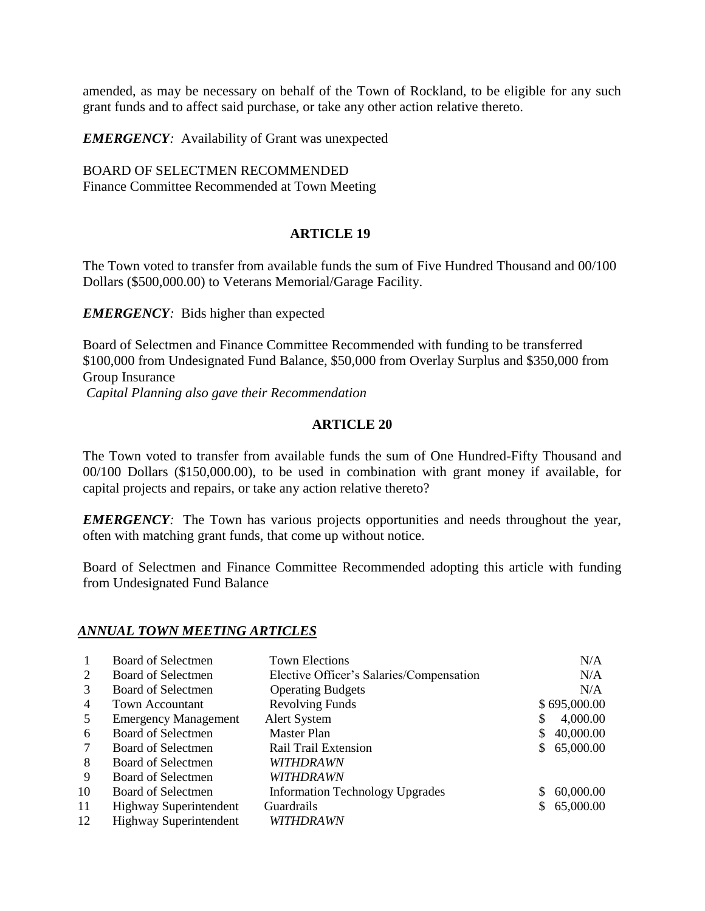amended, as may be necessary on behalf of the Town of Rockland, to be eligible for any such grant funds and to affect said purchase, or take any other action relative thereto.

*EMERGENCY:* Availability of Grant was unexpected

BOARD OF SELECTMEN RECOMMENDED Finance Committee Recommended at Town Meeting

## **ARTICLE 19**

The Town voted to transfer from available funds the sum of Five Hundred Thousand and 00/100 Dollars (\$500,000.00) to Veterans Memorial/Garage Facility.

*EMERGENCY:* Bids higher than expected

Board of Selectmen and Finance Committee Recommended with funding to be transferred \$100,000 from Undesignated Fund Balance, \$50,000 from Overlay Surplus and \$350,000 from Group Insurance

*Capital Planning also gave their Recommendation*

## **ARTICLE 20**

The Town voted to transfer from available funds the sum of One Hundred-Fifty Thousand and 00/100 Dollars (\$150,000.00), to be used in combination with grant money if available, for capital projects and repairs, or take any action relative thereto?

*EMERGENCY*: The Town has various projects opportunities and needs throughout the year, often with matching grant funds, that come up without notice.

Board of Selectmen and Finance Committee Recommended adopting this article with funding from Undesignated Fund Balance

### *ANNUAL TOWN MEETING ARTICLES*

|    | Board of Selectmen            | <b>Town Elections</b>                    |              | N/A          |
|----|-------------------------------|------------------------------------------|--------------|--------------|
| 2  | Board of Selectmen            | Elective Officer's Salaries/Compensation |              | N/A          |
| 3  | Board of Selectmen            | <b>Operating Budgets</b>                 |              | N/A          |
| 4  | Town Accountant               | <b>Revolving Funds</b>                   |              | \$695,000.00 |
| 5  | <b>Emergency Management</b>   | <b>Alert System</b>                      | \$           | 4,000.00     |
| 6  | <b>Board of Selectmen</b>     | Master Plan                              | \$.          | 40,000.00    |
|    | Board of Selectmen            | <b>Rail Trail Extension</b>              | $\mathbb{S}$ | 65,000.00    |
| 8  | Board of Selectmen            | <i>WITHDRAWN</i>                         |              |              |
| 9  | Board of Selectmen            | <b>WITHDRAWN</b>                         |              |              |
| 10 | Board of Selectmen            | <b>Information Technology Upgrades</b>   | \$.          | 60,000.00    |
| 11 | <b>Highway Superintendent</b> | <b>Guardrails</b>                        | \$.          | 65,000.00    |
| 12 | <b>Highway Superintendent</b> | <i>WITHDRAWN</i>                         |              |              |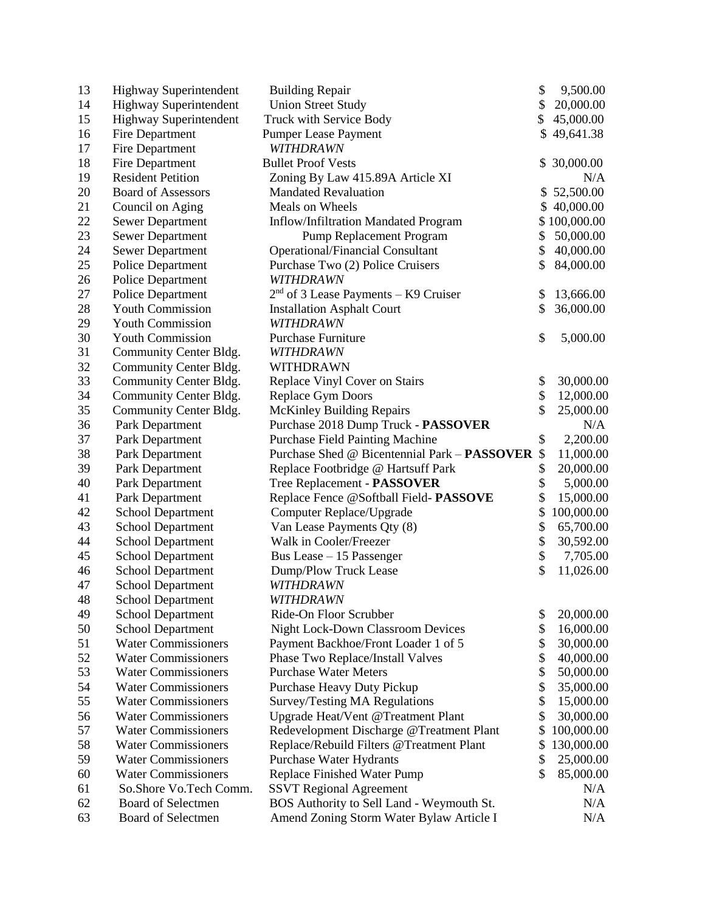| 13 | Highway Superintendent        | <b>Building Repair</b>                       | \$<br>9,500.00   |
|----|-------------------------------|----------------------------------------------|------------------|
| 14 | <b>Highway Superintendent</b> | <b>Union Street Study</b>                    | \$<br>20,000.00  |
| 15 | Highway Superintendent        | Truck with Service Body                      | \$<br>45,000.00  |
| 16 | Fire Department               | <b>Pumper Lease Payment</b>                  | \$49,641.38      |
| 17 | Fire Department               | <b>WITHDRAWN</b>                             |                  |
| 18 | Fire Department               | <b>Bullet Proof Vests</b>                    | \$<br>30,000.00  |
| 19 | <b>Resident Petition</b>      | Zoning By Law 415.89A Article XI             | N/A              |
| 20 | <b>Board of Assessors</b>     | <b>Mandated Revaluation</b>                  | \$52,500.00      |
| 21 | Council on Aging              | Meals on Wheels                              | \$<br>40,000.00  |
| 22 | <b>Sewer Department</b>       | Inflow/Infiltration Mandated Program         | \$100,000.00     |
| 23 | <b>Sewer Department</b>       | Pump Replacement Program                     | \$<br>50,000.00  |
| 24 | <b>Sewer Department</b>       | <b>Operational/Financial Consultant</b>      | \$<br>40,000.00  |
| 25 | <b>Police Department</b>      | Purchase Two (2) Police Cruisers             | \$<br>84,000.00  |
| 26 | Police Department             | <b>WITHDRAWN</b>                             |                  |
| 27 | <b>Police Department</b>      | $2nd$ of 3 Lease Payments – K9 Cruiser       | \$<br>13,666.00  |
| 28 | <b>Youth Commission</b>       | <b>Installation Asphalt Court</b>            | \$<br>36,000.00  |
| 29 | <b>Youth Commission</b>       | <b>WITHDRAWN</b>                             |                  |
| 30 | <b>Youth Commission</b>       | Purchase Furniture                           | \$<br>5,000.00   |
| 31 | Community Center Bldg.        | <b>WITHDRAWN</b>                             |                  |
| 32 | Community Center Bldg.        | WITHDRAWN                                    |                  |
| 33 | Community Center Bldg.        | Replace Vinyl Cover on Stairs                | \$<br>30,000.00  |
| 34 | Community Center Bldg.        | Replace Gym Doors                            | \$<br>12,000.00  |
| 35 | Community Center Bldg.        | <b>McKinley Building Repairs</b>             | \$<br>25,000.00  |
| 36 | Park Department               | Purchase 2018 Dump Truck - PASSOVER          | N/A              |
| 37 | Park Department               | <b>Purchase Field Painting Machine</b>       | \$<br>2,200.00   |
| 38 | Park Department               | Purchase Shed @ Bicentennial Park - PASSOVER | \$<br>11,000.00  |
| 39 | Park Department               | Replace Footbridge @ Hartsuff Park           | \$<br>20,000.00  |
| 40 | Park Department               | Tree Replacement - PASSOVER                  | \$<br>5,000.00   |
| 41 | Park Department               | Replace Fence @Softball Field- PASSOVE       | \$<br>15,000.00  |
| 42 | School Department             | Computer Replace/Upgrade                     | \$<br>100,000.00 |
| 43 | <b>School Department</b>      | Van Lease Payments Qty (8)                   | \$<br>65,700.00  |
| 44 | <b>School Department</b>      | Walk in Cooler/Freezer                       | \$<br>30,592.00  |
| 45 | <b>School Department</b>      | Bus Lease - 15 Passenger                     | \$<br>7,705.00   |
| 46 | <b>School Department</b>      | Dump/Plow Truck Lease                        | \$<br>11,026.00  |
| 47 | <b>School Department</b>      | WITHDRAWN                                    |                  |
| 48 | School Department             | <b>WITHDRAWN</b>                             |                  |
| 49 | School Department             | Ride-On Floor Scrubber                       | \$<br>20,000.00  |
| 50 | <b>School Department</b>      | <b>Night Lock-Down Classroom Devices</b>     | \$<br>16,000.00  |
| 51 | <b>Water Commissioners</b>    | Payment Backhoe/Front Loader 1 of 5          | \$<br>30,000.00  |
| 52 | <b>Water Commissioners</b>    | Phase Two Replace/Install Valves             | \$<br>40,000.00  |
| 53 | <b>Water Commissioners</b>    | <b>Purchase Water Meters</b>                 | \$<br>50,000.00  |
| 54 | <b>Water Commissioners</b>    | Purchase Heavy Duty Pickup                   | \$<br>35,000.00  |
| 55 | <b>Water Commissioners</b>    | Survey/Testing MA Regulations                | \$<br>15,000.00  |
| 56 | <b>Water Commissioners</b>    | Upgrade Heat/Vent @Treatment Plant           | \$<br>30,000.00  |
| 57 | <b>Water Commissioners</b>    | Redevelopment Discharge @Treatment Plant     | \$<br>100,000.00 |
| 58 | <b>Water Commissioners</b>    | Replace/Rebuild Filters @Treatment Plant     | \$<br>130,000.00 |
| 59 | <b>Water Commissioners</b>    | Purchase Water Hydrants                      | \$<br>25,000.00  |
| 60 | <b>Water Commissioners</b>    | Replace Finished Water Pump                  | 85,000.00        |
| 61 | So.Shore Vo.Tech Comm.        | <b>SSVT Regional Agreement</b>               | N/A              |
| 62 | Board of Selectmen            | BOS Authority to Sell Land - Weymouth St.    | N/A              |
| 63 | Board of Selectmen            | Amend Zoning Storm Water Bylaw Article I     | N/A              |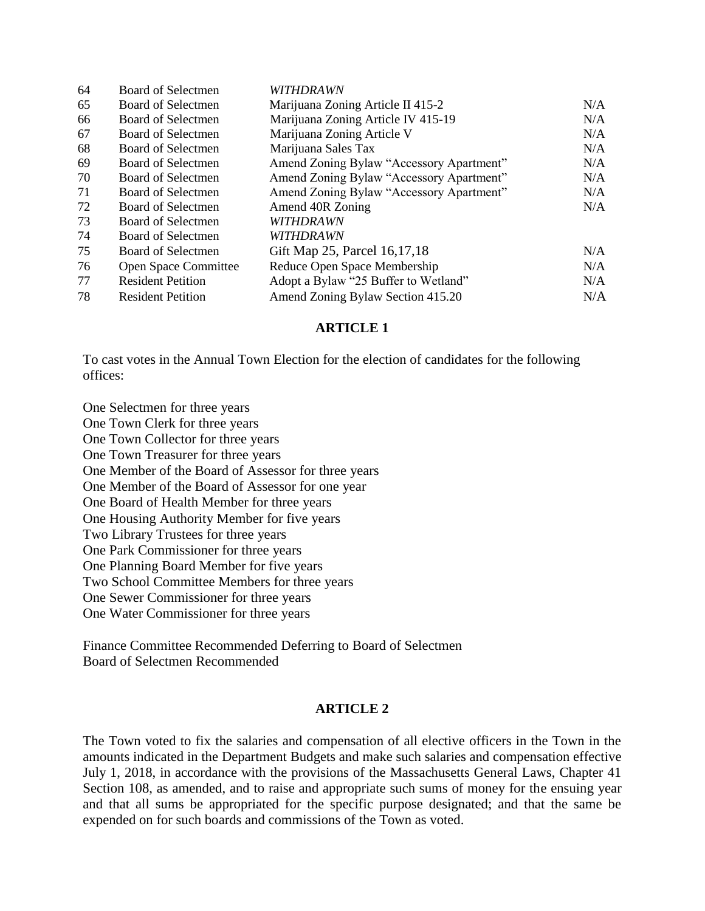| 64 | <b>Board of Selectmen</b>   | <b>WITHDRAWN</b>                         |     |
|----|-----------------------------|------------------------------------------|-----|
| 65 | Board of Selectmen          | Marijuana Zoning Article II 415-2        | N/A |
| 66 | Board of Selectmen          | Marijuana Zoning Article IV 415-19       | N/A |
| 67 | Board of Selectmen          | Marijuana Zoning Article V               | N/A |
| 68 | <b>Board of Selectmen</b>   | Marijuana Sales Tax                      | N/A |
| 69 | Board of Selectmen          | Amend Zoning Bylaw "Accessory Apartment" | N/A |
| 70 | Board of Selectmen          | Amend Zoning Bylaw "Accessory Apartment" | N/A |
| 71 | Board of Selectmen          | Amend Zoning Bylaw "Accessory Apartment" | N/A |
| 72 | Board of Selectmen          | Amend 40R Zoning                         | N/A |
| 73 | Board of Selectmen          | <b>WITHDRAWN</b>                         |     |
| 74 | Board of Selectmen          | <i>WITHDRAWN</i>                         |     |
| 75 | <b>Board of Selectmen</b>   | Gift Map 25, Parcel 16, 17, 18           | N/A |
| 76 | <b>Open Space Committee</b> | Reduce Open Space Membership             | N/A |
| 77 | <b>Resident Petition</b>    | Adopt a Bylaw "25 Buffer to Wetland"     | N/A |
| 78 | <b>Resident Petition</b>    | Amend Zoning Bylaw Section 415.20        | N/A |
|    |                             |                                          |     |

### **ARTICLE 1**

To cast votes in the Annual Town Election for the election of candidates for the following offices:

One Selectmen for three years One Town Clerk for three years One Town Collector for three years One Town Treasurer for three years One Member of the Board of Assessor for three years One Member of the Board of Assessor for one year One Board of Health Member for three years One Housing Authority Member for five years Two Library Trustees for three years One Park Commissioner for three years One Planning Board Member for five years Two School Committee Members for three years One Sewer Commissioner for three years One Water Commissioner for three years

Finance Committee Recommended Deferring to Board of Selectmen Board of Selectmen Recommended

### **ARTICLE 2**

The Town voted to fix the salaries and compensation of all elective officers in the Town in the amounts indicated in the Department Budgets and make such salaries and compensation effective July 1, 2018, in accordance with the provisions of the Massachusetts General Laws, Chapter 41 Section 108, as amended, and to raise and appropriate such sums of money for the ensuing year and that all sums be appropriated for the specific purpose designated; and that the same be expended on for such boards and commissions of the Town as voted.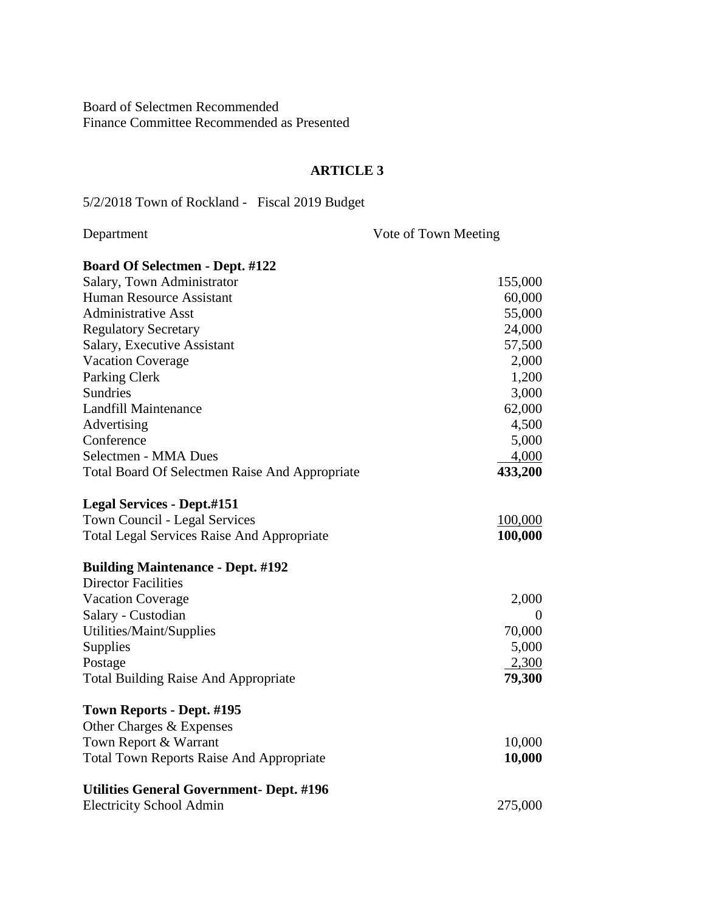Board of Selectmen Recommended Finance Committee Recommended as Presented

## **ARTICLE 3**

5/2/2018 Town of Rockland - Fiscal 2019 Budget

| Department                                        | Vote of Town Meeting |  |
|---------------------------------------------------|----------------------|--|
| <b>Board Of Selectmen - Dept. #122</b>            |                      |  |
| Salary, Town Administrator                        | 155,000              |  |
| Human Resource Assistant                          | 60,000               |  |
| <b>Administrative Asst</b>                        | 55,000               |  |
| <b>Regulatory Secretary</b>                       | 24,000               |  |
| Salary, Executive Assistant                       | 57,500               |  |
| <b>Vacation Coverage</b>                          | 2,000                |  |
| Parking Clerk                                     | 1,200                |  |
| <b>Sundries</b>                                   | 3,000                |  |
| <b>Landfill Maintenance</b>                       | 62,000               |  |
| Advertising                                       | 4,500                |  |
| Conference                                        | 5,000                |  |
| Selectmen - MMA Dues                              | 4,000                |  |
| Total Board Of Selectmen Raise And Appropriate    | 433,200              |  |
| <b>Legal Services - Dept.#151</b>                 |                      |  |
| Town Council - Legal Services                     | 100,000              |  |
| <b>Total Legal Services Raise And Appropriate</b> | 100,000              |  |
| <b>Building Maintenance - Dept. #192</b>          |                      |  |
| <b>Director Facilities</b>                        |                      |  |
| <b>Vacation Coverage</b>                          | 2,000                |  |
| Salary - Custodian                                | $\theta$             |  |
| Utilities/Maint/Supplies                          | 70,000               |  |
| Supplies                                          | 5,000                |  |
| Postage                                           | 2,300                |  |
| <b>Total Building Raise And Appropriate</b>       | 79,300               |  |
| Town Reports - Dept. #195                         |                      |  |
| Other Charges & Expenses                          |                      |  |
| Town Report & Warrant                             | 10,000               |  |
| <b>Total Town Reports Raise And Appropriate</b>   | 10,000               |  |
| <b>Utilities General Government- Dept. #196</b>   |                      |  |
| <b>Electricity School Admin</b>                   | 275,000              |  |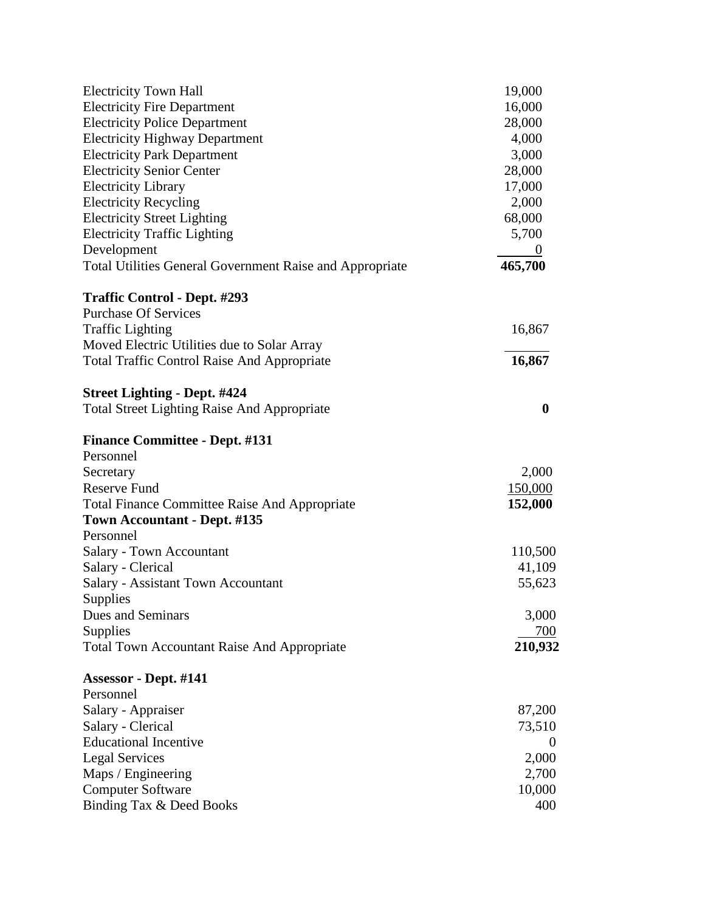| <b>Electricity Town Hall</b>                             | 19,000           |
|----------------------------------------------------------|------------------|
| <b>Electricity Fire Department</b>                       | 16,000           |
| <b>Electricity Police Department</b>                     | 28,000           |
| <b>Electricity Highway Department</b>                    | 4,000            |
| <b>Electricity Park Department</b>                       | 3,000            |
| <b>Electricity Senior Center</b>                         | 28,000           |
| <b>Electricity Library</b>                               | 17,000           |
| <b>Electricity Recycling</b>                             | 2,000            |
| <b>Electricity Street Lighting</b>                       | 68,000           |
| <b>Electricity Traffic Lighting</b>                      | 5,700            |
| Development                                              | $\theta$         |
| Total Utilities General Government Raise and Appropriate | 465,700          |
| <b>Traffic Control - Dept. #293</b>                      |                  |
| <b>Purchase Of Services</b>                              |                  |
| <b>Traffic Lighting</b>                                  | 16,867           |
| Moved Electric Utilities due to Solar Array              |                  |
| <b>Total Traffic Control Raise And Appropriate</b>       | 16,867           |
| <b>Street Lighting - Dept. #424</b>                      |                  |
| <b>Total Street Lighting Raise And Appropriate</b>       | $\boldsymbol{0}$ |
| <b>Finance Committee - Dept. #131</b>                    |                  |
| Personnel                                                |                  |
| Secretary                                                | 2,000            |
| <b>Reserve Fund</b>                                      | 150,000          |
| <b>Total Finance Committee Raise And Appropriate</b>     | 152,000          |
| Town Accountant - Dept. #135                             |                  |
| Personnel                                                |                  |
| Salary - Town Accountant                                 | 110,500          |
| Salary - Clerical                                        | 41,109           |
| <b>Salary - Assistant Town Accountant</b>                | 55,623           |
| Supplies                                                 |                  |
| Dues and Seminars                                        | 3,000            |
| Supplies                                                 | 700              |
| <b>Total Town Accountant Raise And Appropriate</b>       | 210,932          |
| Assessor - Dept. #141                                    |                  |
| Personnel                                                |                  |
| Salary - Appraiser                                       | 87,200           |
| Salary - Clerical                                        | 73,510           |
| <b>Educational Incentive</b>                             | $\theta$         |
| <b>Legal Services</b>                                    | 2,000            |
| Maps / Engineering                                       | 2,700            |
| <b>Computer Software</b>                                 | 10,000           |
| Binding Tax & Deed Books                                 | 400              |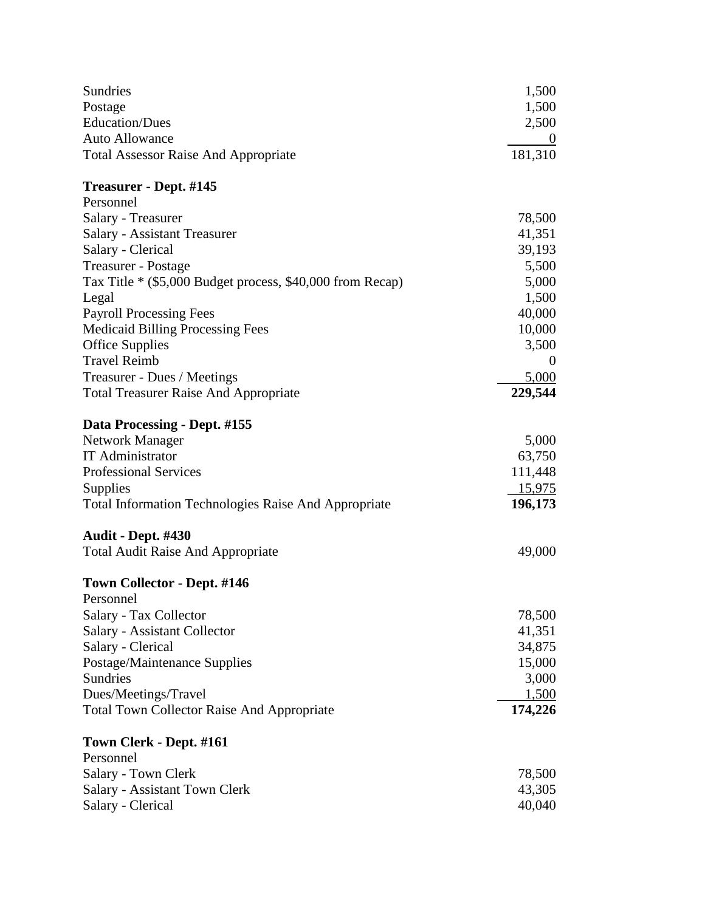| Sundries<br>Postage<br><b>Education/Dues</b><br><b>Auto Allowance</b>       | 1,500<br>1,500<br>2,500 |
|-----------------------------------------------------------------------------|-------------------------|
| <b>Total Assessor Raise And Appropriate</b>                                 | 181,310                 |
| Treasurer - Dept. #145                                                      |                         |
| Personnel                                                                   |                         |
| Salary - Treasurer                                                          | 78,500                  |
| <b>Salary - Assistant Treasurer</b>                                         | 41,351                  |
| Salary - Clerical                                                           | 39,193                  |
| <b>Treasurer - Postage</b>                                                  | 5,500                   |
| Tax Title * (\$5,000 Budget process, \$40,000 from Recap)                   | 5,000                   |
| Legal                                                                       | 1,500                   |
| <b>Payroll Processing Fees</b>                                              | 40,000                  |
| <b>Medicaid Billing Processing Fees</b>                                     | 10,000                  |
| <b>Office Supplies</b><br><b>Travel Reimb</b>                               | 3,500                   |
|                                                                             | $\theta$                |
| Treasurer - Dues / Meetings<br><b>Total Treasurer Raise And Appropriate</b> | 5,000                   |
|                                                                             | 229,544                 |
| Data Processing - Dept. #155                                                |                         |
| <b>Network Manager</b>                                                      | 5,000                   |
| <b>IT Administrator</b>                                                     | 63,750                  |
| <b>Professional Services</b>                                                | 111,448                 |
| Supplies                                                                    | 15,975                  |
| <b>Total Information Technologies Raise And Appropriate</b>                 | 196,173                 |
| <b>Audit - Dept. #430</b>                                                   |                         |
| <b>Total Audit Raise And Appropriate</b>                                    | 49,000                  |
|                                                                             |                         |
| Town Collector - Dept. #146                                                 |                         |
| Personnel                                                                   |                         |
| Salary - Tax Collector                                                      | 78,500                  |
| Salary - Assistant Collector                                                | 41,351                  |
| Salary - Clerical                                                           | 34,875                  |
| Postage/Maintenance Supplies                                                | 15,000                  |
| <b>Sundries</b>                                                             | 3,000                   |
| Dues/Meetings/Travel                                                        | <u>1,500</u>            |
| <b>Total Town Collector Raise And Appropriate</b>                           | 174,226                 |
| Town Clerk - Dept. #161                                                     |                         |
| Personnel                                                                   |                         |
| Salary - Town Clerk                                                         | 78,500                  |
| Salary - Assistant Town Clerk                                               | 43,305                  |
| Salary - Clerical                                                           | 40,040                  |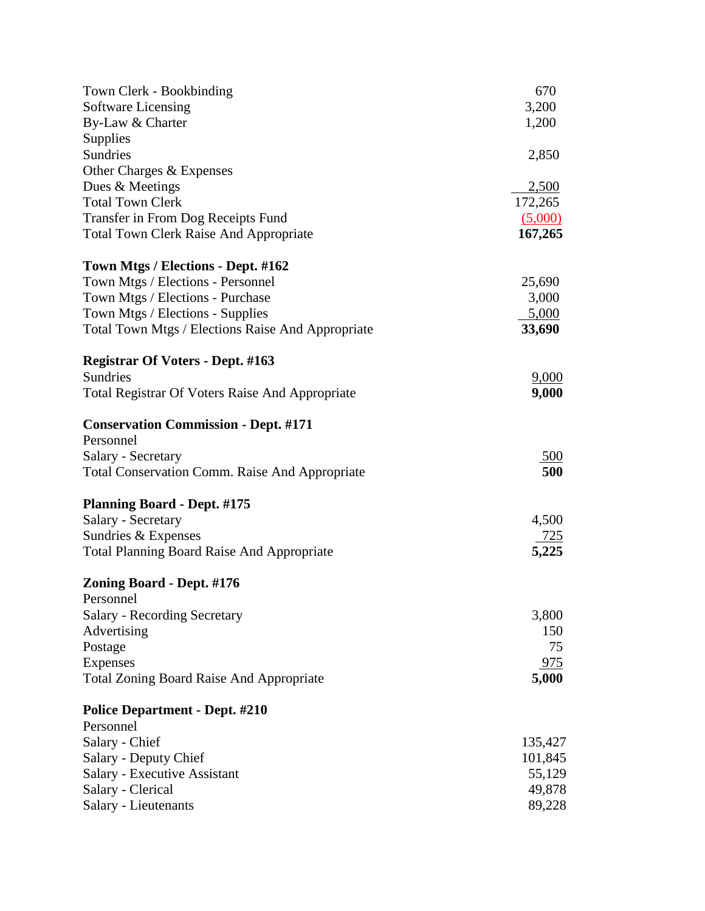| Town Clerk - Bookbinding                               | 670        |
|--------------------------------------------------------|------------|
| Software Licensing                                     | 3,200      |
| By-Law & Charter                                       | 1,200      |
| Supplies                                               |            |
| Sundries                                               | 2,850      |
| Other Charges & Expenses                               |            |
| Dues & Meetings                                        | 2,500      |
| <b>Total Town Clerk</b>                                | 172,265    |
| <b>Transfer in From Dog Receipts Fund</b>              | (5,000)    |
| <b>Total Town Clerk Raise And Appropriate</b>          | 167,265    |
| Town Mtgs / Elections - Dept. #162                     |            |
| Town Mtgs / Elections - Personnel                      | 25,690     |
| Town Mtgs / Elections - Purchase                       | 3,000      |
| Town Mtgs / Elections - Supplies                       | 5,000      |
| Total Town Mtgs / Elections Raise And Appropriate      | 33,690     |
| <b>Registrar Of Voters - Dept. #163</b>                |            |
| <b>Sundries</b>                                        | 9,000      |
| <b>Total Registrar Of Voters Raise And Appropriate</b> | 9,000      |
| <b>Conservation Commission - Dept. #171</b>            |            |
| Personnel                                              |            |
| Salary - Secretary                                     | 500        |
| Total Conservation Comm. Raise And Appropriate         | 500        |
| <b>Planning Board - Dept. #175</b>                     |            |
| Salary - Secretary                                     | 4,500      |
| Sundries & Expenses                                    | 725        |
| <b>Total Planning Board Raise And Appropriate</b>      | 5,225      |
| Zoning Board - Dept. #176                              |            |
| Personnel                                              |            |
| Salary - Recording Secretary                           | 3,800      |
| Advertising                                            | 150        |
| Postage                                                | 75         |
| Expenses                                               | <u>975</u> |
| <b>Total Zoning Board Raise And Appropriate</b>        | 5,000      |
| <b>Police Department - Dept. #210</b>                  |            |
| Personnel                                              |            |
| Salary - Chief                                         | 135,427    |
| Salary - Deputy Chief                                  | 101,845    |
| Salary - Executive Assistant                           | 55,129     |
| Salary - Clerical                                      | 49,878     |
| Salary - Lieutenants                                   | 89,228     |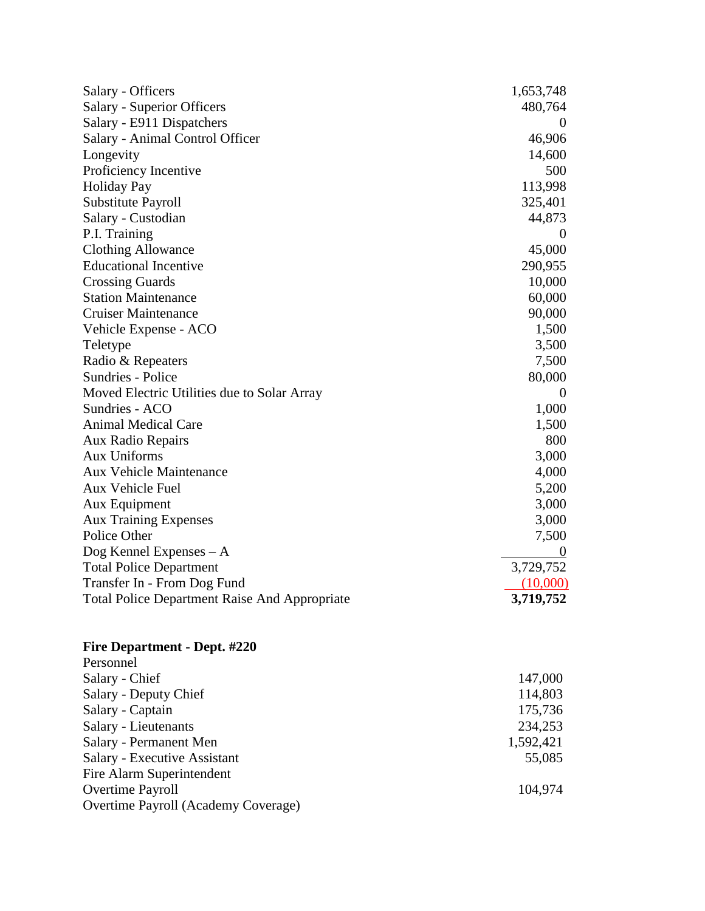| Salary - Officers                                    | 1,653,748        |
|------------------------------------------------------|------------------|
| Salary - Superior Officers                           | 480,764          |
| Salary - E911 Dispatchers                            |                  |
| Salary - Animal Control Officer                      | 46,906           |
| Longevity                                            | 14,600           |
| Proficiency Incentive                                | 500              |
| <b>Holiday Pay</b>                                   | 113,998          |
| Substitute Payroll                                   | 325,401          |
| Salary - Custodian                                   | 44,873           |
| P.I. Training                                        | $\theta$         |
| <b>Clothing Allowance</b>                            | 45,000           |
| <b>Educational Incentive</b>                         | 290,955          |
| <b>Crossing Guards</b>                               | 10,000           |
| <b>Station Maintenance</b>                           | 60,000           |
| <b>Cruiser Maintenance</b>                           | 90,000           |
| Vehicle Expense - ACO                                | 1,500            |
| Teletype                                             | 3,500            |
| Radio & Repeaters                                    | 7,500            |
| Sundries - Police                                    | 80,000           |
| Moved Electric Utilities due to Solar Array          | $\overline{0}$   |
| Sundries - ACO                                       | 1,000            |
| <b>Animal Medical Care</b>                           | 1,500            |
| Aux Radio Repairs                                    | 800              |
| <b>Aux Uniforms</b>                                  | 3,000            |
| <b>Aux Vehicle Maintenance</b>                       | 4,000            |
| Aux Vehicle Fuel                                     | 5,200            |
| Aux Equipment                                        | 3,000            |
| <b>Aux Training Expenses</b>                         | 3,000            |
| Police Other                                         | 7,500            |
| Dog Kennel Expenses - A                              | $\boldsymbol{0}$ |
| <b>Total Police Department</b>                       | 3,729,752        |
| Transfer In - From Dog Fund                          | (10,000)         |
| <b>Total Police Department Raise And Appropriate</b> | 3,719,752        |
|                                                      |                  |

#### **Fire Department - Dept. #220**

| Personnel                           |           |
|-------------------------------------|-----------|
| Salary - Chief                      | 147,000   |
| Salary - Deputy Chief               | 114,803   |
| Salary - Captain                    | 175,736   |
| Salary - Lieutenants                | 234,253   |
| Salary - Permanent Men              | 1,592,421 |
| Salary - Executive Assistant        | 55,085    |
| Fire Alarm Superintendent           |           |
| Overtime Payroll                    | 104,974   |
| Overtime Payroll (Academy Coverage) |           |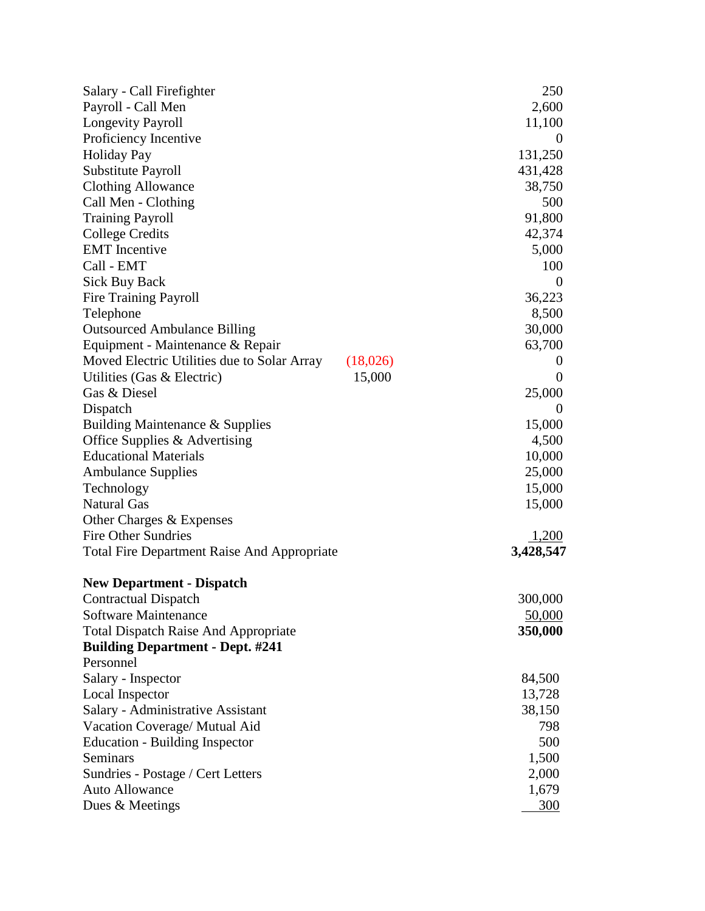| Salary - Call Firefighter                               | 250       |
|---------------------------------------------------------|-----------|
| Payroll - Call Men                                      | 2,600     |
| <b>Longevity Payroll</b>                                | 11,100    |
| Proficiency Incentive                                   | $\Omega$  |
| <b>Holiday Pay</b>                                      | 131,250   |
| Substitute Payroll                                      | 431,428   |
| <b>Clothing Allowance</b>                               | 38,750    |
| Call Men - Clothing                                     | 500       |
| <b>Training Payroll</b>                                 | 91,800    |
| <b>College Credits</b>                                  | 42,374    |
| <b>EMT</b> Incentive                                    | 5,000     |
| Call - EMT                                              | 100       |
| <b>Sick Buy Back</b>                                    | $\theta$  |
| <b>Fire Training Payroll</b>                            | 36,223    |
| Telephone                                               | 8,500     |
| <b>Outsourced Ambulance Billing</b>                     | 30,000    |
| Equipment - Maintenance & Repair                        | 63,700    |
| Moved Electric Utilities due to Solar Array<br>(18,026) | $\theta$  |
| Utilities (Gas & Electric)<br>15,000                    | $\Omega$  |
| Gas & Diesel                                            | 25,000    |
| Dispatch                                                | $\theta$  |
| Building Maintenance & Supplies                         | 15,000    |
| Office Supplies & Advertising                           | 4,500     |
| <b>Educational Materials</b>                            | 10,000    |
| <b>Ambulance Supplies</b>                               | 25,000    |
| Technology                                              | 15,000    |
| <b>Natural Gas</b>                                      | 15,000    |
| Other Charges & Expenses                                |           |
| <b>Fire Other Sundries</b>                              | 1,200     |
| Total Fire Department Raise And Appropriate             | 3,428,547 |
| <b>New Department - Dispatch</b>                        |           |
| Contractual Dispatch                                    | 300,000   |
| Software Maintenance                                    | 50,000    |
| <b>Total Dispatch Raise And Appropriate</b>             | 350,000   |
| <b>Building Department - Dept. #241</b>                 |           |
| Personnel                                               |           |
| Salary - Inspector                                      | 84,500    |
| Local Inspector                                         | 13,728    |
| Salary - Administrative Assistant                       | 38,150    |
| Vacation Coverage/ Mutual Aid                           | 798       |
| Education - Building Inspector                          | 500       |
| Seminars                                                | 1,500     |
| Sundries - Postage / Cert Letters                       | 2,000     |
| <b>Auto Allowance</b>                                   | 1,679     |
| Dues & Meetings                                         | 300       |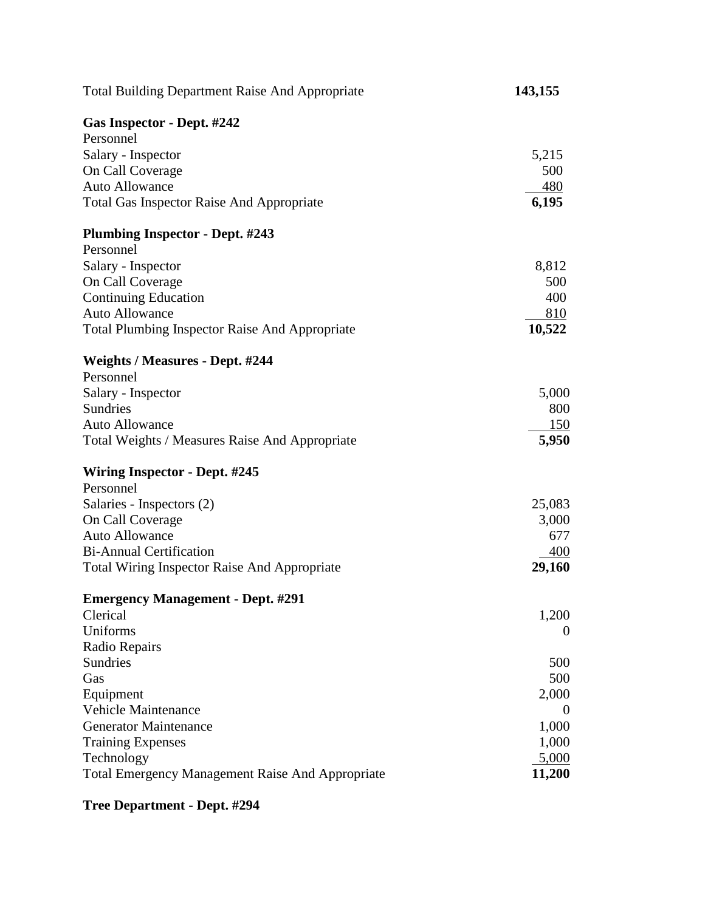| <b>Total Building Department Raise And Appropriate</b>  | 143,155    |
|---------------------------------------------------------|------------|
| Gas Inspector - Dept. #242                              |            |
| Personnel                                               |            |
| Salary - Inspector                                      | 5,215      |
| On Call Coverage                                        | 500        |
| Auto Allowance                                          | 480        |
| <b>Total Gas Inspector Raise And Appropriate</b>        | 6,195      |
| <b>Plumbing Inspector - Dept. #243</b>                  |            |
| Personnel                                               |            |
| Salary - Inspector                                      | 8,812      |
| On Call Coverage                                        | 500        |
| <b>Continuing Education</b>                             | 400        |
| <b>Auto Allowance</b>                                   | 810        |
| <b>Total Plumbing Inspector Raise And Appropriate</b>   | 10,522     |
| <b>Weights / Measures - Dept. #244</b>                  |            |
| Personnel                                               |            |
| Salary - Inspector                                      | 5,000      |
| Sundries                                                | 800        |
| <b>Auto Allowance</b>                                   | 150        |
| Total Weights / Measures Raise And Appropriate          | 5,950      |
| Wiring Inspector - Dept. #245                           |            |
| Personnel                                               |            |
| Salaries - Inspectors (2)                               | 25,083     |
| On Call Coverage                                        | 3,000      |
| <b>Auto Allowance</b><br><b>Bi-Annual Certification</b> | 677<br>400 |
| Total Wiring Inspector Raise And Appropriate            | 29,160     |
|                                                         |            |
| <b>Emergency Management - Dept. #291</b><br>Clerical    | 1,200      |
| Uniforms                                                | $\theta$   |
| Radio Repairs                                           |            |
| Sundries                                                | 500        |
| Gas                                                     | 500        |
| Equipment                                               | 2,000      |
| <b>Vehicle Maintenance</b>                              | $\theta$   |
| <b>Generator Maintenance</b>                            | 1,000      |
| <b>Training Expenses</b>                                | 1,000      |
| Technology                                              | 5,000      |
| Total Emergency Management Raise And Appropriate        | 11,200     |

# **Tree Department - Dept. #294**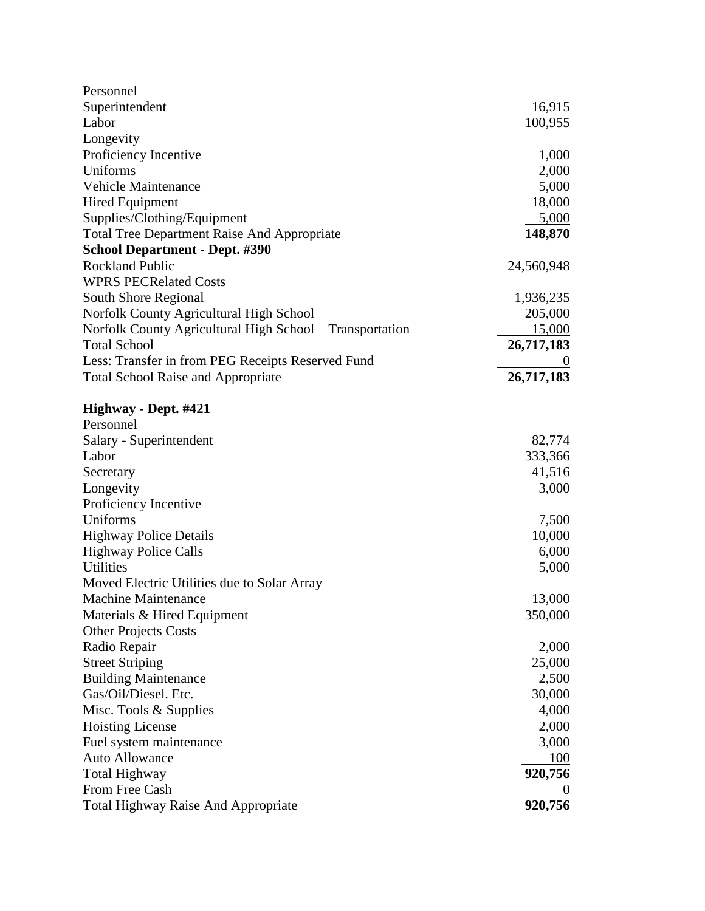| Personnel                                                |             |
|----------------------------------------------------------|-------------|
| Superintendent                                           | 16,915      |
| Labor                                                    | 100,955     |
| Longevity                                                |             |
| Proficiency Incentive                                    | 1,000       |
| Uniforms                                                 | 2,000       |
| Vehicle Maintenance                                      | 5,000       |
| <b>Hired Equipment</b>                                   | 18,000      |
| Supplies/Clothing/Equipment                              | 5,000       |
| <b>Total Tree Department Raise And Appropriate</b>       | 148,870     |
| <b>School Department - Dept. #390</b>                    |             |
| <b>Rockland Public</b>                                   | 24,560,948  |
| <b>WPRS PECRelated Costs</b>                             |             |
| South Shore Regional                                     | 1,936,235   |
| Norfolk County Agricultural High School                  | 205,000     |
| Norfolk County Agricultural High School - Transportation | 15,000      |
| <b>Total School</b>                                      | 26,717,183  |
| Less: Transfer in from PEG Receipts Reserved Fund        | $\mathbf 0$ |
| <b>Total School Raise and Appropriate</b>                | 26,717,183  |
|                                                          |             |
| Highway - Dept. #421                                     |             |
| Personnel                                                |             |
| Salary - Superintendent                                  | 82,774      |
| Labor                                                    | 333,366     |
| Secretary                                                | 41,516      |
| Longevity                                                | 3,000       |
| Proficiency Incentive                                    |             |
| Uniforms                                                 | 7,500       |
| <b>Highway Police Details</b>                            | 10,000      |
| <b>Highway Police Calls</b>                              | 6,000       |
| <b>Utilities</b>                                         | 5,000       |
| Moved Electric Utilities due to Solar Array              |             |
| <b>Machine Maintenance</b>                               | 13,000      |
| Materials & Hired Equipment                              | 350,000     |
| <b>Other Projects Costs</b>                              |             |
| Radio Repair                                             | 2,000       |
| <b>Street Striping</b>                                   | 25,000      |
| <b>Building Maintenance</b>                              | 2,500       |
| Gas/Oil/Diesel. Etc.                                     | 30,000      |
| Misc. Tools & Supplies                                   | 4,000       |
| <b>Hoisting License</b>                                  | 2,000       |
| Fuel system maintenance                                  | 3,000       |
| <b>Auto Allowance</b>                                    | 100         |
| <b>Total Highway</b>                                     | 920,756     |
| From Free Cash                                           |             |
| <b>Total Highway Raise And Appropriate</b>               | 920,756     |
|                                                          |             |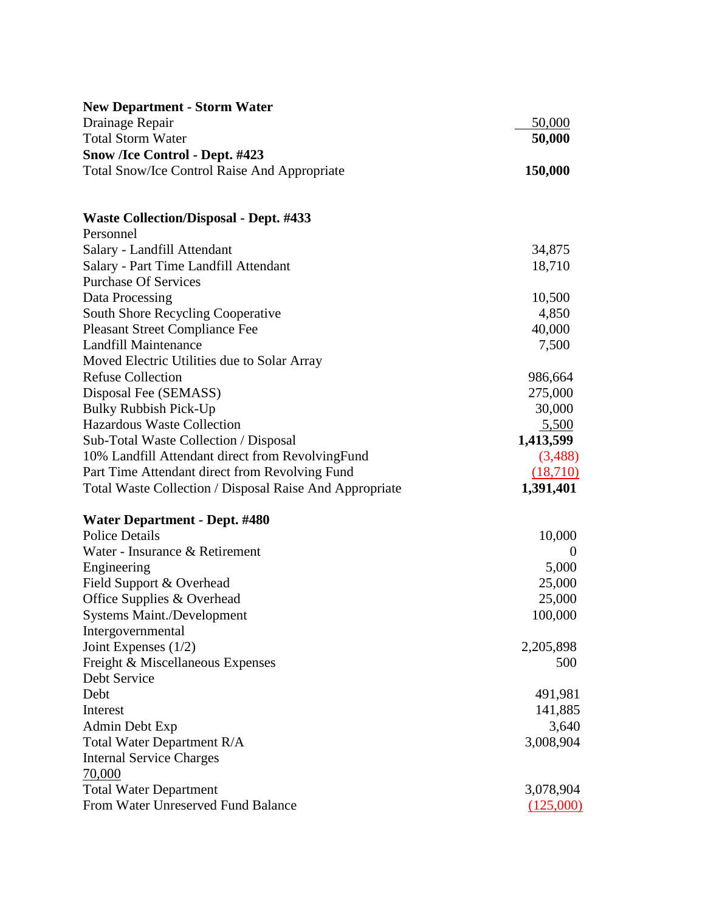| <b>New Department - Storm Water</b>                     |                  |
|---------------------------------------------------------|------------------|
| Drainage Repair                                         | 50,000           |
| <b>Total Storm Water</b>                                | 50,000           |
| <b>Snow /Ice Control - Dept. #423</b>                   |                  |
| <b>Total Snow/Ice Control Raise And Appropriate</b>     | 150,000          |
| <b>Waste Collection/Disposal - Dept. #433</b>           |                  |
| Personnel                                               |                  |
| Salary - Landfill Attendant                             | 34,875           |
| Salary - Part Time Landfill Attendant                   | 18,710           |
| <b>Purchase Of Services</b>                             |                  |
| Data Processing                                         | 10,500           |
| <b>South Shore Recycling Cooperative</b>                | 4,850            |
| <b>Pleasant Street Compliance Fee</b>                   | 40,000           |
| <b>Landfill Maintenance</b>                             | 7,500            |
| Moved Electric Utilities due to Solar Array             |                  |
| <b>Refuse Collection</b>                                | 986,664          |
| Disposal Fee (SEMASS)                                   | 275,000          |
| <b>Bulky Rubbish Pick-Up</b>                            | 30,000           |
| <b>Hazardous Waste Collection</b>                       | 5,500            |
| Sub-Total Waste Collection / Disposal                   | 1,413,599        |
| 10% Landfill Attendant direct from RevolvingFund        | (3,488)          |
| Part Time Attendant direct from Revolving Fund          | (18,710)         |
| Total Waste Collection / Disposal Raise And Appropriate | 1,391,401        |
| Water Department - Dept. #480                           |                  |
| <b>Police Details</b>                                   | 10,000           |
| Water - Insurance & Retirement                          | $\boldsymbol{0}$ |
| Engineering                                             | 5,000            |
| Field Support & Overhead                                | 25,000           |
| Office Supplies & Overhead                              | 25,000           |
| <b>Systems Maint./Development</b>                       | 100,000          |
| Intergovernmental                                       |                  |
| Joint Expenses (1/2)                                    | 2,205,898        |
| Freight & Miscellaneous Expenses                        | 500              |
| Debt Service                                            |                  |
| Debt                                                    | 491,981          |
| Interest                                                | 141,885          |
| Admin Debt Exp                                          | 3,640            |
| Total Water Department R/A                              | 3,008,904        |
| <b>Internal Service Charges</b>                         |                  |
| 70,000                                                  |                  |
| <b>Total Water Department</b>                           | 3,078,904        |
| From Water Unreserved Fund Balance                      | (125,000)        |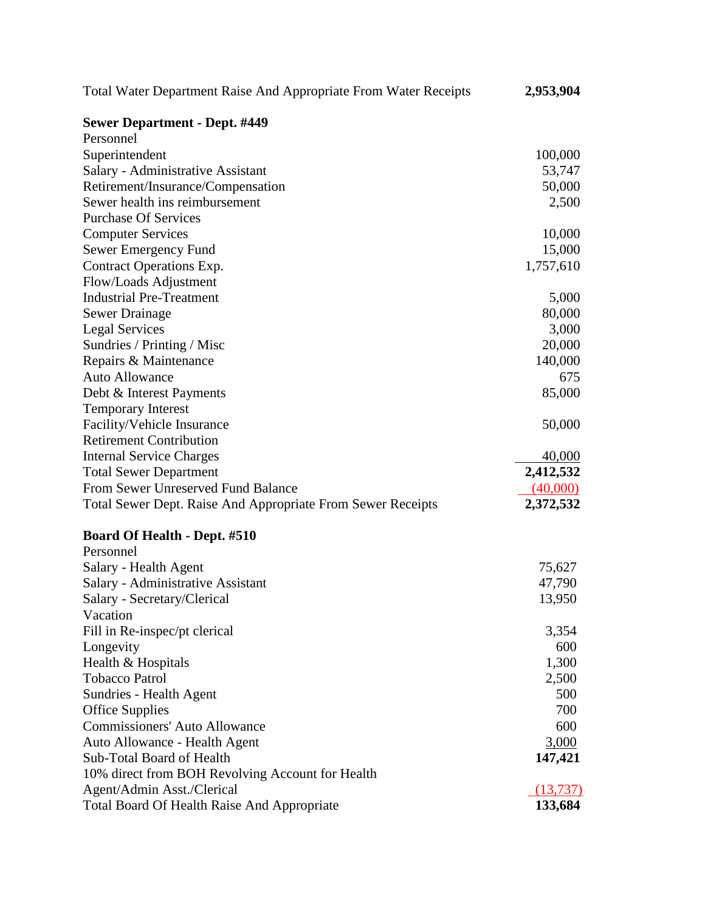| Total Water Department Raise And Appropriate From Water Receipts | 2,953,904    |
|------------------------------------------------------------------|--------------|
| <b>Sewer Department - Dept. #449</b>                             |              |
| Personnel                                                        |              |
| Superintendent                                                   | 100,000      |
| Salary - Administrative Assistant                                | 53,747       |
| Retirement/Insurance/Compensation                                | 50,000       |
| Sewer health ins reimbursement                                   | 2,500        |
| <b>Purchase Of Services</b>                                      |              |
| <b>Computer Services</b>                                         | 10,000       |
| Sewer Emergency Fund                                             | 15,000       |
| Contract Operations Exp.                                         | 1,757,610    |
| Flow/Loads Adjustment                                            |              |
| <b>Industrial Pre-Treatment</b>                                  | 5,000        |
| <b>Sewer Drainage</b>                                            | 80,000       |
| <b>Legal Services</b>                                            | 3,000        |
| Sundries / Printing / Misc                                       | 20,000       |
| Repairs & Maintenance                                            | 140,000      |
| <b>Auto Allowance</b>                                            | 675          |
| Debt & Interest Payments                                         | 85,000       |
| <b>Temporary Interest</b>                                        |              |
| Facility/Vehicle Insurance                                       | 50,000       |
| <b>Retirement Contribution</b>                                   |              |
| <b>Internal Service Charges</b>                                  | 40,000       |
| <b>Total Sewer Department</b>                                    | 2,412,532    |
| From Sewer Unreserved Fund Balance                               | (40,000)     |
| Total Sewer Dept. Raise And Appropriate From Sewer Receipts      | 2,372,532    |
| <b>Board Of Health - Dept. #510</b>                              |              |
| Personnel                                                        |              |
| Salary - Health Agent                                            | 75,627       |
| Salary - Administrative Assistant                                | 47,790       |
| Salary - Secretary/Clerical                                      | 13,950       |
| Vacation                                                         |              |
| Fill in Re-inspec/pt clerical                                    | 3,354        |
| Longevity                                                        | 600          |
| Health & Hospitals                                               | 1,300        |
| <b>Tobacco Patrol</b>                                            | 2,500        |
| Sundries - Health Agent                                          | 500          |
| <b>Office Supplies</b>                                           | 700          |
| <b>Commissioners' Auto Allowance</b>                             | 600          |
| Auto Allowance - Health Agent                                    | <u>3,000</u> |
| Sub-Total Board of Health                                        | 147,421      |
| 10% direct from BOH Revolving Account for Health                 |              |
| Agent/Admin Asst./Clerical                                       | (13,737)     |
| <b>Total Board Of Health Raise And Appropriate</b>               | 133,684      |
|                                                                  |              |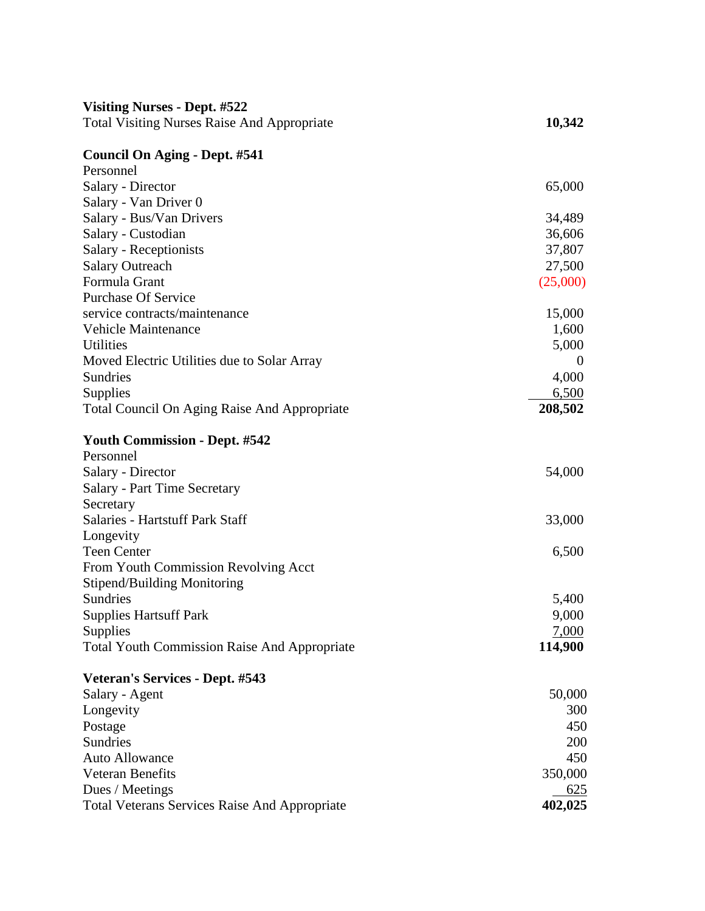| <b>Visiting Nurses - Dept. #522</b>                  |                |
|------------------------------------------------------|----------------|
| <b>Total Visiting Nurses Raise And Appropriate</b>   | 10,342         |
| <b>Council On Aging - Dept. #541</b>                 |                |
| Personnel                                            |                |
| Salary - Director                                    | 65,000         |
| Salary - Van Driver 0                                |                |
| Salary - Bus/Van Drivers                             | 34,489         |
| Salary - Custodian                                   | 36,606         |
| Salary - Receptionists                               | 37,807         |
| <b>Salary Outreach</b>                               | 27,500         |
| Formula Grant                                        | (25,000)       |
| <b>Purchase Of Service</b>                           |                |
| service contracts/maintenance                        | 15,000         |
| <b>Vehicle Maintenance</b>                           | 1,600          |
| <b>Utilities</b>                                     | 5,000          |
| Moved Electric Utilities due to Solar Array          | $\theta$       |
| Sundries                                             | 4,000          |
| <b>Supplies</b>                                      | 6,500          |
| <b>Total Council On Aging Raise And Appropriate</b>  | 208,502        |
| <b>Youth Commission - Dept. #542</b>                 |                |
| Personnel                                            |                |
| Salary - Director                                    | 54,000         |
| Salary - Part Time Secretary                         |                |
| Secretary                                            |                |
| <b>Salaries - Hartstuff Park Staff</b>               | 33,000         |
| Longevity                                            |                |
| <b>Teen Center</b>                                   | 6,500          |
| From Youth Commission Revolving Acct                 |                |
| Stipend/Building Monitoring                          |                |
| Sundries<br><b>Supplies Hartsuff Park</b>            | 5,400<br>9,000 |
| <b>Supplies</b>                                      | 7,000          |
| <b>Total Youth Commission Raise And Appropriate</b>  | 114,900        |
|                                                      |                |
| Veteran's Services - Dept. #543                      |                |
| Salary - Agent                                       | 50,000         |
| Longevity                                            | 300            |
| Postage                                              | 450            |
| <b>Sundries</b>                                      | 200            |
| <b>Auto Allowance</b>                                | 450            |
| <b>Veteran Benefits</b>                              | 350,000        |
| Dues / Meetings                                      | 625            |
| <b>Total Veterans Services Raise And Appropriate</b> | 402,025        |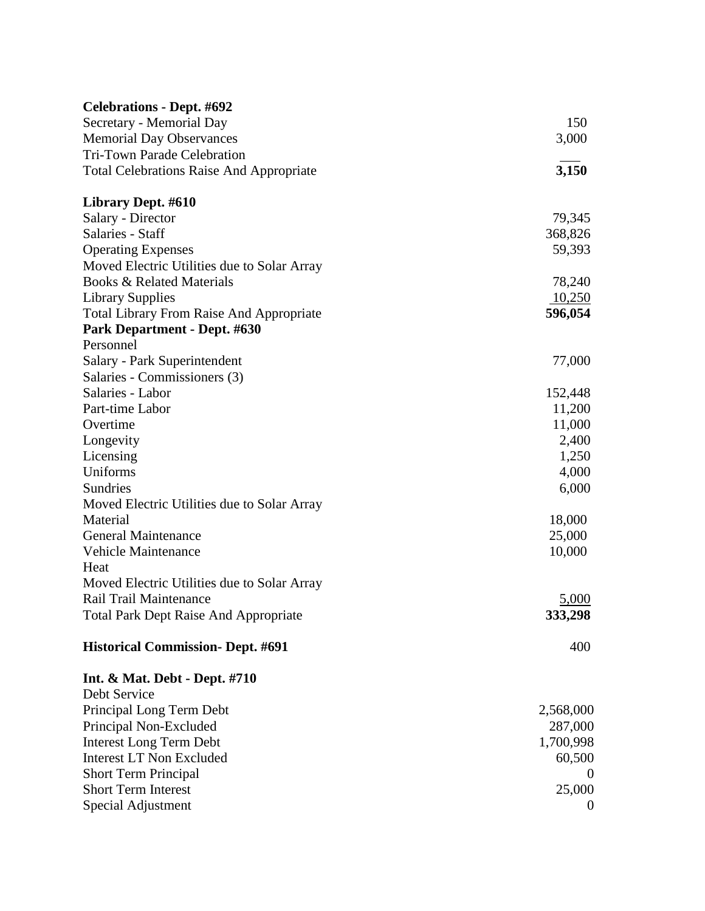| <b>Celebrations - Dept. #692</b>                        |                  |
|---------------------------------------------------------|------------------|
| Secretary - Memorial Day                                | 150              |
| <b>Memorial Day Observances</b>                         | 3,000            |
| <b>Tri-Town Parade Celebration</b>                      |                  |
| <b>Total Celebrations Raise And Appropriate</b>         | 3,150            |
| Library Dept. #610                                      |                  |
| Salary - Director                                       | 79,345           |
| Salaries - Staff                                        | 368,826          |
| <b>Operating Expenses</b>                               | 59,393           |
| Moved Electric Utilities due to Solar Array             |                  |
| Books & Related Materials                               | 78,240           |
| <b>Library Supplies</b>                                 | 10,250           |
| <b>Total Library From Raise And Appropriate</b>         | 596,054          |
| Park Department - Dept. #630                            |                  |
| Personnel                                               |                  |
| Salary - Park Superintendent                            | 77,000           |
| Salaries - Commissioners (3)                            |                  |
| Salaries - Labor                                        | 152,448          |
| Part-time Labor                                         | 11,200           |
| Overtime                                                | 11,000           |
| Longevity                                               | 2,400            |
| Licensing                                               | 1,250            |
| Uniforms                                                | 4,000            |
| Sundries                                                | 6,000            |
| Moved Electric Utilities due to Solar Array<br>Material |                  |
| <b>General Maintenance</b>                              | 18,000<br>25,000 |
| <b>Vehicle Maintenance</b>                              | 10,000           |
| Heat                                                    |                  |
| Moved Electric Utilities due to Solar Array             |                  |
| Rail Trail Maintenance                                  | 5,000            |
| <b>Total Park Dept Raise And Appropriate</b>            | 333,298          |
|                                                         |                  |
| <b>Historical Commission- Dept. #691</b>                | 400              |
| <b>Int. &amp; Mat. Debt - Dept. #710</b>                |                  |
| Debt Service                                            |                  |
| Principal Long Term Debt                                | 2,568,000        |
| Principal Non-Excluded                                  | 287,000          |
| <b>Interest Long Term Debt</b>                          | 1,700,998        |
| <b>Interest LT Non Excluded</b>                         | 60,500           |
| <b>Short Term Principal</b>                             | $\theta$         |
| <b>Short Term Interest</b>                              | 25,000           |
| Special Adjustment                                      | $\theta$         |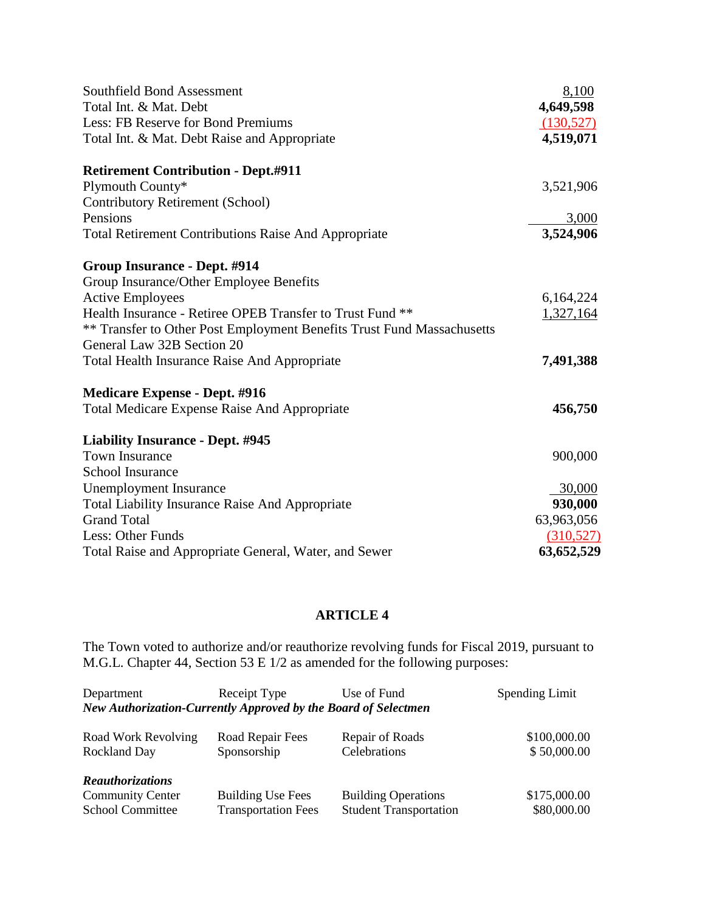| Southfield Bond Assessment                                             | 8,100      |
|------------------------------------------------------------------------|------------|
| Total Int. & Mat. Debt                                                 | 4,649,598  |
| Less: FB Reserve for Bond Premiums                                     | (130, 527) |
| Total Int. & Mat. Debt Raise and Appropriate                           | 4,519,071  |
| <b>Retirement Contribution - Dept.#911</b>                             |            |
| Plymouth County*                                                       | 3,521,906  |
| Contributory Retirement (School)                                       |            |
| Pensions                                                               | 3,000      |
| <b>Total Retirement Contributions Raise And Appropriate</b>            | 3,524,906  |
| Group Insurance - Dept. #914                                           |            |
| Group Insurance/Other Employee Benefits                                |            |
| <b>Active Employees</b>                                                | 6,164,224  |
| Health Insurance - Retiree OPEB Transfer to Trust Fund **              | 1,327,164  |
| ** Transfer to Other Post Employment Benefits Trust Fund Massachusetts |            |
| General Law 32B Section 20                                             |            |
| <b>Total Health Insurance Raise And Appropriate</b>                    | 7,491,388  |
| <b>Medicare Expense - Dept. #916</b>                                   |            |
| <b>Total Medicare Expense Raise And Appropriate</b>                    | 456,750    |
| <b>Liability Insurance - Dept. #945</b>                                |            |
| <b>Town Insurance</b>                                                  | 900,000    |
| <b>School Insurance</b>                                                |            |
| <b>Unemployment Insurance</b>                                          | 30,000     |
| <b>Total Liability Insurance Raise And Appropriate</b>                 | 930,000    |
| <b>Grand Total</b>                                                     | 63,963,056 |
| Less: Other Funds                                                      | (310,527)  |
| Total Raise and Appropriate General, Water, and Sewer                  | 63,652,529 |

## **ARTICLE 4**

The Town voted to authorize and/or reauthorize revolving funds for Fiscal 2019, pursuant to M.G.L. Chapter 44, Section 53 E 1/2 as amended for the following purposes:

| Department                                                     | Receipt Type               | Use of Fund                   | Spending Limit |  |
|----------------------------------------------------------------|----------------------------|-------------------------------|----------------|--|
| New Authorization-Currently Approved by the Board of Selectmen |                            |                               |                |  |
| Road Work Revolving                                            | Road Repair Fees           | Repair of Roads               | \$100,000.00   |  |
| <b>Rockland Day</b>                                            | Sponsorship                | Celebrations                  | \$50,000.00    |  |
| Reauthorizations                                               |                            |                               |                |  |
| <b>Community Center</b>                                        | <b>Building Use Fees</b>   | <b>Building Operations</b>    | \$175,000.00   |  |
| <b>School Committee</b>                                        | <b>Transportation Fees</b> | <b>Student Transportation</b> | \$80,000.00    |  |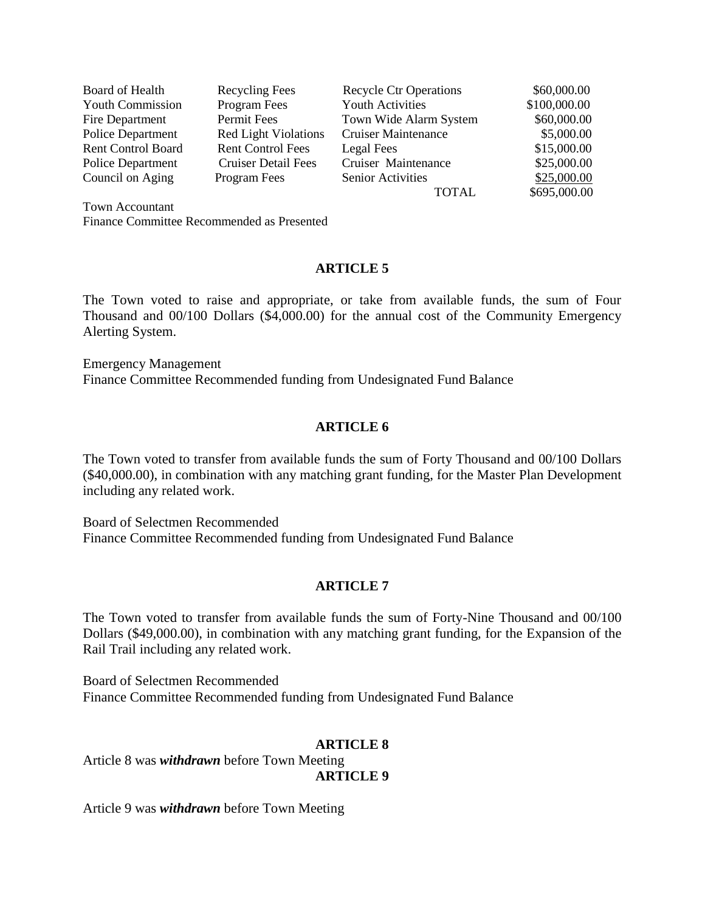| Board of Health           | Recycling Fees              | <b>Recycle Ctr Operations</b> | \$60,000.00  |
|---------------------------|-----------------------------|-------------------------------|--------------|
| <b>Youth Commission</b>   | Program Fees                | <b>Youth Activities</b>       | \$100,000.00 |
| Fire Department           | Permit Fees                 | Town Wide Alarm System        | \$60,000.00  |
| Police Department         | <b>Red Light Violations</b> | <b>Cruiser Maintenance</b>    | \$5,000.00   |
| <b>Rent Control Board</b> | <b>Rent Control Fees</b>    | Legal Fees                    | \$15,000.00  |
| <b>Police Department</b>  | <b>Cruiser Detail Fees</b>  | Cruiser Maintenance           | \$25,000.00  |
| Council on Aging          | Program Fees                | <b>Senior Activities</b>      | \$25,000.00  |
|                           |                             | <b>TOTAL</b>                  | \$695,000.00 |

Town Accountant Finance Committee Recommended as Presented

#### **ARTICLE 5**

The Town voted to raise and appropriate, or take from available funds, the sum of Four Thousand and 00/100 Dollars (\$4,000.00) for the annual cost of the Community Emergency Alerting System.

Emergency Management Finance Committee Recommended funding from Undesignated Fund Balance

#### **ARTICLE 6**

The Town voted to transfer from available funds the sum of Forty Thousand and 00/100 Dollars (\$40,000.00), in combination with any matching grant funding, for the Master Plan Development including any related work.

Board of Selectmen Recommended Finance Committee Recommended funding from Undesignated Fund Balance

#### **ARTICLE 7**

The Town voted to transfer from available funds the sum of Forty-Nine Thousand and 00/100 Dollars (\$49,000.00), in combination with any matching grant funding, for the Expansion of the Rail Trail including any related work.

Board of Selectmen Recommended Finance Committee Recommended funding from Undesignated Fund Balance

#### **ARTICLE 8**

Article 8 was *withdrawn* before Town Meeting **ARTICLE 9**

Article 9 was *withdrawn* before Town Meeting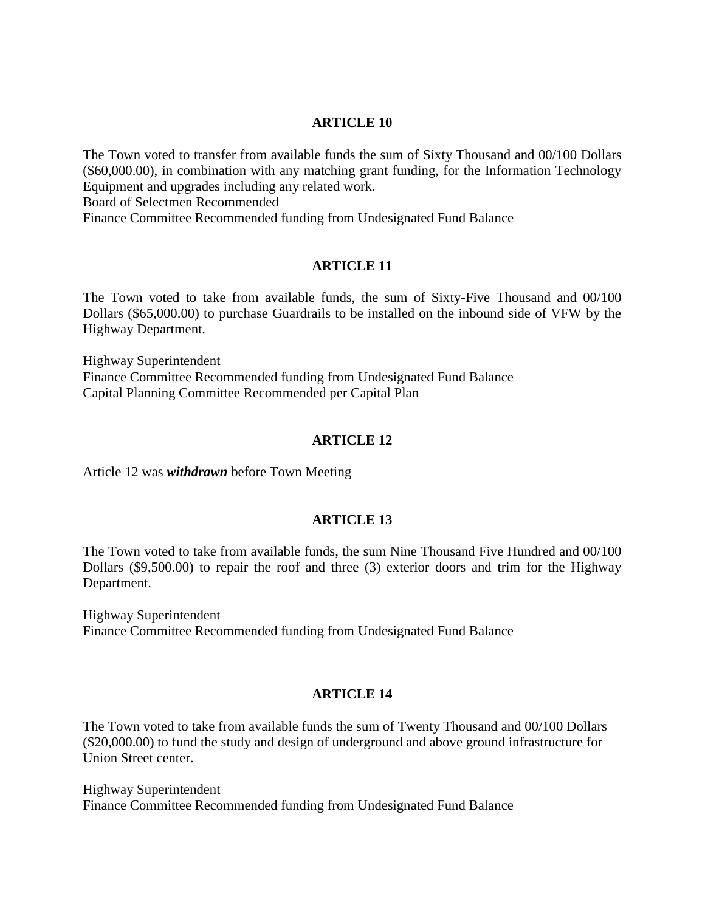#### **ARTICLE 10**

The Town voted to transfer from available funds the sum of Sixty Thousand and 00/100 Dollars (\$60,000.00), in combination with any matching grant funding, for the Information Technology Equipment and upgrades including any related work.

Board of Selectmen Recommended

Finance Committee Recommended funding from Undesignated Fund Balance

## **ARTICLE 11**

The Town voted to take from available funds, the sum of Sixty-Five Thousand and 00/100 Dollars (\$65,000.00) to purchase Guardrails to be installed on the inbound side of VFW by the Highway Department.

Highway Superintendent Finance Committee Recommended funding from Undesignated Fund Balance Capital Planning Committee Recommended per Capital Plan

#### **ARTICLE 12**

Article 12 was *withdrawn* before Town Meeting

#### **ARTICLE 13**

The Town voted to take from available funds, the sum Nine Thousand Five Hundred and 00/100 Dollars (\$9,500.00) to repair the roof and three (3) exterior doors and trim for the Highway Department.

Highway Superintendent Finance Committee Recommended funding from Undesignated Fund Balance

### **ARTICLE 14**

The Town voted to take from available funds the sum of Twenty Thousand and 00/100 Dollars (\$20,000.00) to fund the study and design of underground and above ground infrastructure for Union Street center.

Highway Superintendent Finance Committee Recommended funding from Undesignated Fund Balance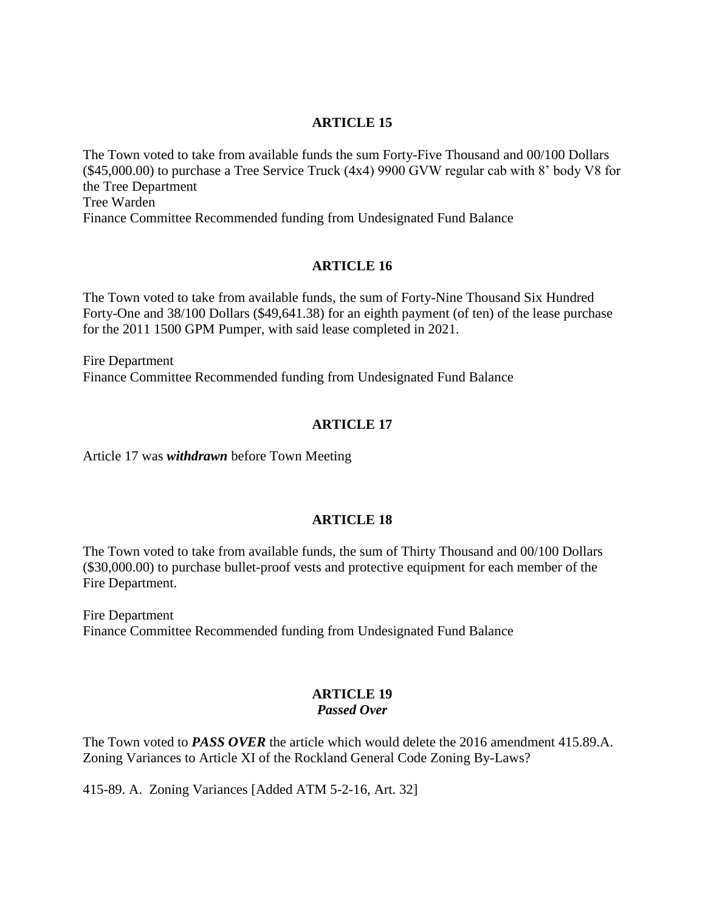### **ARTICLE 15**

The Town voted to take from available funds the sum Forty-Five Thousand and 00/100 Dollars (\$45,000.00) to purchase a Tree Service Truck (4x4) 9900 GVW regular cab with 8' body V8 for the Tree Department Tree Warden Finance Committee Recommended funding from Undesignated Fund Balance

## **ARTICLE 16**

The Town voted to take from available funds, the sum of Forty-Nine Thousand Six Hundred Forty-One and 38/100 Dollars (\$49,641.38) for an eighth payment (of ten) of the lease purchase for the 2011 1500 GPM Pumper, with said lease completed in 2021.

Fire Department Finance Committee Recommended funding from Undesignated Fund Balance

## **ARTICLE 17**

Article 17 was *withdrawn* before Town Meeting

### **ARTICLE 18**

The Town voted to take from available funds, the sum of Thirty Thousand and 00/100 Dollars (\$30,000.00) to purchase bullet-proof vests and protective equipment for each member of the Fire Department.

Fire Department Finance Committee Recommended funding from Undesignated Fund Balance

#### **ARTICLE 19** *Passed Over*

The Town voted to *PASS OVER* the article which would delete the 2016 amendment 415.89.A. Zoning Variances to Article XI of the Rockland General Code Zoning By-Laws?

415-89. A. Zoning Variances [Added ATM 5-2-16, Art. 32]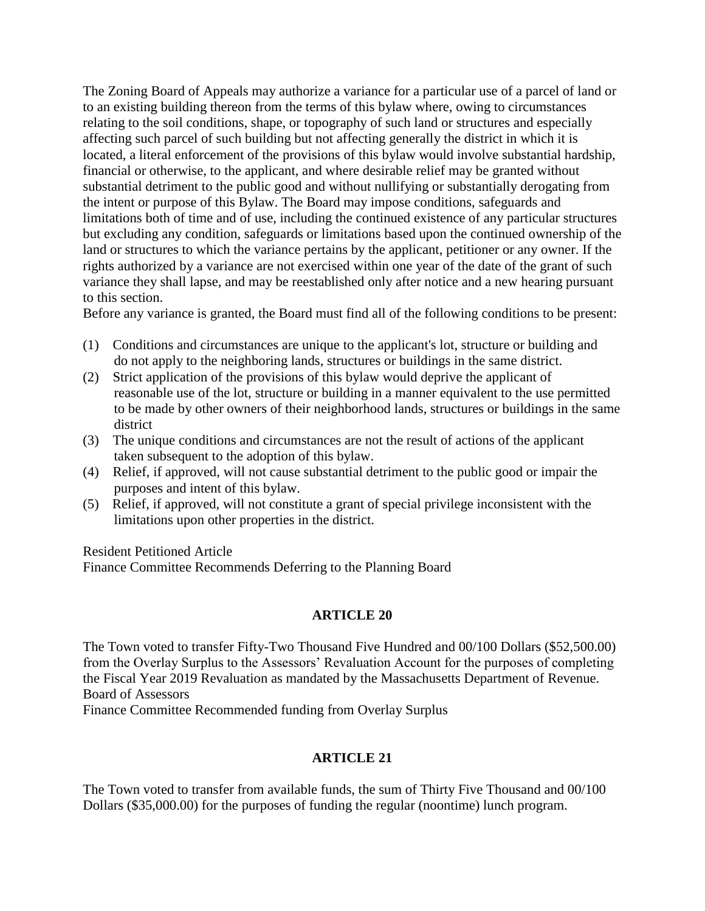The Zoning Board of Appeals may authorize a variance for a particular use of a parcel of land or to an existing building thereon from the terms of this bylaw where, owing to circumstances relating to the soil conditions, shape, or topography of such land or structures and especially affecting such parcel of such building but not affecting generally the district in which it is located, a literal enforcement of the provisions of this bylaw would involve substantial hardship, financial or otherwise, to the applicant, and where desirable relief may be granted without substantial detriment to the public good and without nullifying or substantially derogating from the intent or purpose of this Bylaw. The Board may impose conditions, safeguards and limitations both of time and of use, including the continued existence of any particular structures but excluding any condition, safeguards or limitations based upon the continued ownership of the land or structures to which the variance pertains by the applicant, petitioner or any owner. If the rights authorized by a variance are not exercised within one year of the date of the grant of such variance they shall lapse, and may be reestablished only after notice and a new hearing pursuant to this section.

Before any variance is granted, the Board must find all of the following conditions to be present:

- (1) Conditions and circumstances are unique to the applicant's lot, structure or building and do not apply to the neighboring lands, structures or buildings in the same district.
- (2) Strict application of the provisions of this bylaw would deprive the applicant of reasonable use of the lot, structure or building in a manner equivalent to the use permitted to be made by other owners of their neighborhood lands, structures or buildings in the same district
- (3) The unique conditions and circumstances are not the result of actions of the applicant taken subsequent to the adoption of this bylaw.
- (4) Relief, if approved, will not cause substantial detriment to the public good or impair the purposes and intent of this bylaw.
- (5) Relief, if approved, will not constitute a grant of special privilege inconsistent with the limitations upon other properties in the district.

Resident Petitioned Article

Finance Committee Recommends Deferring to the Planning Board

## **ARTICLE 20**

The Town voted to transfer Fifty-Two Thousand Five Hundred and 00/100 Dollars (\$52,500.00) from the Overlay Surplus to the Assessors' Revaluation Account for the purposes of completing the Fiscal Year 2019 Revaluation as mandated by the Massachusetts Department of Revenue. Board of Assessors

Finance Committee Recommended funding from Overlay Surplus

## **ARTICLE 21**

The Town voted to transfer from available funds, the sum of Thirty Five Thousand and 00/100 Dollars (\$35,000.00) for the purposes of funding the regular (noontime) lunch program.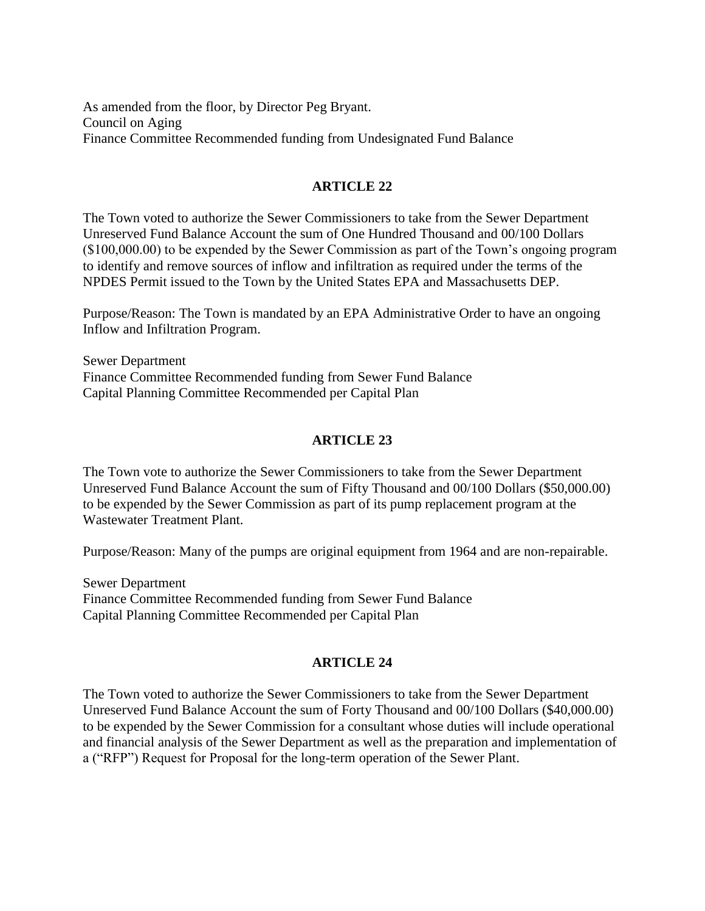As amended from the floor, by Director Peg Bryant. Council on Aging Finance Committee Recommended funding from Undesignated Fund Balance

### **ARTICLE 22**

The Town voted to authorize the Sewer Commissioners to take from the Sewer Department Unreserved Fund Balance Account the sum of One Hundred Thousand and 00/100 Dollars (\$100,000.00) to be expended by the Sewer Commission as part of the Town's ongoing program to identify and remove sources of inflow and infiltration as required under the terms of the NPDES Permit issued to the Town by the United States EPA and Massachusetts DEP.

Purpose/Reason: The Town is mandated by an EPA Administrative Order to have an ongoing Inflow and Infiltration Program.

Sewer Department Finance Committee Recommended funding from Sewer Fund Balance Capital Planning Committee Recommended per Capital Plan

## **ARTICLE 23**

The Town vote to authorize the Sewer Commissioners to take from the Sewer Department Unreserved Fund Balance Account the sum of Fifty Thousand and 00/100 Dollars (\$50,000.00) to be expended by the Sewer Commission as part of its pump replacement program at the Wastewater Treatment Plant.

Purpose/Reason: Many of the pumps are original equipment from 1964 and are non-repairable.

Sewer Department Finance Committee Recommended funding from Sewer Fund Balance Capital Planning Committee Recommended per Capital Plan

### **ARTICLE 24**

The Town voted to authorize the Sewer Commissioners to take from the Sewer Department Unreserved Fund Balance Account the sum of Forty Thousand and 00/100 Dollars (\$40,000.00) to be expended by the Sewer Commission for a consultant whose duties will include operational and financial analysis of the Sewer Department as well as the preparation and implementation of a ("RFP") Request for Proposal for the long-term operation of the Sewer Plant.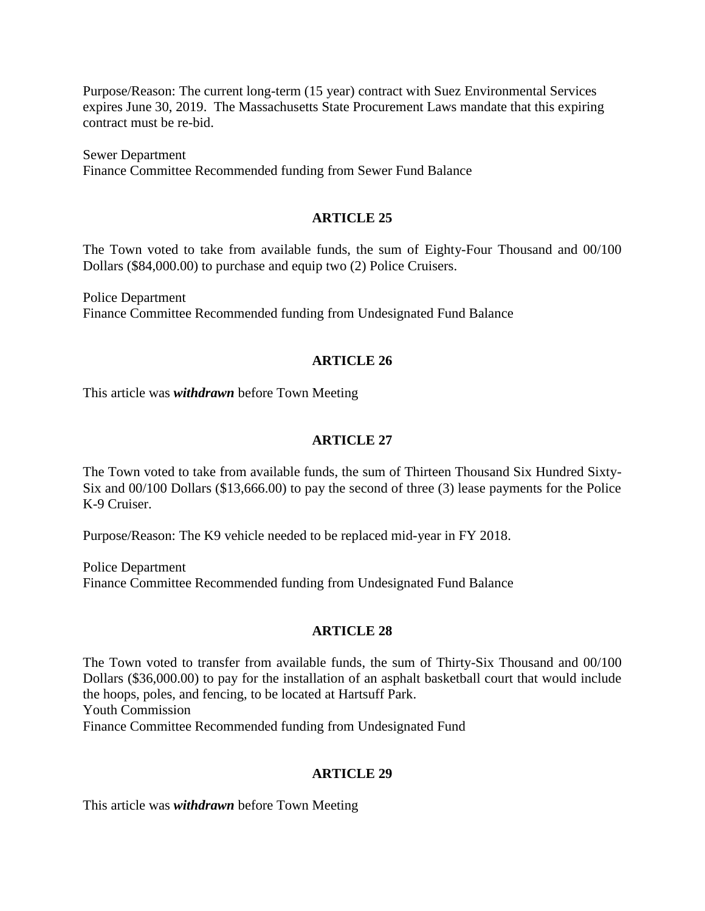Purpose/Reason: The current long-term (15 year) contract with Suez Environmental Services expires June 30, 2019. The Massachusetts State Procurement Laws mandate that this expiring contract must be re-bid.

Sewer Department Finance Committee Recommended funding from Sewer Fund Balance

#### **ARTICLE 25**

The Town voted to take from available funds, the sum of Eighty-Four Thousand and 00/100 Dollars (\$84,000.00) to purchase and equip two (2) Police Cruisers.

Police Department Finance Committee Recommended funding from Undesignated Fund Balance

### **ARTICLE 26**

This article was *withdrawn* before Town Meeting

#### **ARTICLE 27**

The Town voted to take from available funds, the sum of Thirteen Thousand Six Hundred Sixty-Six and 00/100 Dollars (\$13,666.00) to pay the second of three (3) lease payments for the Police K-9 Cruiser.

Purpose/Reason: The K9 vehicle needed to be replaced mid-year in FY 2018.

Police Department Finance Committee Recommended funding from Undesignated Fund Balance

#### **ARTICLE 28**

The Town voted to transfer from available funds, the sum of Thirty-Six Thousand and 00/100 Dollars (\$36,000.00) to pay for the installation of an asphalt basketball court that would include the hoops, poles, and fencing, to be located at Hartsuff Park. Youth Commission Finance Committee Recommended funding from Undesignated Fund

#### **ARTICLE 29**

This article was *withdrawn* before Town Meeting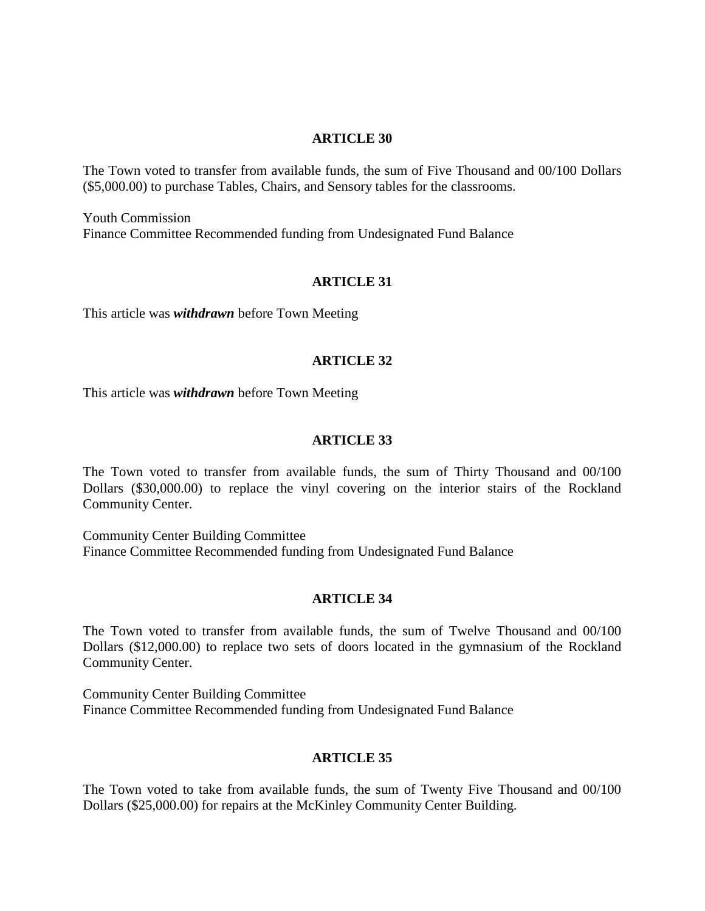#### **ARTICLE 30**

The Town voted to transfer from available funds, the sum of Five Thousand and 00/100 Dollars (\$5,000.00) to purchase Tables, Chairs, and Sensory tables for the classrooms.

Youth Commission Finance Committee Recommended funding from Undesignated Fund Balance

#### **ARTICLE 31**

This article was *withdrawn* before Town Meeting

#### **ARTICLE 32**

This article was *withdrawn* before Town Meeting

#### **ARTICLE 33**

The Town voted to transfer from available funds, the sum of Thirty Thousand and 00/100 Dollars (\$30,000.00) to replace the vinyl covering on the interior stairs of the Rockland Community Center.

Community Center Building Committee Finance Committee Recommended funding from Undesignated Fund Balance

#### **ARTICLE 34**

The Town voted to transfer from available funds, the sum of Twelve Thousand and 00/100 Dollars (\$12,000.00) to replace two sets of doors located in the gymnasium of the Rockland Community Center.

Community Center Building Committee Finance Committee Recommended funding from Undesignated Fund Balance

#### **ARTICLE 35**

The Town voted to take from available funds, the sum of Twenty Five Thousand and 00/100 Dollars (\$25,000.00) for repairs at the McKinley Community Center Building.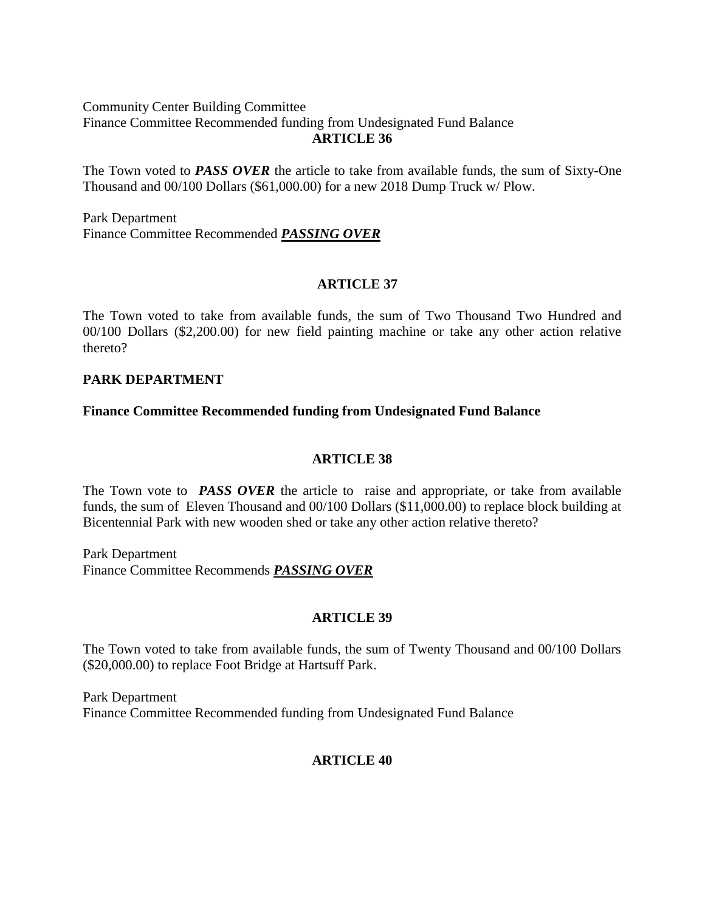#### Community Center Building Committee Finance Committee Recommended funding from Undesignated Fund Balance **ARTICLE 36**

The Town voted to *PASS OVER* the article to take from available funds, the sum of Sixty-One Thousand and 00/100 Dollars (\$61,000.00) for a new 2018 Dump Truck w/ Plow.

Park Department Finance Committee Recommended *PASSING OVER*

## **ARTICLE 37**

The Town voted to take from available funds, the sum of Two Thousand Two Hundred and 00/100 Dollars (\$2,200.00) for new field painting machine or take any other action relative thereto?

## **PARK DEPARTMENT**

## **Finance Committee Recommended funding from Undesignated Fund Balance**

## **ARTICLE 38**

The Town vote to *PASS OVER* the article to raise and appropriate, or take from available funds, the sum of Eleven Thousand and 00/100 Dollars (\$11,000.00) to replace block building at Bicentennial Park with new wooden shed or take any other action relative thereto?

Park Department Finance Committee Recommends *PASSING OVER*

## **ARTICLE 39**

The Town voted to take from available funds, the sum of Twenty Thousand and 00/100 Dollars (\$20,000.00) to replace Foot Bridge at Hartsuff Park.

Park Department Finance Committee Recommended funding from Undesignated Fund Balance

## **ARTICLE 40**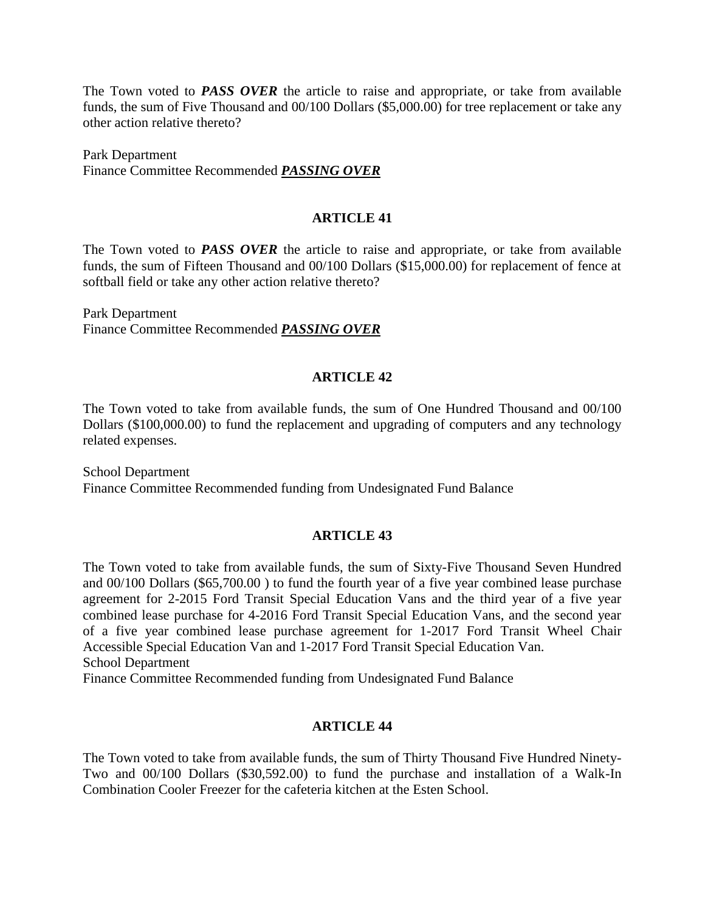The Town voted to *PASS OVER* the article to raise and appropriate, or take from available funds, the sum of Five Thousand and 00/100 Dollars (\$5,000.00) for tree replacement or take any other action relative thereto?

Park Department Finance Committee Recommended *PASSING OVER*

#### **ARTICLE 41**

The Town voted to *PASS OVER* the article to raise and appropriate, or take from available funds, the sum of Fifteen Thousand and 00/100 Dollars (\$15,000.00) for replacement of fence at softball field or take any other action relative thereto?

Park Department Finance Committee Recommended *PASSING OVER*

### **ARTICLE 42**

The Town voted to take from available funds, the sum of One Hundred Thousand and 00/100 Dollars (\$100,000.00) to fund the replacement and upgrading of computers and any technology related expenses.

School Department Finance Committee Recommended funding from Undesignated Fund Balance

#### **ARTICLE 43**

The Town voted to take from available funds, the sum of Sixty-Five Thousand Seven Hundred and 00/100 Dollars (\$65,700.00 ) to fund the fourth year of a five year combined lease purchase agreement for 2-2015 Ford Transit Special Education Vans and the third year of a five year combined lease purchase for 4-2016 Ford Transit Special Education Vans, and the second year of a five year combined lease purchase agreement for 1-2017 Ford Transit Wheel Chair Accessible Special Education Van and 1-2017 Ford Transit Special Education Van. School Department

Finance Committee Recommended funding from Undesignated Fund Balance

#### **ARTICLE 44**

The Town voted to take from available funds, the sum of Thirty Thousand Five Hundred Ninety-Two and 00/100 Dollars (\$30,592.00) to fund the purchase and installation of a Walk-In Combination Cooler Freezer for the cafeteria kitchen at the Esten School.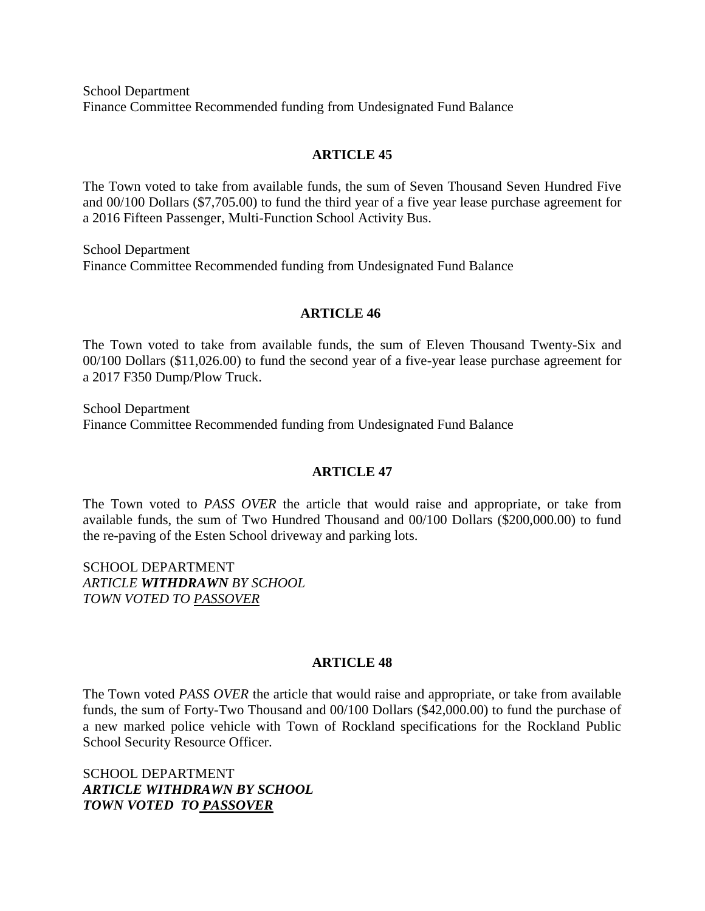School Department Finance Committee Recommended funding from Undesignated Fund Balance

#### **ARTICLE 45**

The Town voted to take from available funds, the sum of Seven Thousand Seven Hundred Five and 00/100 Dollars (\$7,705.00) to fund the third year of a five year lease purchase agreement for a 2016 Fifteen Passenger, Multi-Function School Activity Bus.

School Department Finance Committee Recommended funding from Undesignated Fund Balance

#### **ARTICLE 46**

The Town voted to take from available funds, the sum of Eleven Thousand Twenty-Six and 00/100 Dollars (\$11,026.00) to fund the second year of a five-year lease purchase agreement for a 2017 F350 Dump/Plow Truck.

School Department Finance Committee Recommended funding from Undesignated Fund Balance

### **ARTICLE 47**

The Town voted to *PASS OVER* the article that would raise and appropriate, or take from available funds, the sum of Two Hundred Thousand and 00/100 Dollars (\$200,000.00) to fund the re-paving of the Esten School driveway and parking lots.

SCHOOL DEPARTMENT *ARTICLE WITHDRAWN BY SCHOOL TOWN VOTED TO PASSOVER*

#### **ARTICLE 48**

The Town voted *PASS OVER* the article that would raise and appropriate, or take from available funds, the sum of Forty-Two Thousand and 00/100 Dollars (\$42,000.00) to fund the purchase of a new marked police vehicle with Town of Rockland specifications for the Rockland Public School Security Resource Officer.

SCHOOL DEPARTMENT *ARTICLE WITHDRAWN BY SCHOOL TOWN VOTED TO PASSOVER*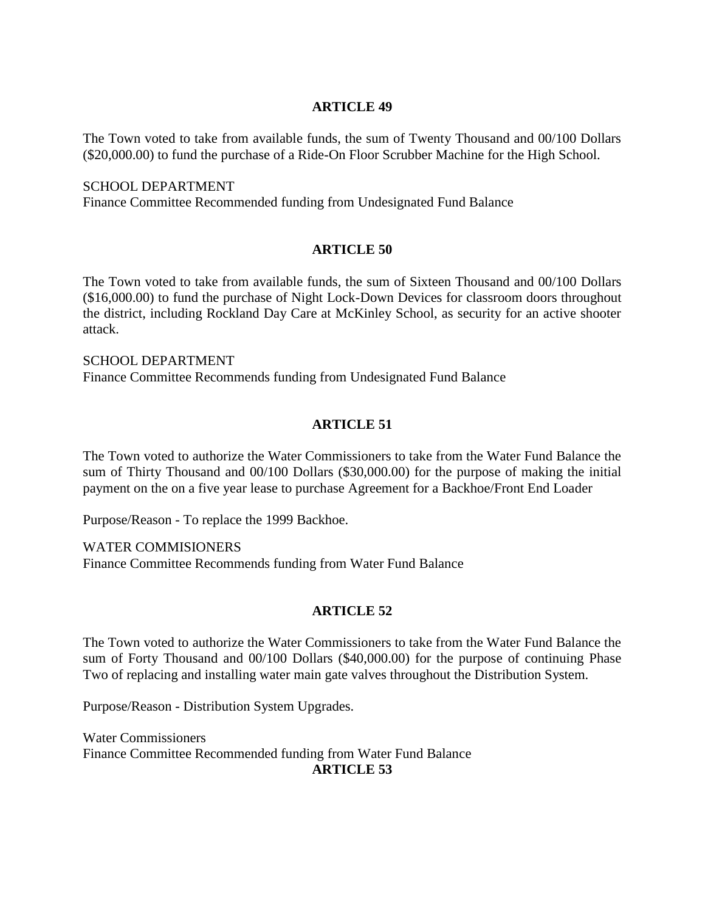#### **ARTICLE 49**

The Town voted to take from available funds, the sum of Twenty Thousand and 00/100 Dollars (\$20,000.00) to fund the purchase of a Ride-On Floor Scrubber Machine for the High School.

#### SCHOOL DEPARTMENT

Finance Committee Recommended funding from Undesignated Fund Balance

#### **ARTICLE 50**

The Town voted to take from available funds, the sum of Sixteen Thousand and 00/100 Dollars (\$16,000.00) to fund the purchase of Night Lock-Down Devices for classroom doors throughout the district, including Rockland Day Care at McKinley School, as security for an active shooter attack.

SCHOOL DEPARTMENT Finance Committee Recommends funding from Undesignated Fund Balance

### **ARTICLE 51**

The Town voted to authorize the Water Commissioners to take from the Water Fund Balance the sum of Thirty Thousand and 00/100 Dollars (\$30,000.00) for the purpose of making the initial payment on the on a five year lease to purchase Agreement for a Backhoe/Front End Loader

Purpose/Reason - To replace the 1999 Backhoe.

WATER COMMISIONERS

Finance Committee Recommends funding from Water Fund Balance

#### **ARTICLE 52**

The Town voted to authorize the Water Commissioners to take from the Water Fund Balance the sum of Forty Thousand and 00/100 Dollars (\$40,000.00) for the purpose of continuing Phase Two of replacing and installing water main gate valves throughout the Distribution System.

Purpose/Reason - Distribution System Upgrades.

Water Commissioners Finance Committee Recommended funding from Water Fund Balance **ARTICLE 53**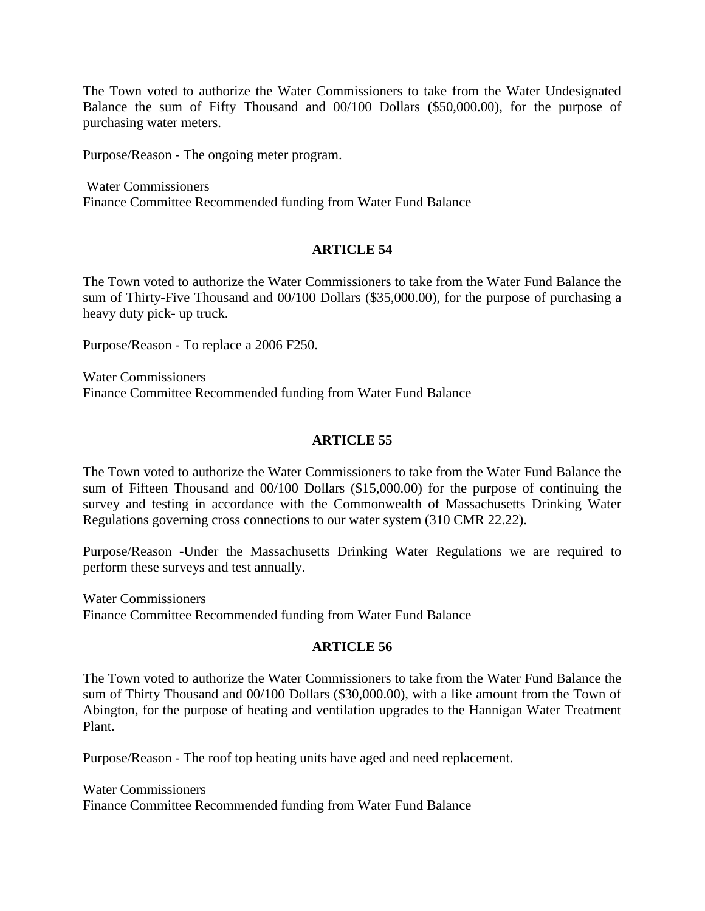The Town voted to authorize the Water Commissioners to take from the Water Undesignated Balance the sum of Fifty Thousand and 00/100 Dollars (\$50,000.00), for the purpose of purchasing water meters.

Purpose/Reason - The ongoing meter program.

Water Commissioners Finance Committee Recommended funding from Water Fund Balance

## **ARTICLE 54**

The Town voted to authorize the Water Commissioners to take from the Water Fund Balance the sum of Thirty-Five Thousand and 00/100 Dollars (\$35,000.00), for the purpose of purchasing a heavy duty pick- up truck.

Purpose/Reason - To replace a 2006 F250.

Water Commissioners Finance Committee Recommended funding from Water Fund Balance

### **ARTICLE 55**

The Town voted to authorize the Water Commissioners to take from the Water Fund Balance the sum of Fifteen Thousand and 00/100 Dollars (\$15,000.00) for the purpose of continuing the survey and testing in accordance with the Commonwealth of Massachusetts Drinking Water Regulations governing cross connections to our water system (310 CMR 22.22).

Purpose/Reason -Under the Massachusetts Drinking Water Regulations we are required to perform these surveys and test annually.

Water Commissioners Finance Committee Recommended funding from Water Fund Balance

### **ARTICLE 56**

The Town voted to authorize the Water Commissioners to take from the Water Fund Balance the sum of Thirty Thousand and 00/100 Dollars (\$30,000.00), with a like amount from the Town of Abington, for the purpose of heating and ventilation upgrades to the Hannigan Water Treatment Plant.

Purpose/Reason - The roof top heating units have aged and need replacement.

Water Commissioners Finance Committee Recommended funding from Water Fund Balance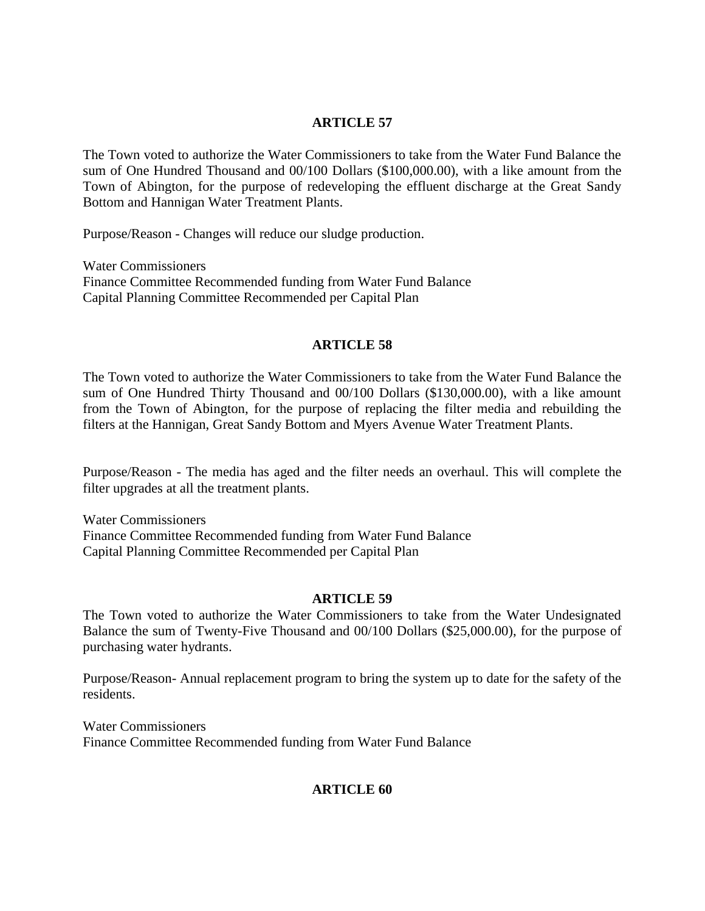### **ARTICLE 57**

The Town voted to authorize the Water Commissioners to take from the Water Fund Balance the sum of One Hundred Thousand and 00/100 Dollars (\$100,000.00), with a like amount from the Town of Abington, for the purpose of redeveloping the effluent discharge at the Great Sandy Bottom and Hannigan Water Treatment Plants.

Purpose/Reason - Changes will reduce our sludge production.

Water Commissioners Finance Committee Recommended funding from Water Fund Balance Capital Planning Committee Recommended per Capital Plan

#### **ARTICLE 58**

The Town voted to authorize the Water Commissioners to take from the Water Fund Balance the sum of One Hundred Thirty Thousand and 00/100 Dollars (\$130,000.00), with a like amount from the Town of Abington, for the purpose of replacing the filter media and rebuilding the filters at the Hannigan, Great Sandy Bottom and Myers Avenue Water Treatment Plants.

Purpose/Reason - The media has aged and the filter needs an overhaul. This will complete the filter upgrades at all the treatment plants.

Water Commissioners Finance Committee Recommended funding from Water Fund Balance Capital Planning Committee Recommended per Capital Plan

#### **ARTICLE 59**

The Town voted to authorize the Water Commissioners to take from the Water Undesignated Balance the sum of Twenty-Five Thousand and 00/100 Dollars (\$25,000.00), for the purpose of purchasing water hydrants.

Purpose/Reason- Annual replacement program to bring the system up to date for the safety of the residents.

Water Commissioners Finance Committee Recommended funding from Water Fund Balance

### **ARTICLE 60**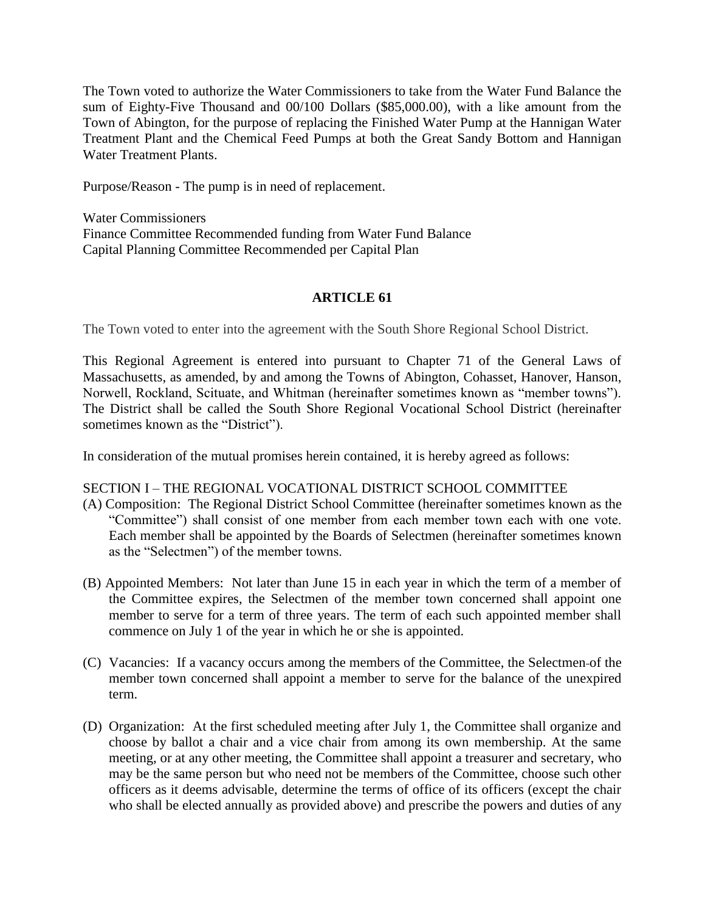The Town voted to authorize the Water Commissioners to take from the Water Fund Balance the sum of Eighty-Five Thousand and 00/100 Dollars (\$85,000.00), with a like amount from the Town of Abington, for the purpose of replacing the Finished Water Pump at the Hannigan Water Treatment Plant and the Chemical Feed Pumps at both the Great Sandy Bottom and Hannigan Water Treatment Plants.

Purpose/Reason - The pump is in need of replacement.

Water Commissioners Finance Committee Recommended funding from Water Fund Balance Capital Planning Committee Recommended per Capital Plan

## **ARTICLE 61**

The Town voted to enter into the agreement with the South Shore Regional School District.

This Regional Agreement is entered into pursuant to Chapter 71 of the General Laws of Massachusetts, as amended, by and among the Towns of Abington, Cohasset, Hanover, Hanson, Norwell, Rockland, Scituate, and Whitman (hereinafter sometimes known as "member towns"). The District shall be called the South Shore Regional Vocational School District (hereinafter sometimes known as the "District").

In consideration of the mutual promises herein contained, it is hereby agreed as follows:

### SECTION I – THE REGIONAL VOCATIONAL DISTRICT SCHOOL COMMITTEE

- (A) Composition: The Regional District School Committee (hereinafter sometimes known as the "Committee") shall consist of one member from each member town each with one vote. Each member shall be appointed by the Boards of Selectmen (hereinafter sometimes known as the "Selectmen") of the member towns.
- (B) Appointed Members: Not later than June 15 in each year in which the term of a member of the Committee expires, the Selectmen of the member town concerned shall appoint one member to serve for a term of three years. The term of each such appointed member shall commence on July 1 of the year in which he or she is appointed.
- (C) Vacancies: If a vacancy occurs among the members of the Committee, the Selectmen of the member town concerned shall appoint a member to serve for the balance of the unexpired term.
- (D) Organization: At the first scheduled meeting after July 1, the Committee shall organize and choose by ballot a chair and a vice chair from among its own membership. At the same meeting, or at any other meeting, the Committee shall appoint a treasurer and secretary, who may be the same person but who need not be members of the Committee, choose such other officers as it deems advisable, determine the terms of office of its officers (except the chair who shall be elected annually as provided above) and prescribe the powers and duties of any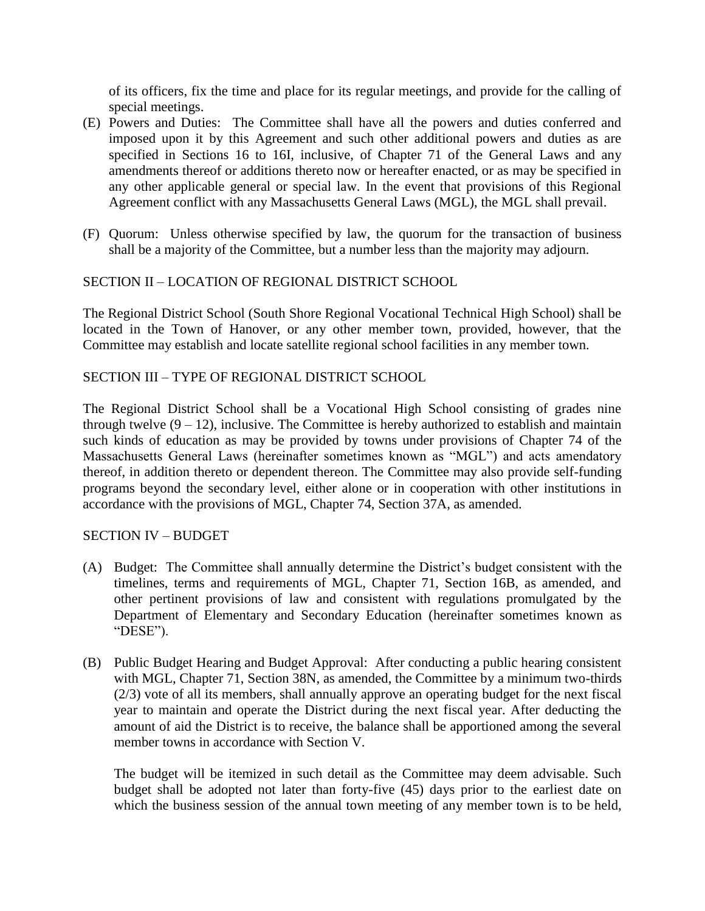of its officers, fix the time and place for its regular meetings, and provide for the calling of special meetings.

- (E) Powers and Duties: The Committee shall have all the powers and duties conferred and imposed upon it by this Agreement and such other additional powers and duties as are specified in Sections 16 to 16I, inclusive, of Chapter 71 of the General Laws and any amendments thereof or additions thereto now or hereafter enacted, or as may be specified in any other applicable general or special law. In the event that provisions of this Regional Agreement conflict with any Massachusetts General Laws (MGL), the MGL shall prevail.
- (F) Quorum: Unless otherwise specified by law, the quorum for the transaction of business shall be a majority of the Committee, but a number less than the majority may adjourn.

## SECTION II – LOCATION OF REGIONAL DISTRICT SCHOOL

The Regional District School (South Shore Regional Vocational Technical High School) shall be located in the Town of Hanover, or any other member town, provided, however, that the Committee may establish and locate satellite regional school facilities in any member town.

### SECTION III – TYPE OF REGIONAL DISTRICT SCHOOL

The Regional District School shall be a Vocational High School consisting of grades nine through twelve  $(9 - 12)$ , inclusive. The Committee is hereby authorized to establish and maintain such kinds of education as may be provided by towns under provisions of Chapter 74 of the Massachusetts General Laws (hereinafter sometimes known as "MGL") and acts amendatory thereof, in addition thereto or dependent thereon. The Committee may also provide self-funding programs beyond the secondary level, either alone or in cooperation with other institutions in accordance with the provisions of MGL, Chapter 74, Section 37A, as amended.

### SECTION IV – BUDGET

- (A) Budget: The Committee shall annually determine the District's budget consistent with the timelines, terms and requirements of MGL, Chapter 71, Section 16B, as amended, and other pertinent provisions of law and consistent with regulations promulgated by the Department of Elementary and Secondary Education (hereinafter sometimes known as "DESE").
- (B) Public Budget Hearing and Budget Approval: After conducting a public hearing consistent with MGL, Chapter 71, Section 38N, as amended, the Committee by a minimum two-thirds (2/3) vote of all its members, shall annually approve an operating budget for the next fiscal year to maintain and operate the District during the next fiscal year. After deducting the amount of aid the District is to receive, the balance shall be apportioned among the several member towns in accordance with Section V.

The budget will be itemized in such detail as the Committee may deem advisable. Such budget shall be adopted not later than forty-five (45) days prior to the earliest date on which the business session of the annual town meeting of any member town is to be held,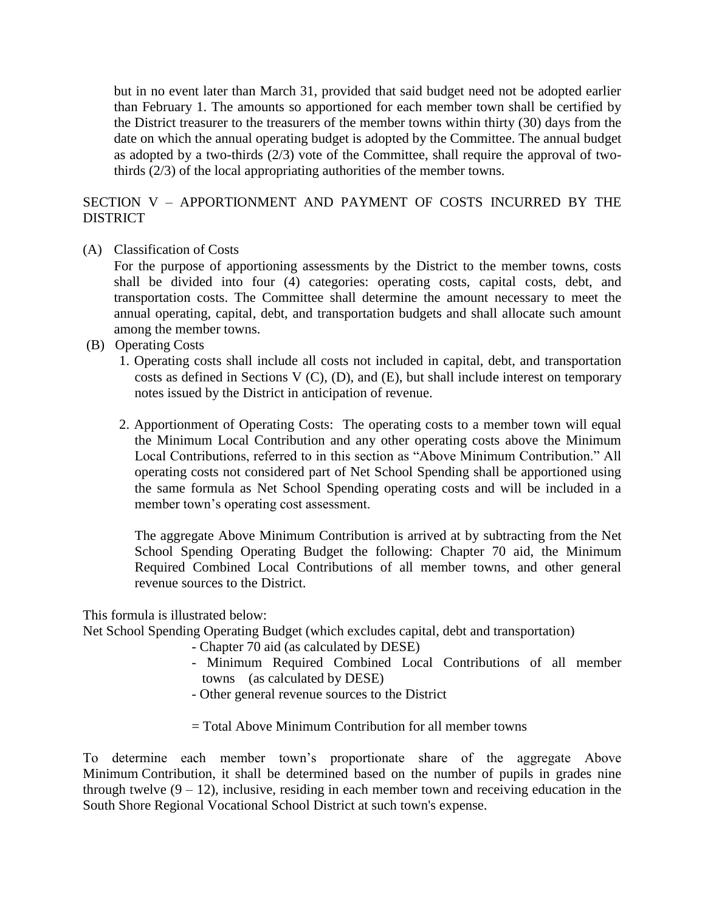but in no event later than March 31, provided that said budget need not be adopted earlier than February 1. The amounts so apportioned for each member town shall be certified by the District treasurer to the treasurers of the member towns within thirty (30) days from the date on which the annual operating budget is adopted by the Committee. The annual budget as adopted by a two-thirds (2/3) vote of the Committee, shall require the approval of twothirds (2/3) of the local appropriating authorities of the member towns.

## SECTION V – APPORTIONMENT AND PAYMENT OF COSTS INCURRED BY THE **DISTRICT**

(A) Classification of Costs

For the purpose of apportioning assessments by the District to the member towns, costs shall be divided into four (4) categories: operating costs, capital costs, debt, and transportation costs. The Committee shall determine the amount necessary to meet the annual operating, capital, debt, and transportation budgets and shall allocate such amount among the member towns.

- (B) Operating Costs
	- 1. Operating costs shall include all costs not included in capital, debt, and transportation costs as defined in Sections V (C), (D), and (E), but shall include interest on temporary notes issued by the District in anticipation of revenue.
	- 2. Apportionment of Operating Costs: The operating costs to a member town will equal the Minimum Local Contribution and any other operating costs above the Minimum Local Contributions, referred to in this section as "Above Minimum Contribution." All operating costs not considered part of Net School Spending shall be apportioned using the same formula as Net School Spending operating costs and will be included in a member town's operating cost assessment.

The aggregate Above Minimum Contribution is arrived at by subtracting from the Net School Spending Operating Budget the following: Chapter 70 aid, the Minimum Required Combined Local Contributions of all member towns, and other general revenue sources to the District.

This formula is illustrated below:

Net School Spending Operating Budget (which excludes capital, debt and transportation)

- Chapter 70 aid (as calculated by DESE)
- Minimum Required Combined Local Contributions of all member towns (as calculated by DESE)
- Other general revenue sources to the District
- $=$  Total Above Minimum Contribution for all member towns

To determine each member town's proportionate share of the aggregate Above Minimum Contribution, it shall be determined based on the number of pupils in grades nine through twelve  $(9 - 12)$ , inclusive, residing in each member town and receiving education in the South Shore Regional Vocational School District at such town's expense.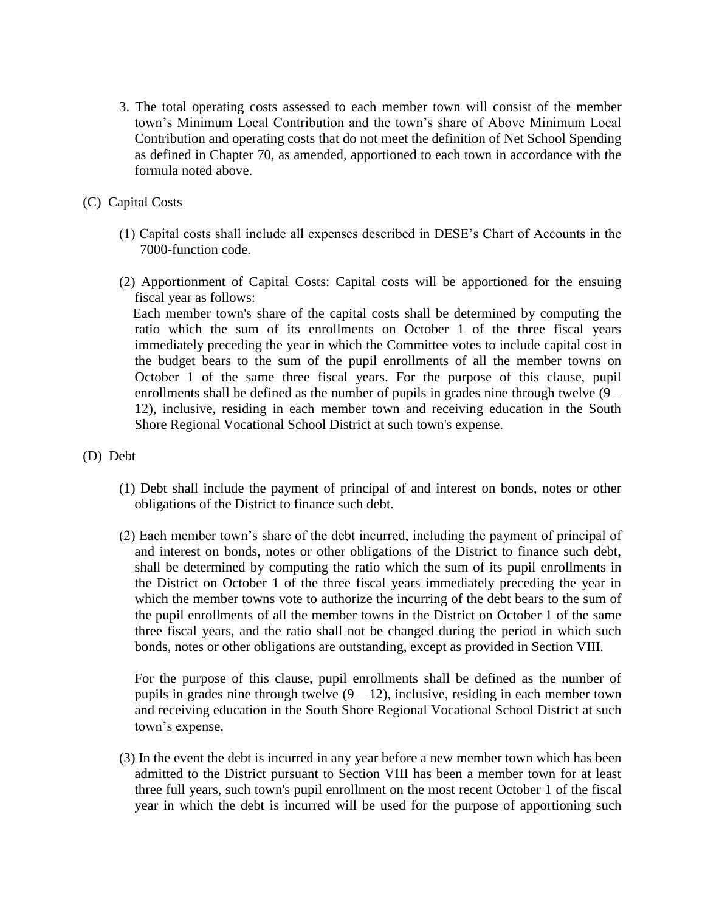- 3. The total operating costs assessed to each member town will consist of the member town's Minimum Local Contribution and the town's share of Above Minimum Local Contribution and operating costs that do not meet the definition of Net School Spending as defined in Chapter 70, as amended, apportioned to each town in accordance with the formula noted above.
- (C) Capital Costs
	- (1) Capital costs shall include all expenses described in DESE's Chart of Accounts in the 7000-function code.
	- (2) Apportionment of Capital Costs: Capital costs will be apportioned for the ensuing fiscal year as follows:

 Each member town's share of the capital costs shall be determined by computing the ratio which the sum of its enrollments on October 1 of the three fiscal years immediately preceding the year in which the Committee votes to include capital cost in the budget bears to the sum of the pupil enrollments of all the member towns on October 1 of the same three fiscal years. For the purpose of this clause, pupil enrollments shall be defined as the number of pupils in grades nine through twelve (9 – 12), inclusive, residing in each member town and receiving education in the South Shore Regional Vocational School District at such town's expense.

- (D) Debt
	- (1) Debt shall include the payment of principal of and interest on bonds, notes or other obligations of the District to finance such debt.
	- (2) Each member town's share of the debt incurred, including the payment of principal of and interest on bonds, notes or other obligations of the District to finance such debt, shall be determined by computing the ratio which the sum of its pupil enrollments in the District on October 1 of the three fiscal years immediately preceding the year in which the member towns vote to authorize the incurring of the debt bears to the sum of the pupil enrollments of all the member towns in the District on October 1 of the same three fiscal years, and the ratio shall not be changed during the period in which such bonds, notes or other obligations are outstanding, except as provided in Section VIII.

For the purpose of this clause, pupil enrollments shall be defined as the number of pupils in grades nine through twelve  $(9 - 12)$ , inclusive, residing in each member town and receiving education in the South Shore Regional Vocational School District at such town's expense.

(3) In the event the debt is incurred in any year before a new member town which has been admitted to the District pursuant to Section VIII has been a member town for at least three full years, such town's pupil enrollment on the most recent October 1 of the fiscal year in which the debt is incurred will be used for the purpose of apportioning such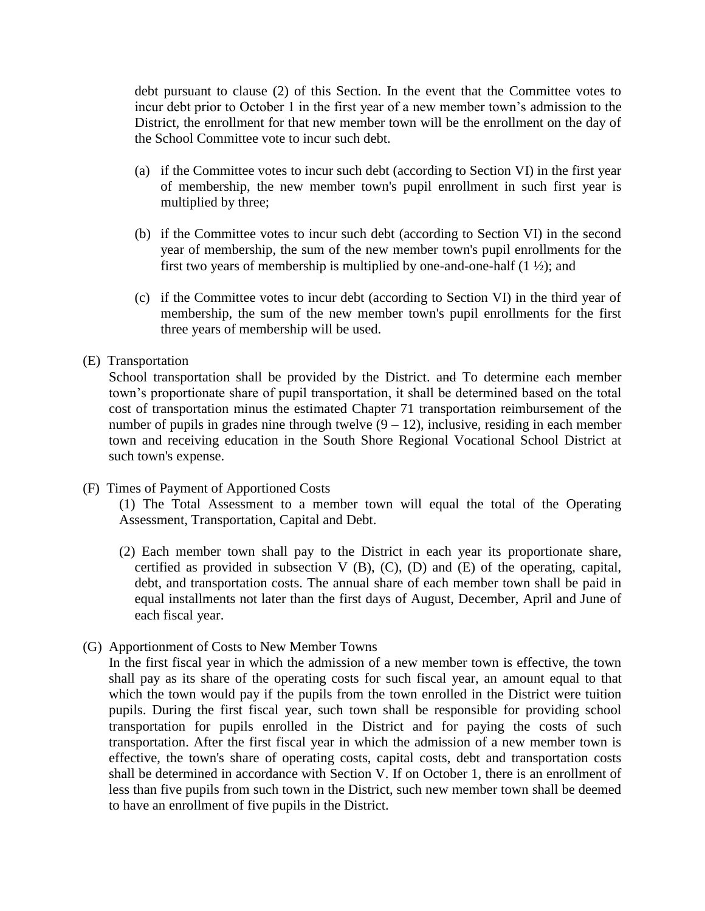debt pursuant to clause (2) of this Section. In the event that the Committee votes to incur debt prior to October 1 in the first year of a new member town's admission to the District, the enrollment for that new member town will be the enrollment on the day of the School Committee vote to incur such debt.

- (a) if the Committee votes to incur such debt (according to Section VI) in the first year of membership, the new member town's pupil enrollment in such first year is multiplied by three;
- (b) if the Committee votes to incur such debt (according to Section VI) in the second year of membership, the sum of the new member town's pupil enrollments for the first two years of membership is multiplied by one-and-one-half  $(1 \frac{1}{2})$ ; and
- (c) if the Committee votes to incur debt (according to Section VI) in the third year of membership, the sum of the new member town's pupil enrollments for the first three years of membership will be used.
- (E) Transportation

School transportation shall be provided by the District. and To determine each member town's proportionate share of pupil transportation, it shall be determined based on the total cost of transportation minus the estimated Chapter 71 transportation reimbursement of the number of pupils in grades nine through twelve  $(9 - 12)$ , inclusive, residing in each member town and receiving education in the South Shore Regional Vocational School District at such town's expense.

(F) Times of Payment of Apportioned Costs

(1) The Total Assessment to a member town will equal the total of the Operating Assessment, Transportation, Capital and Debt.

- (2) Each member town shall pay to the District in each year its proportionate share, certified as provided in subsection  $V$  (B), (C), (D) and (E) of the operating, capital, debt, and transportation costs. The annual share of each member town shall be paid in equal installments not later than the first days of August, December, April and June of each fiscal year.
- (G) Apportionment of Costs to New Member Towns

In the first fiscal year in which the admission of a new member town is effective, the town shall pay as its share of the operating costs for such fiscal year, an amount equal to that which the town would pay if the pupils from the town enrolled in the District were tuition pupils. During the first fiscal year, such town shall be responsible for providing school transportation for pupils enrolled in the District and for paying the costs of such transportation. After the first fiscal year in which the admission of a new member town is effective, the town's share of operating costs, capital costs, debt and transportation costs shall be determined in accordance with Section V. If on October 1, there is an enrollment of less than five pupils from such town in the District, such new member town shall be deemed to have an enrollment of five pupils in the District.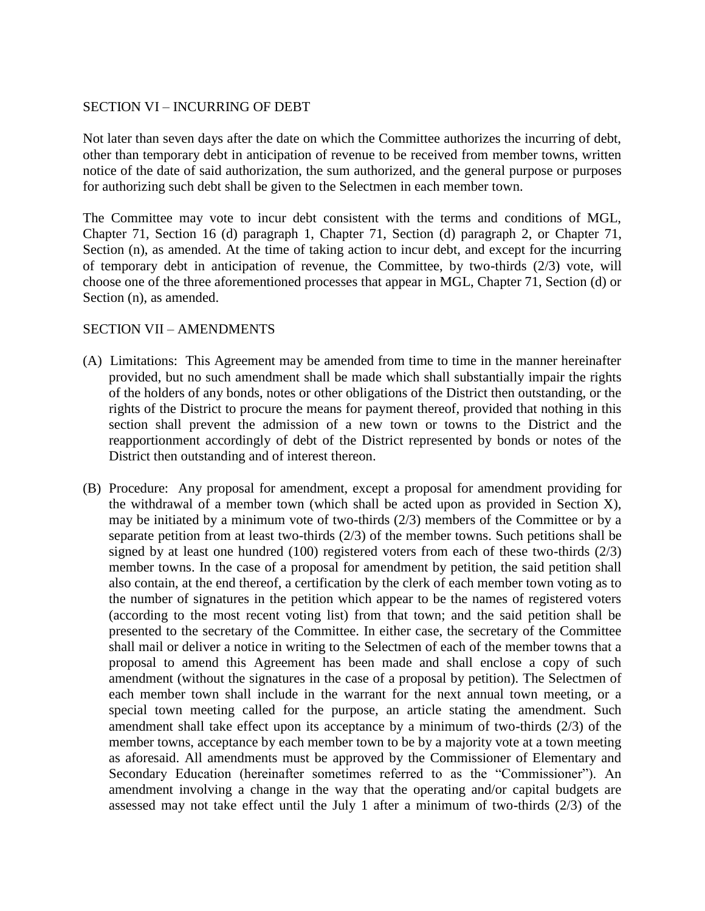#### SECTION VI – INCURRING OF DEBT

Not later than seven days after the date on which the Committee authorizes the incurring of debt, other than temporary debt in anticipation of revenue to be received from member towns, written notice of the date of said authorization, the sum authorized, and the general purpose or purposes for authorizing such debt shall be given to the Selectmen in each member town.

The Committee may vote to incur debt consistent with the terms and conditions of MGL, Chapter 71, Section 16 (d) paragraph 1, Chapter 71, Section (d) paragraph 2, or Chapter 71, Section (n), as amended. At the time of taking action to incur debt, and except for the incurring of temporary debt in anticipation of revenue, the Committee, by two-thirds (2/3) vote, will choose one of the three aforementioned processes that appear in MGL, Chapter 71, Section (d) or Section (n), as amended.

#### SECTION VII – AMENDMENTS

- (A) Limitations: This Agreement may be amended from time to time in the manner hereinafter provided, but no such amendment shall be made which shall substantially impair the rights of the holders of any bonds, notes or other obligations of the District then outstanding, or the rights of the District to procure the means for payment thereof, provided that nothing in this section shall prevent the admission of a new town or towns to the District and the reapportionment accordingly of debt of the District represented by bonds or notes of the District then outstanding and of interest thereon.
- (B) Procedure: Any proposal for amendment, except a proposal for amendment providing for the withdrawal of a member town (which shall be acted upon as provided in Section X), may be initiated by a minimum vote of two-thirds (2/3) members of the Committee or by a separate petition from at least two-thirds (2/3) of the member towns. Such petitions shall be signed by at least one hundred (100) registered voters from each of these two-thirds  $(2/3)$ member towns. In the case of a proposal for amendment by petition, the said petition shall also contain, at the end thereof, a certification by the clerk of each member town voting as to the number of signatures in the petition which appear to be the names of registered voters (according to the most recent voting list) from that town; and the said petition shall be presented to the secretary of the Committee. In either case, the secretary of the Committee shall mail or deliver a notice in writing to the Selectmen of each of the member towns that a proposal to amend this Agreement has been made and shall enclose a copy of such amendment (without the signatures in the case of a proposal by petition). The Selectmen of each member town shall include in the warrant for the next annual town meeting, or a special town meeting called for the purpose, an article stating the amendment. Such amendment shall take effect upon its acceptance by a minimum of two-thirds (2/3) of the member towns, acceptance by each member town to be by a majority vote at a town meeting as aforesaid. All amendments must be approved by the Commissioner of Elementary and Secondary Education (hereinafter sometimes referred to as the "Commissioner"). An amendment involving a change in the way that the operating and/or capital budgets are assessed may not take effect until the July 1 after a minimum of two-thirds (2/3) of the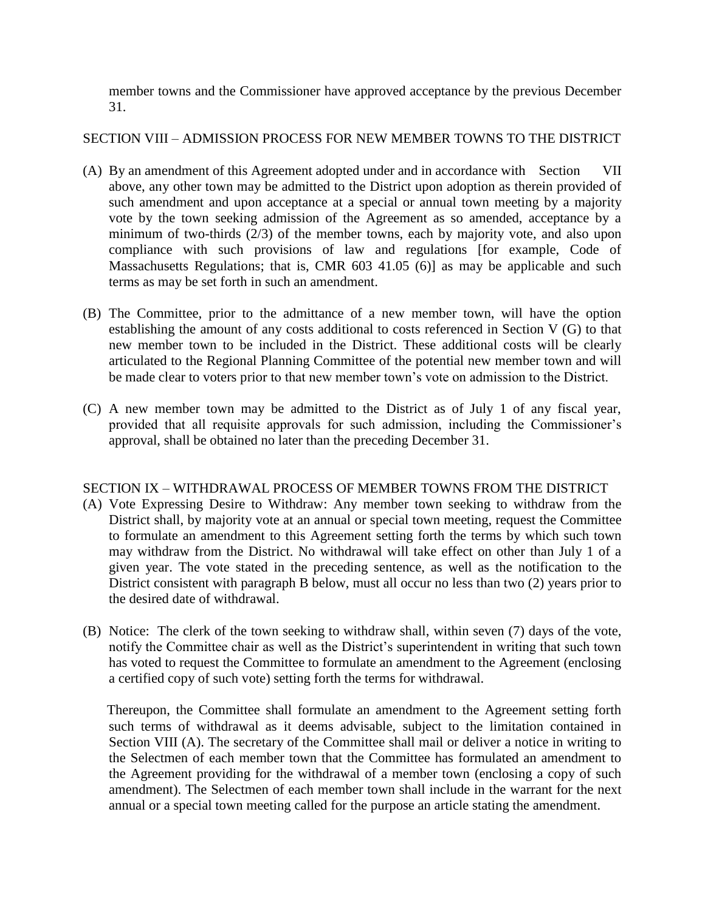member towns and the Commissioner have approved acceptance by the previous December 31.

## SECTION VIII – ADMISSION PROCESS FOR NEW MEMBER TOWNS TO THE DISTRICT

- (A) By an amendment of this Agreement adopted under and in accordance with Section VII above, any other town may be admitted to the District upon adoption as therein provided of such amendment and upon acceptance at a special or annual town meeting by a majority vote by the town seeking admission of the Agreement as so amended, acceptance by a minimum of two-thirds (2/3) of the member towns, each by majority vote, and also upon compliance with such provisions of law and regulations [for example, Code of Massachusetts Regulations; that is, CMR 603 41.05 (6)] as may be applicable and such terms as may be set forth in such an amendment.
- (B) The Committee, prior to the admittance of a new member town, will have the option establishing the amount of any costs additional to costs referenced in Section V (G) to that new member town to be included in the District. These additional costs will be clearly articulated to the Regional Planning Committee of the potential new member town and will be made clear to voters prior to that new member town's vote on admission to the District.
- (C) A new member town may be admitted to the District as of July 1 of any fiscal year, provided that all requisite approvals for such admission, including the Commissioner's approval, shall be obtained no later than the preceding December 31.

### SECTION IX – WITHDRAWAL PROCESS OF MEMBER TOWNS FROM THE DISTRICT

- (A) Vote Expressing Desire to Withdraw: Any member town seeking to withdraw from the District shall, by majority vote at an annual or special town meeting, request the Committee to formulate an amendment to this Agreement setting forth the terms by which such town may withdraw from the District. No withdrawal will take effect on other than July 1 of a given year. The vote stated in the preceding sentence, as well as the notification to the District consistent with paragraph B below, must all occur no less than two (2) years prior to the desired date of withdrawal.
- (B) Notice: The clerk of the town seeking to withdraw shall, within seven (7) days of the vote, notify the Committee chair as well as the District's superintendent in writing that such town has voted to request the Committee to formulate an amendment to the Agreement (enclosing a certified copy of such vote) setting forth the terms for withdrawal.

 Thereupon, the Committee shall formulate an amendment to the Agreement setting forth such terms of withdrawal as it deems advisable, subject to the limitation contained in Section VIII (A). The secretary of the Committee shall mail or deliver a notice in writing to the Selectmen of each member town that the Committee has formulated an amendment to the Agreement providing for the withdrawal of a member town (enclosing a copy of such amendment). The Selectmen of each member town shall include in the warrant for the next annual or a special town meeting called for the purpose an article stating the amendment.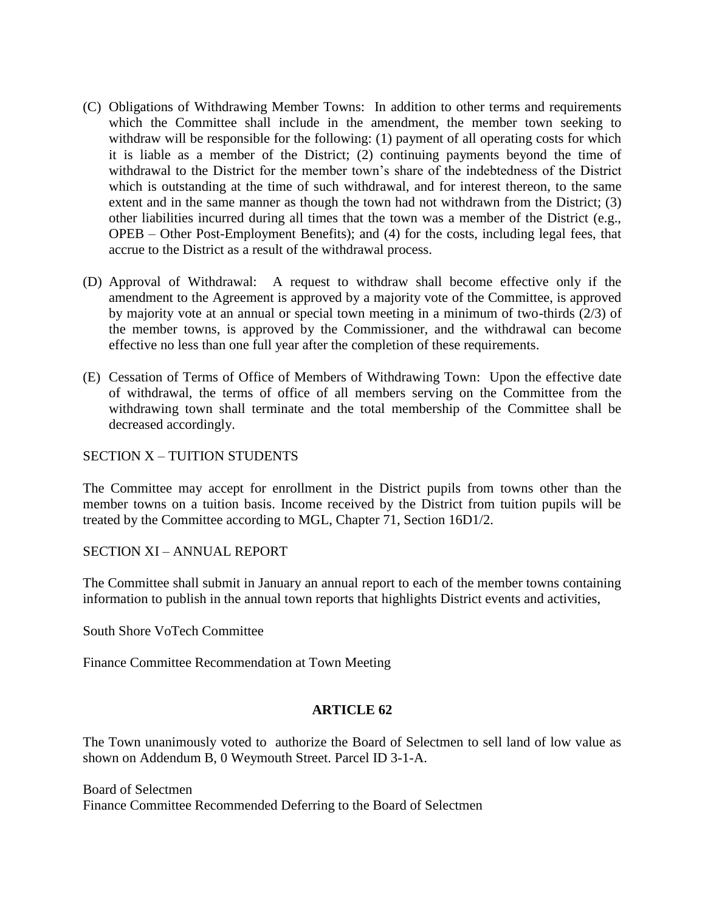- (C) Obligations of Withdrawing Member Towns: In addition to other terms and requirements which the Committee shall include in the amendment, the member town seeking to withdraw will be responsible for the following: (1) payment of all operating costs for which it is liable as a member of the District; (2) continuing payments beyond the time of withdrawal to the District for the member town's share of the indebtedness of the District which is outstanding at the time of such withdrawal, and for interest thereon, to the same extent and in the same manner as though the town had not withdrawn from the District; (3) other liabilities incurred during all times that the town was a member of the District (e.g., OPEB – Other Post-Employment Benefits); and (4) for the costs, including legal fees, that accrue to the District as a result of the withdrawal process.
- (D) Approval of Withdrawal: A request to withdraw shall become effective only if the amendment to the Agreement is approved by a majority vote of the Committee, is approved by majority vote at an annual or special town meeting in a minimum of two-thirds (2/3) of the member towns, is approved by the Commissioner, and the withdrawal can become effective no less than one full year after the completion of these requirements.
- (E) Cessation of Terms of Office of Members of Withdrawing Town: Upon the effective date of withdrawal, the terms of office of all members serving on the Committee from the withdrawing town shall terminate and the total membership of the Committee shall be decreased accordingly.

### SECTION X – TUITION STUDENTS

The Committee may accept for enrollment in the District pupils from towns other than the member towns on a tuition basis. Income received by the District from tuition pupils will be treated by the Committee according to MGL, Chapter 71, Section 16D1/2.

SECTION XI – ANNUAL REPORT

The Committee shall submit in January an annual report to each of the member towns containing information to publish in the annual town reports that highlights District events and activities,

South Shore VoTech Committee

Finance Committee Recommendation at Town Meeting

### **ARTICLE 62**

The Town unanimously voted to authorize the Board of Selectmen to sell land of low value as shown on Addendum B, 0 Weymouth Street. Parcel ID 3-1-A.

Board of Selectmen Finance Committee Recommended Deferring to the Board of Selectmen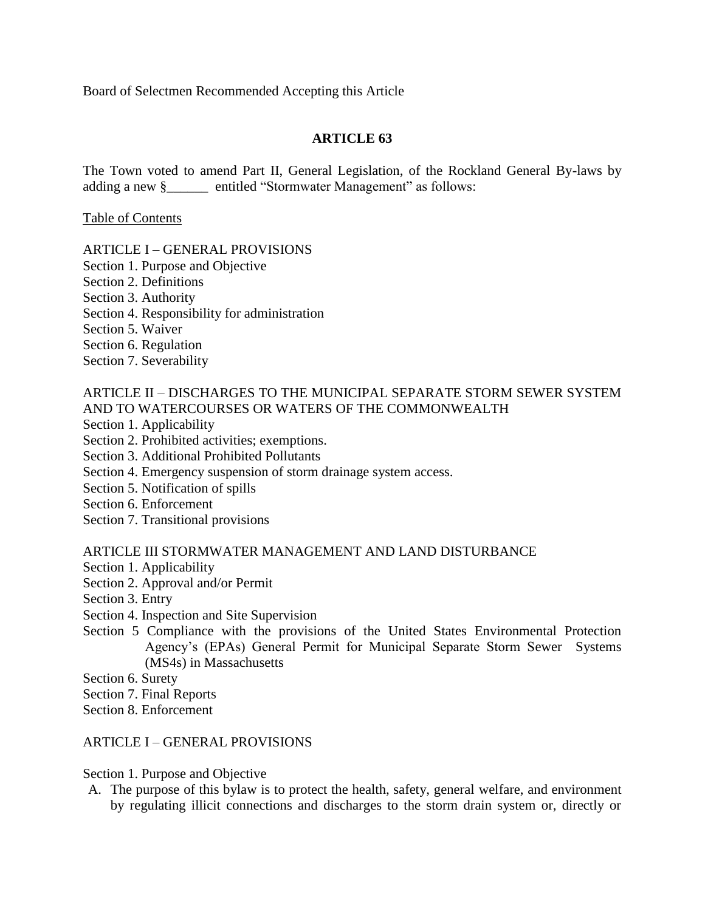Board of Selectmen Recommended Accepting this Article

## **ARTICLE 63**

The Town voted to amend Part II, General Legislation, of the Rockland General By-laws by adding a new §\_\_\_\_\_\_ entitled "Stormwater Management" as follows:

Table of Contents

- ARTICLE I GENERAL PROVISIONS
- Section 1. Purpose and Objective
- Section 2. Definitions
- Section 3. Authority
- Section 4. Responsibility for administration
- Section 5. Waiver
- Section 6. Regulation
- Section 7. Severability

### ARTICLE II – DISCHARGES TO THE MUNICIPAL SEPARATE STORM SEWER SYSTEM AND TO WATERCOURSES OR WATERS OF THE COMMONWEALTH

- Section 1. Applicability
- Section 2. Prohibited activities; exemptions.
- Section 3. Additional Prohibited Pollutants
- Section 4. Emergency suspension of storm drainage system access.
- Section 5. Notification of spills
- Section 6. Enforcement
- Section 7. Transitional provisions

### ARTICLE III STORMWATER MANAGEMENT AND LAND DISTURBANCE

- Section 1. Applicability
- Section 2. Approval and/or Permit
- Section 3. Entry
- Section 4. Inspection and Site Supervision
- Section 5 Compliance with the provisions of the United States Environmental Protection Agency's (EPAs) General Permit for Municipal Separate Storm Sewer Systems (MS4s) in Massachusetts

Section 6. Surety

Section 7. Final Reports

Section 8. Enforcement

### ARTICLE I – GENERAL PROVISIONS

- Section 1. Purpose and Objective
- A. The purpose of this bylaw is to protect the health, safety, general welfare, and environment by regulating illicit connections and discharges to the storm drain system or, directly or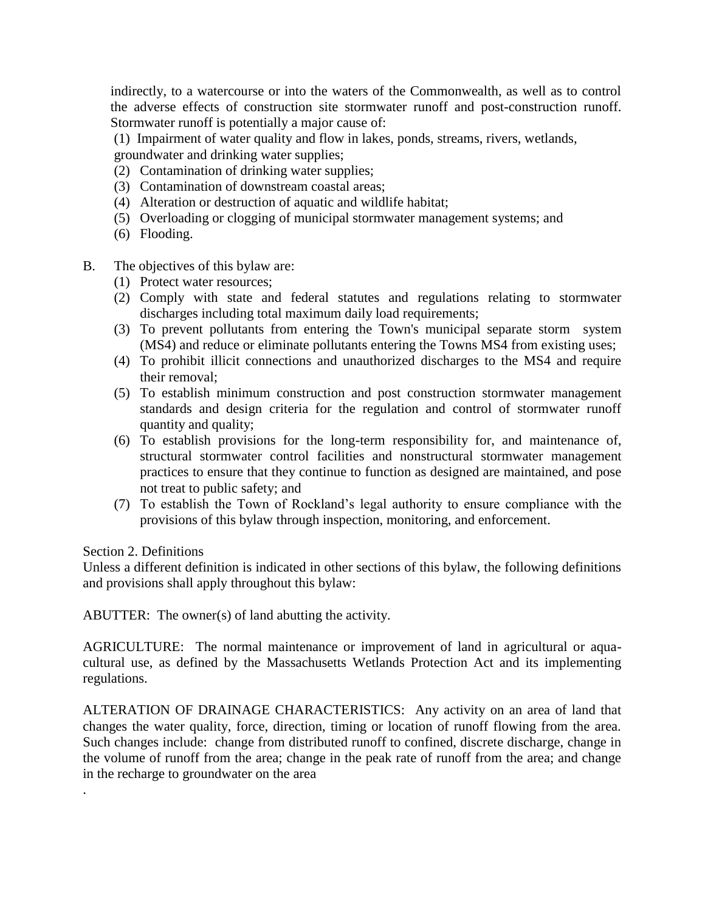indirectly, to a watercourse or into the waters of the Commonwealth, as well as to control the adverse effects of construction site stormwater runoff and post-construction runoff. Stormwater runoff is potentially a major cause of:

(1) Impairment of water quality and flow in lakes, ponds, streams, rivers, wetlands, groundwater and drinking water supplies;

- (2) Contamination of drinking water supplies;
- (3) Contamination of downstream coastal areas;
- (4) Alteration or destruction of aquatic and wildlife habitat;
- (5) Overloading or clogging of municipal stormwater management systems; and
- (6) Flooding.
- B. The objectives of this bylaw are:
	- (1) Protect water resources;
	- (2) Comply with state and federal statutes and regulations relating to stormwater discharges including total maximum daily load requirements;
	- (3) To prevent pollutants from entering the Town's municipal separate storm system (MS4) and reduce or eliminate pollutants entering the Towns MS4 from existing uses;
	- (4) To prohibit illicit connections and unauthorized discharges to the MS4 and require their removal;
	- (5) To establish minimum construction and post construction stormwater management standards and design criteria for the regulation and control of stormwater runoff quantity and quality;
	- (6) To establish provisions for the long-term responsibility for, and maintenance of, structural stormwater control facilities and nonstructural stormwater management practices to ensure that they continue to function as designed are maintained, and pose not treat to public safety; and
	- (7) To establish the Town of Rockland's legal authority to ensure compliance with the provisions of this bylaw through inspection, monitoring, and enforcement.

#### Section 2. Definitions

.

Unless a different definition is indicated in other sections of this bylaw, the following definitions and provisions shall apply throughout this bylaw:

ABUTTER: The owner(s) of land abutting the activity.

AGRICULTURE: The normal maintenance or improvement of land in agricultural or aquacultural use, as defined by the Massachusetts Wetlands Protection Act and its implementing regulations.

ALTERATION OF DRAINAGE CHARACTERISTICS: Any activity on an area of land that changes the water quality, force, direction, timing or location of runoff flowing from the area. Such changes include: change from distributed runoff to confined, discrete discharge, change in the volume of runoff from the area; change in the peak rate of runoff from the area; and change in the recharge to groundwater on the area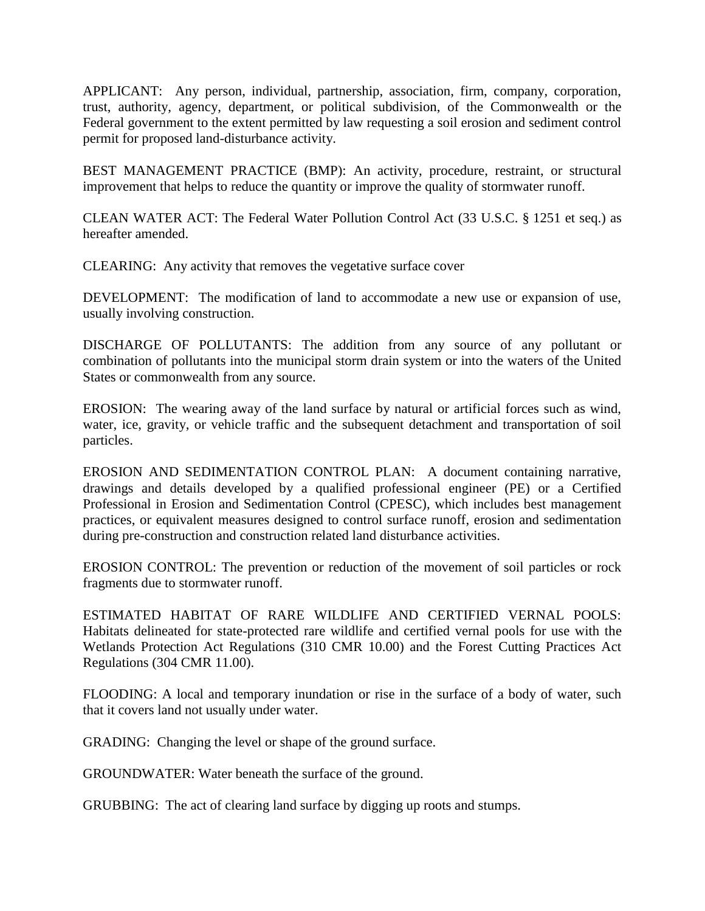APPLICANT: Any person, individual, partnership, association, firm, company, corporation, trust, authority, agency, department, or political subdivision, of the Commonwealth or the Federal government to the extent permitted by law requesting a soil erosion and sediment control permit for proposed land-disturbance activity.

BEST MANAGEMENT PRACTICE (BMP): An activity, procedure, restraint, or structural improvement that helps to reduce the quantity or improve the quality of stormwater runoff.

CLEAN WATER ACT: The Federal Water Pollution Control Act (33 U.S.C. § 1251 et seq.) as hereafter amended.

CLEARING: Any activity that removes the vegetative surface cover

DEVELOPMENT: The modification of land to accommodate a new use or expansion of use, usually involving construction.

DISCHARGE OF POLLUTANTS: The addition from any source of any pollutant or combination of pollutants into the municipal storm drain system or into the waters of the United States or commonwealth from any source.

EROSION: The wearing away of the land surface by natural or artificial forces such as wind, water, ice, gravity, or vehicle traffic and the subsequent detachment and transportation of soil particles.

EROSION AND SEDIMENTATION CONTROL PLAN: A document containing narrative, drawings and details developed by a qualified professional engineer (PE) or a Certified Professional in Erosion and Sedimentation Control (CPESC), which includes best management practices, or equivalent measures designed to control surface runoff, erosion and sedimentation during pre-construction and construction related land disturbance activities.

EROSION CONTROL: The prevention or reduction of the movement of soil particles or rock fragments due to stormwater runoff.

ESTIMATED HABITAT OF RARE WILDLIFE AND CERTIFIED VERNAL POOLS: Habitats delineated for state-protected rare wildlife and certified vernal pools for use with the Wetlands Protection Act Regulations (310 CMR 10.00) and the Forest Cutting Practices Act Regulations (304 CMR 11.00).

FLOODING: A local and temporary inundation or rise in the surface of a body of water, such that it covers land not usually under water.

GRADING: Changing the level or shape of the ground surface.

GROUNDWATER: Water beneath the surface of the ground.

GRUBBING: The act of clearing land surface by digging up roots and stumps.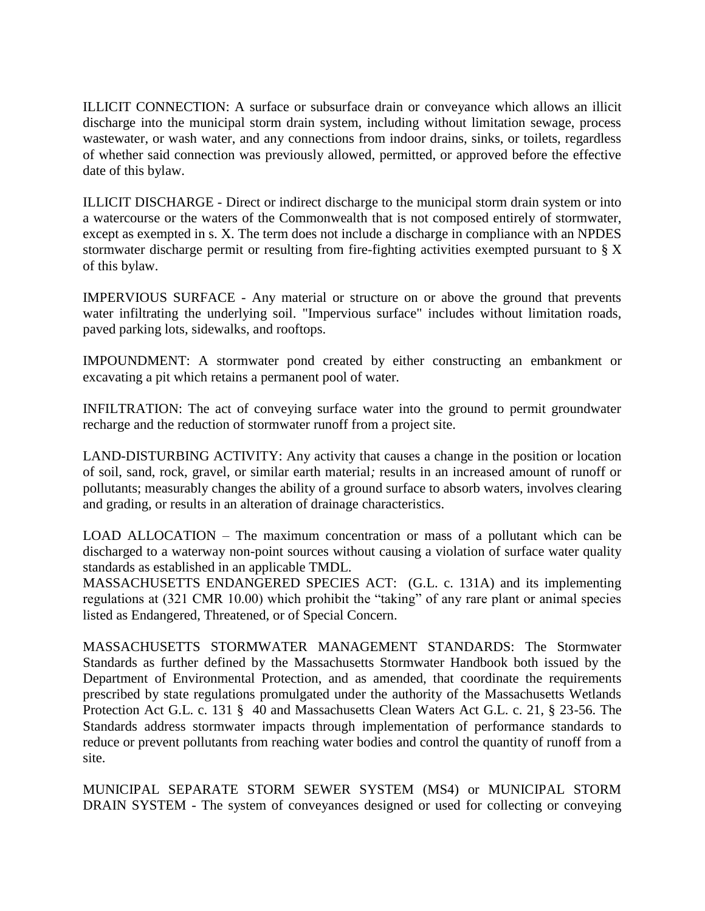ILLICIT CONNECTION: A surface or subsurface drain or conveyance which allows an illicit discharge into the municipal storm drain system, including without limitation sewage, process wastewater, or wash water, and any connections from indoor drains, sinks, or toilets, regardless of whether said connection was previously allowed, permitted, or approved before the effective date of this bylaw.

ILLICIT DISCHARGE - Direct or indirect discharge to the municipal storm drain system or into a watercourse or the waters of the Commonwealth that is not composed entirely of stormwater, except as exempted in s. X. The term does not include a discharge in compliance with an NPDES stormwater discharge permit or resulting from fire-fighting activities exempted pursuant to § X of this bylaw.

IMPERVIOUS SURFACE - Any material or structure on or above the ground that prevents water infiltrating the underlying soil. "Impervious surface" includes without limitation roads, paved parking lots, sidewalks, and rooftops.

IMPOUNDMENT: A stormwater pond created by either constructing an embankment or excavating a pit which retains a permanent pool of water.

INFILTRATION: The act of conveying surface water into the ground to permit groundwater recharge and the reduction of stormwater runoff from a project site.

LAND-DISTURBING ACTIVITY: Any activity that causes a change in the position or location of soil, sand, rock, gravel, or similar earth material*;* results in an increased amount of runoff or pollutants; measurably changes the ability of a ground surface to absorb waters, involves clearing and grading, or results in an alteration of drainage characteristics.

LOAD ALLOCATION – The maximum concentration or mass of a pollutant which can be discharged to a waterway non-point sources without causing a violation of surface water quality standards as established in an applicable TMDL.

MASSACHUSETTS ENDANGERED SPECIES ACT: (G.L. c. 131A) and its implementing regulations at (321 CMR 10.00) which prohibit the "taking" of any rare plant or animal species listed as Endangered, Threatened, or of Special Concern.

MASSACHUSETTS STORMWATER MANAGEMENT STANDARDS: The Stormwater Standards as further defined by the Massachusetts Stormwater Handbook both issued by the Department of Environmental Protection, and as amended, that coordinate the requirements prescribed by state regulations promulgated under the authority of the Massachusetts Wetlands Protection Act G.L. c. 131 § 40 and Massachusetts Clean Waters Act G.L. c. 21, § 23-56. The Standards address stormwater impacts through implementation of performance standards to reduce or prevent pollutants from reaching water bodies and control the quantity of runoff from a site.

MUNICIPAL SEPARATE STORM SEWER SYSTEM (MS4) or MUNICIPAL STORM DRAIN SYSTEM - The system of conveyances designed or used for collecting or conveying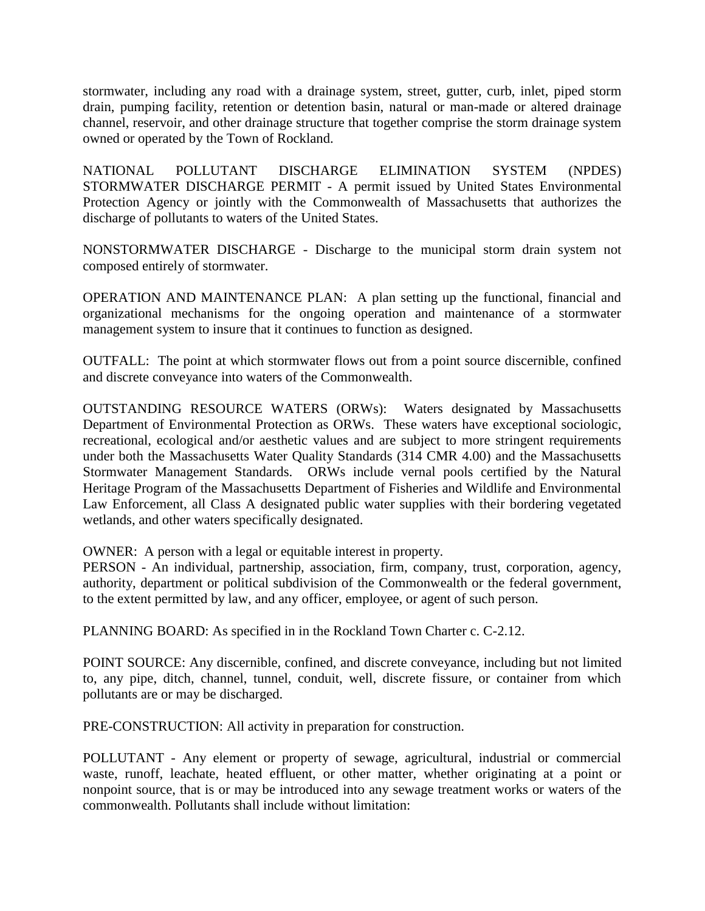stormwater, including any road with a drainage system, street, gutter, curb, inlet, piped storm drain, pumping facility, retention or detention basin, natural or man-made or altered drainage channel, reservoir, and other drainage structure that together comprise the storm drainage system owned or operated by the Town of Rockland.

NATIONAL POLLUTANT DISCHARGE ELIMINATION SYSTEM (NPDES) STORMWATER DISCHARGE PERMIT - A permit issued by United States Environmental Protection Agency or jointly with the Commonwealth of Massachusetts that authorizes the discharge of pollutants to waters of the United States.

NONSTORMWATER DISCHARGE - Discharge to the municipal storm drain system not composed entirely of stormwater.

OPERATION AND MAINTENANCE PLAN: A plan setting up the functional, financial and organizational mechanisms for the ongoing operation and maintenance of a stormwater management system to insure that it continues to function as designed.

OUTFALL: The point at which stormwater flows out from a point source discernible, confined and discrete conveyance into waters of the Commonwealth.

OUTSTANDING RESOURCE WATERS (ORWs): Waters designated by Massachusetts Department of Environmental Protection as ORWs. These waters have exceptional sociologic, recreational, ecological and/or aesthetic values and are subject to more stringent requirements under both the Massachusetts Water Quality Standards (314 CMR 4.00) and the Massachusetts Stormwater Management Standards. ORWs include vernal pools certified by the Natural Heritage Program of the Massachusetts Department of Fisheries and Wildlife and Environmental Law Enforcement, all Class A designated public water supplies with their bordering vegetated wetlands, and other waters specifically designated.

OWNER: A person with a legal or equitable interest in property.

PERSON - An individual, partnership, association, firm, company, trust, corporation, agency, authority, department or political subdivision of the Commonwealth or the federal government, to the extent permitted by law, and any officer, employee, or agent of such person.

PLANNING BOARD: As specified in in the Rockland Town Charter c. C-2.12.

POINT SOURCE: Any discernible, confined, and discrete conveyance, including but not limited to, any pipe, ditch, channel, tunnel, conduit, well, discrete fissure, or container from which pollutants are or may be discharged.

PRE-CONSTRUCTION: All activity in preparation for construction.

POLLUTANT - Any element or property of sewage, agricultural, industrial or commercial waste, runoff, leachate, heated effluent, or other matter, whether originating at a point or nonpoint source, that is or may be introduced into any sewage treatment works or waters of the commonwealth. Pollutants shall include without limitation: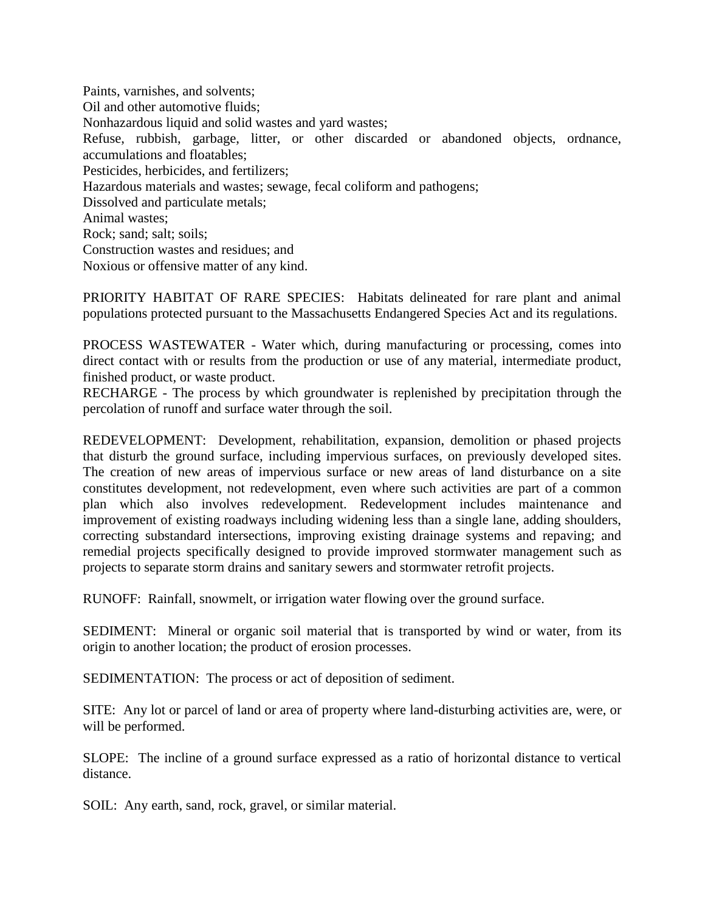Paints, varnishes, and solvents; Oil and other automotive fluids; Nonhazardous liquid and solid wastes and yard wastes; Refuse, rubbish, garbage, litter, or other discarded or abandoned objects, ordnance, accumulations and floatables; Pesticides, herbicides, and fertilizers; Hazardous materials and wastes; sewage, fecal coliform and pathogens; Dissolved and particulate metals; Animal wastes; Rock; sand; salt; soils; Construction wastes and residues; and Noxious or offensive matter of any kind.

PRIORITY HABITAT OF RARE SPECIES: Habitats delineated for rare plant and animal populations protected pursuant to the Massachusetts Endangered Species Act and its regulations.

PROCESS WASTEWATER - Water which, during manufacturing or processing, comes into direct contact with or results from the production or use of any material, intermediate product, finished product, or waste product.

RECHARGE - The process by which groundwater is replenished by precipitation through the percolation of runoff and surface water through the soil.

REDEVELOPMENT: Development, rehabilitation, expansion, demolition or phased projects that disturb the ground surface, including impervious surfaces, on previously developed sites. The creation of new areas of impervious surface or new areas of land disturbance on a site constitutes development*,* not redevelopment, even where such activities are part of a common plan which also involves redevelopment. Redevelopment includes maintenance and improvement of existing roadways including widening less than a single lane, adding shoulders, correcting substandard intersections, improving existing drainage systems and repaving; and remedial projects specifically designed to provide improved stormwater management such as projects to separate storm drains and sanitary sewers and stormwater retrofit projects.

RUNOFF: Rainfall, snowmelt, or irrigation water flowing over the ground surface.

SEDIMENT: Mineral or organic soil material that is transported by wind or water, from its origin to another location; the product of erosion processes.

SEDIMENTATION: The process or act of deposition of sediment.

SITE: Any lot or parcel of land or area of property where land-disturbing activities are, were, or will be performed.

SLOPE: The incline of a ground surface expressed as a ratio of horizontal distance to vertical distance.

SOIL: Any earth, sand, rock, gravel, or similar material.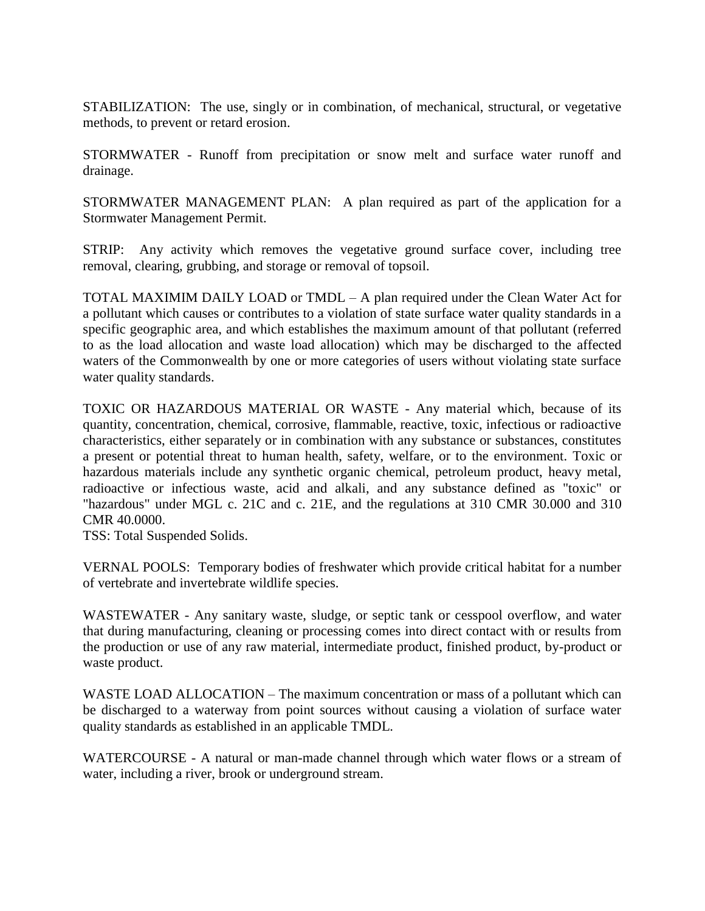STABILIZATION: The use, singly or in combination, of mechanical, structural, or vegetative methods, to prevent or retard erosion.

STORMWATER - Runoff from precipitation or snow melt and surface water runoff and drainage.

STORMWATER MANAGEMENT PLAN: A plan required as part of the application for a Stormwater Management Permit.

STRIP: Any activity which removes the vegetative ground surface cover, including tree removal, clearing, grubbing, and storage or removal of topsoil.

TOTAL MAXIMIM DAILY LOAD or TMDL – A plan required under the Clean Water Act for a pollutant which causes or contributes to a violation of state surface water quality standards in a specific geographic area, and which establishes the maximum amount of that pollutant (referred to as the load allocation and waste load allocation) which may be discharged to the affected waters of the Commonwealth by one or more categories of users without violating state surface water quality standards.

TOXIC OR HAZARDOUS MATERIAL OR WASTE - Any material which, because of its quantity, concentration, chemical, corrosive, flammable, reactive, toxic, infectious or radioactive characteristics, either separately or in combination with any substance or substances, constitutes a present or potential threat to human health, safety, welfare, or to the environment. Toxic or hazardous materials include any synthetic organic chemical, petroleum product, heavy metal, radioactive or infectious waste, acid and alkali, and any substance defined as "toxic" or "hazardous" under MGL c. 21C and c. 21E, and the regulations at 310 CMR 30.000 and 310 CMR 40.0000.

TSS: Total Suspended Solids.

VERNAL POOLS: Temporary bodies of freshwater which provide critical habitat for a number of vertebrate and invertebrate wildlife species.

WASTEWATER - Any sanitary waste, sludge, or septic tank or cesspool overflow, and water that during manufacturing, cleaning or processing comes into direct contact with or results from the production or use of any raw material, intermediate product, finished product, by-product or waste product.

WASTE LOAD ALLOCATION – The maximum concentration or mass of a pollutant which can be discharged to a waterway from point sources without causing a violation of surface water quality standards as established in an applicable TMDL.

WATERCOURSE - A natural or man-made channel through which water flows or a stream of water, including a river, brook or underground stream.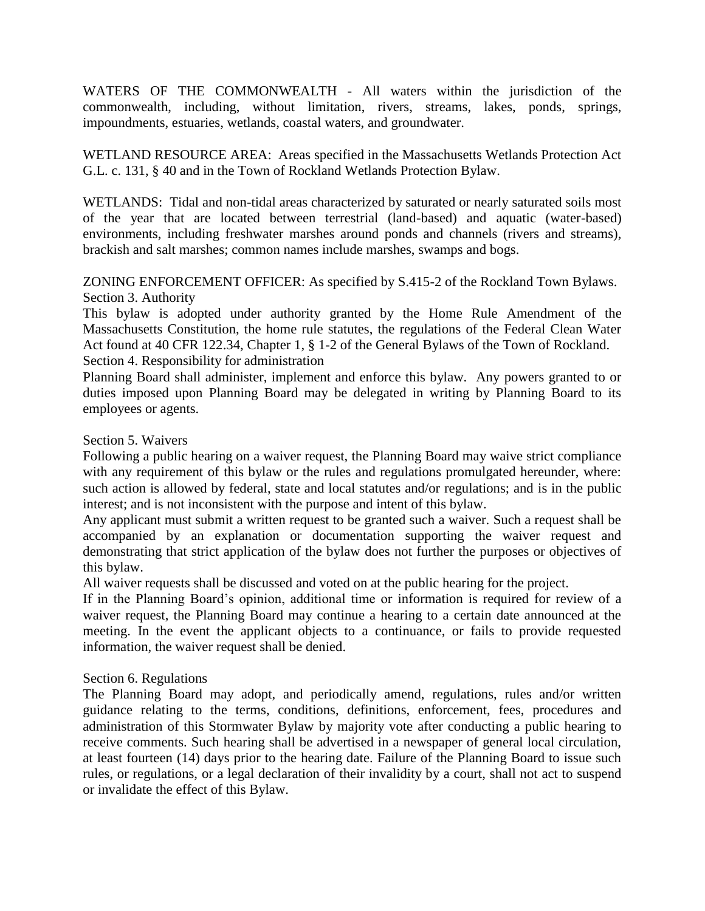WATERS OF THE COMMONWEALTH - All waters within the jurisdiction of the commonwealth, including, without limitation, rivers, streams, lakes, ponds, springs, impoundments, estuaries, wetlands, coastal waters, and groundwater.

WETLAND RESOURCE AREA: Areas specified in the Massachusetts Wetlands Protection Act G.L. c. 131, § 40 and in the Town of Rockland Wetlands Protection Bylaw.

WETLANDS: Tidal and non-tidal areas characterized by saturated or nearly saturated soils most of the year that are located between terrestrial (land-based) and aquatic (water-based) environments, including freshwater marshes around ponds and channels (rivers and streams), brackish and salt marshes; common names include marshes, swamps and bogs.

### ZONING ENFORCEMENT OFFICER: As specified by S.415-2 of the Rockland Town Bylaws. Section 3. Authority

This bylaw is adopted under authority granted by the Home Rule Amendment of the Massachusetts Constitution, the home rule statutes, the regulations of the Federal Clean Water Act found at 40 CFR 122.34, Chapter 1, § 1-2 of the General Bylaws of the Town of Rockland. Section 4. Responsibility for administration

Planning Board shall administer, implement and enforce this bylaw. Any powers granted to or duties imposed upon Planning Board may be delegated in writing by Planning Board to its employees or agents.

### Section 5. Waivers

Following a public hearing on a waiver request, the Planning Board may waive strict compliance with any requirement of this bylaw or the rules and regulations promulgated hereunder, where: such action is allowed by federal, state and local statutes and/or regulations; and is in the public interest; and is not inconsistent with the purpose and intent of this bylaw.

Any applicant must submit a written request to be granted such a waiver. Such a request shall be accompanied by an explanation or documentation supporting the waiver request and demonstrating that strict application of the bylaw does not further the purposes or objectives of this bylaw.

All waiver requests shall be discussed and voted on at the public hearing for the project.

If in the Planning Board's opinion, additional time or information is required for review of a waiver request, the Planning Board may continue a hearing to a certain date announced at the meeting. In the event the applicant objects to a continuance, or fails to provide requested information, the waiver request shall be denied.

#### Section 6. Regulations

The Planning Board may adopt, and periodically amend, regulations, rules and/or written guidance relating to the terms, conditions, definitions, enforcement, fees, procedures and administration of this Stormwater Bylaw by majority vote after conducting a public hearing to receive comments. Such hearing shall be advertised in a newspaper of general local circulation, at least fourteen (14) days prior to the hearing date. Failure of the Planning Board to issue such rules, or regulations, or a legal declaration of their invalidity by a court, shall not act to suspend or invalidate the effect of this Bylaw.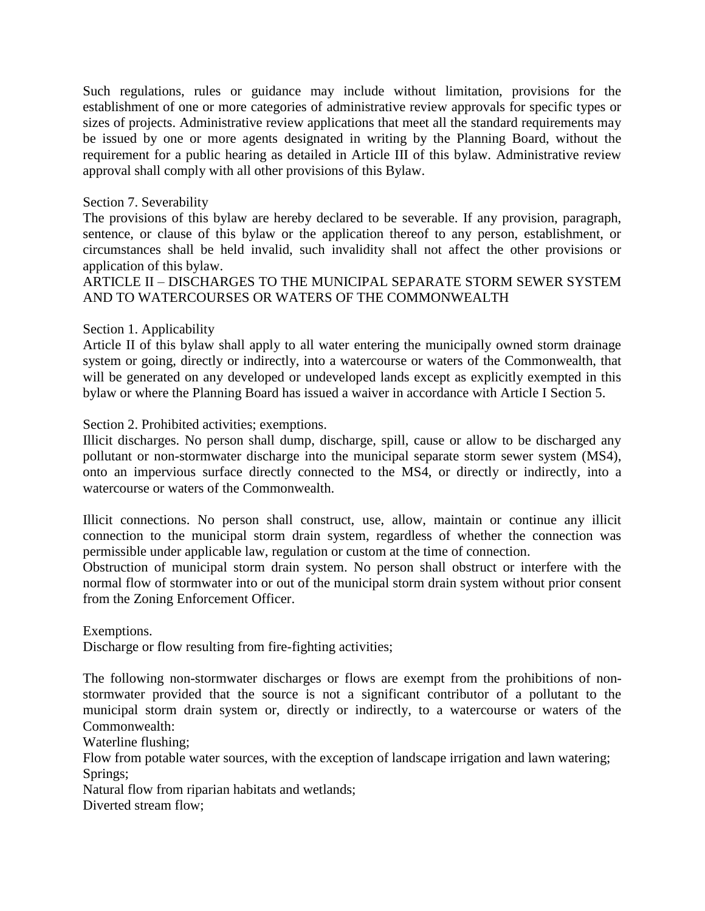Such regulations, rules or guidance may include without limitation, provisions for the establishment of one or more categories of administrative review approvals for specific types or sizes of projects. Administrative review applications that meet all the standard requirements may be issued by one or more agents designated in writing by the Planning Board, without the requirement for a public hearing as detailed in Article III of this bylaw. Administrative review approval shall comply with all other provisions of this Bylaw.

#### Section 7. Severability

The provisions of this bylaw are hereby declared to be severable. If any provision, paragraph, sentence, or clause of this bylaw or the application thereof to any person, establishment, or circumstances shall be held invalid, such invalidity shall not affect the other provisions or application of this bylaw.

### ARTICLE II – DISCHARGES TO THE MUNICIPAL SEPARATE STORM SEWER SYSTEM AND TO WATERCOURSES OR WATERS OF THE COMMONWEALTH

#### Section 1. Applicability

Article II of this bylaw shall apply to all water entering the municipally owned storm drainage system or going, directly or indirectly, into a watercourse or waters of the Commonwealth, that will be generated on any developed or undeveloped lands except as explicitly exempted in this bylaw or where the Planning Board has issued a waiver in accordance with Article I Section 5.

Section 2. Prohibited activities; exemptions.

Illicit discharges. No person shall dump, discharge, spill, cause or allow to be discharged any pollutant or non-stormwater discharge into the municipal separate storm sewer system (MS4), onto an impervious surface directly connected to the MS4, or directly or indirectly*,* into a watercourse or waters of the Commonwealth.

Illicit connections. No person shall construct, use, allow, maintain or continue any illicit connection to the municipal storm drain system, regardless of whether the connection was permissible under applicable law, regulation or custom at the time of connection.

Obstruction of municipal storm drain system. No person shall obstruct or interfere with the normal flow of stormwater into or out of the municipal storm drain system without prior consent from the Zoning Enforcement Officer.

Exemptions. Discharge or flow resulting from fire-fighting activities;

The following non-stormwater discharges or flows are exempt from the prohibitions of nonstormwater provided that the source is not a significant contributor of a pollutant to the municipal storm drain system or, directly or indirectly, to a watercourse or waters of the Commonwealth:

Waterline flushing;

Flow from potable water sources, with the exception of landscape irrigation and lawn watering; Springs;

Natural flow from riparian habitats and wetlands;

Diverted stream flow;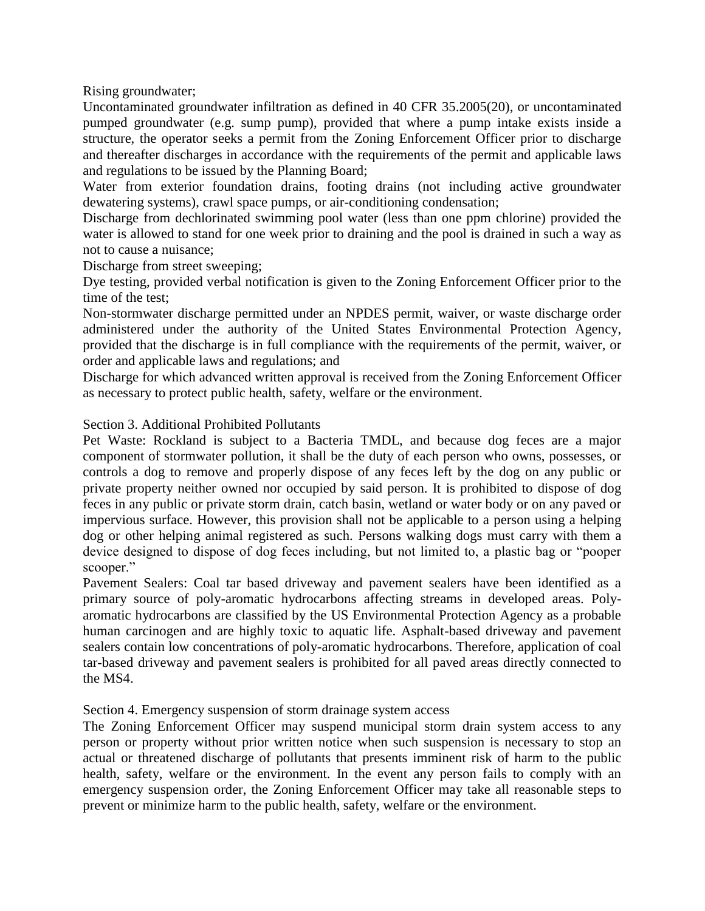Rising groundwater;

Uncontaminated groundwater infiltration as defined in 40 CFR 35.2005(20), or uncontaminated pumped groundwater (e.g. sump pump), provided that where a pump intake exists inside a structure, the operator seeks a permit from the Zoning Enforcement Officer prior to discharge and thereafter discharges in accordance with the requirements of the permit and applicable laws and regulations to be issued by the Planning Board;

Water from exterior foundation drains, footing drains (not including active groundwater dewatering systems), crawl space pumps, or air-conditioning condensation;

Discharge from dechlorinated swimming pool water (less than one ppm chlorine) provided the water is allowed to stand for one week prior to draining and the pool is drained in such a way as not to cause a nuisance;

Discharge from street sweeping;

Dye testing, provided verbal notification is given to the Zoning Enforcement Officer prior to the time of the test;

Non-stormwater discharge permitted under an NPDES permit, waiver, or waste discharge order administered under the authority of the United States Environmental Protection Agency, provided that the discharge is in full compliance with the requirements of the permit, waiver, or order and applicable laws and regulations; and

Discharge for which advanced written approval is received from the Zoning Enforcement Officer as necessary to protect public health, safety, welfare or the environment.

### Section 3. Additional Prohibited Pollutants

Pet Waste: Rockland is subject to a Bacteria TMDL, and because dog feces are a major component of stormwater pollution, it shall be the duty of each person who owns, possesses, or controls a dog to remove and properly dispose of any feces left by the dog on any public or private property neither owned nor occupied by said person. It is prohibited to dispose of dog feces in any public or private storm drain, catch basin, wetland or water body or on any paved or impervious surface. However, this provision shall not be applicable to a person using a helping dog or other helping animal registered as such. Persons walking dogs must carry with them a device designed to dispose of dog feces including, but not limited to, a plastic bag or "pooper scooper."

Pavement Sealers: Coal tar based driveway and pavement sealers have been identified as a primary source of poly-aromatic hydrocarbons affecting streams in developed areas. Polyaromatic hydrocarbons are classified by the US Environmental Protection Agency as a probable human carcinogen and are highly toxic to aquatic life. Asphalt-based driveway and pavement sealers contain low concentrations of poly-aromatic hydrocarbons. Therefore, application of coal tar-based driveway and pavement sealers is prohibited for all paved areas directly connected to the MS4.

### Section 4. Emergency suspension of storm drainage system access

The Zoning Enforcement Officer may suspend municipal storm drain system access to any person or property without prior written notice when such suspension is necessary to stop an actual or threatened discharge of pollutants that presents imminent risk of harm to the public health, safety, welfare or the environment. In the event any person fails to comply with an emergency suspension order, the Zoning Enforcement Officer may take all reasonable steps to prevent or minimize harm to the public health, safety, welfare or the environment.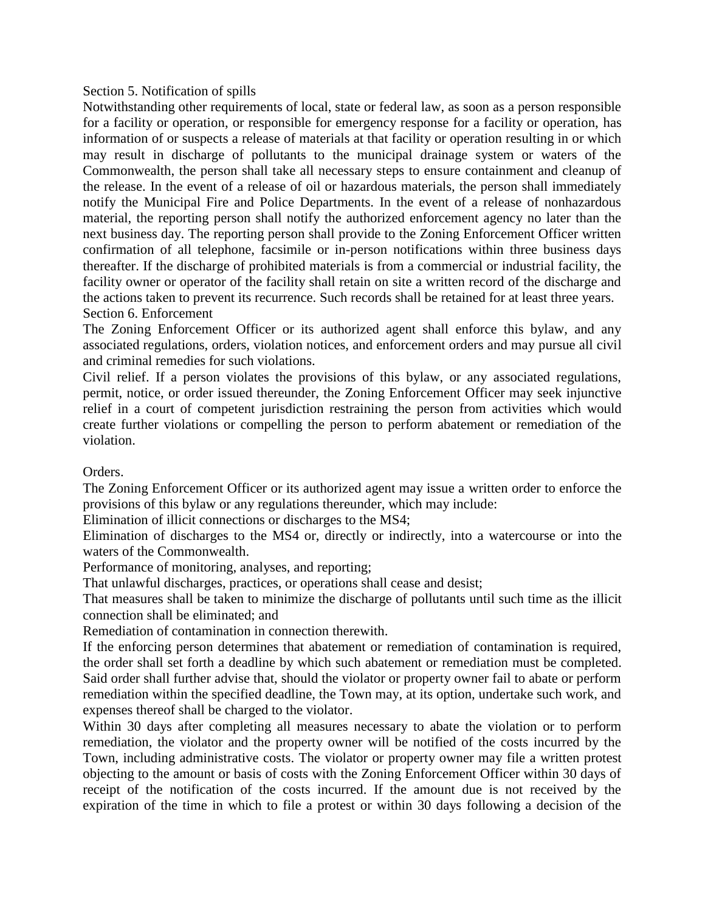#### Section 5. Notification of spills

Notwithstanding other requirements of local, state or federal law, as soon as a person responsible for a facility or operation, or responsible for emergency response for a facility or operation, has information of or suspects a release of materials at that facility or operation resulting in or which may result in discharge of pollutants to the municipal drainage system or waters of the Commonwealth, the person shall take all necessary steps to ensure containment and cleanup of the release. In the event of a release of oil or hazardous materials, the person shall immediately notify the Municipal Fire and Police Departments. In the event of a release of nonhazardous material, the reporting person shall notify the authorized enforcement agency no later than the next business day. The reporting person shall provide to the Zoning Enforcement Officer written confirmation of all telephone, facsimile or in-person notifications within three business days thereafter. If the discharge of prohibited materials is from a commercial or industrial facility, the facility owner or operator of the facility shall retain on site a written record of the discharge and the actions taken to prevent its recurrence. Such records shall be retained for at least three years. Section 6. Enforcement

The Zoning Enforcement Officer or its authorized agent shall enforce this bylaw, and any associated regulations, orders, violation notices, and enforcement orders and may pursue all civil and criminal remedies for such violations.

Civil relief. If a person violates the provisions of this bylaw, or any associated regulations, permit, notice, or order issued thereunder, the Zoning Enforcement Officer may seek injunctive relief in a court of competent jurisdiction restraining the person from activities which would create further violations or compelling the person to perform abatement or remediation of the violation.

#### Orders.

The Zoning Enforcement Officer or its authorized agent may issue a written order to enforce the provisions of this bylaw or any regulations thereunder, which may include:

Elimination of illicit connections or discharges to the MS4;

Elimination of discharges to the MS4 or, directly or indirectly, into a watercourse or into the waters of the Commonwealth.

Performance of monitoring, analyses, and reporting;

That unlawful discharges, practices, or operations shall cease and desist;

That measures shall be taken to minimize the discharge of pollutants until such time as the illicit connection shall be eliminated; and

Remediation of contamination in connection therewith.

If the enforcing person determines that abatement or remediation of contamination is required, the order shall set forth a deadline by which such abatement or remediation must be completed. Said order shall further advise that, should the violator or property owner fail to abate or perform remediation within the specified deadline, the Town may, at its option, undertake such work, and expenses thereof shall be charged to the violator.

Within 30 days after completing all measures necessary to abate the violation or to perform remediation, the violator and the property owner will be notified of the costs incurred by the Town, including administrative costs. The violator or property owner may file a written protest objecting to the amount or basis of costs with the Zoning Enforcement Officer within 30 days of receipt of the notification of the costs incurred. If the amount due is not received by the expiration of the time in which to file a protest or within 30 days following a decision of the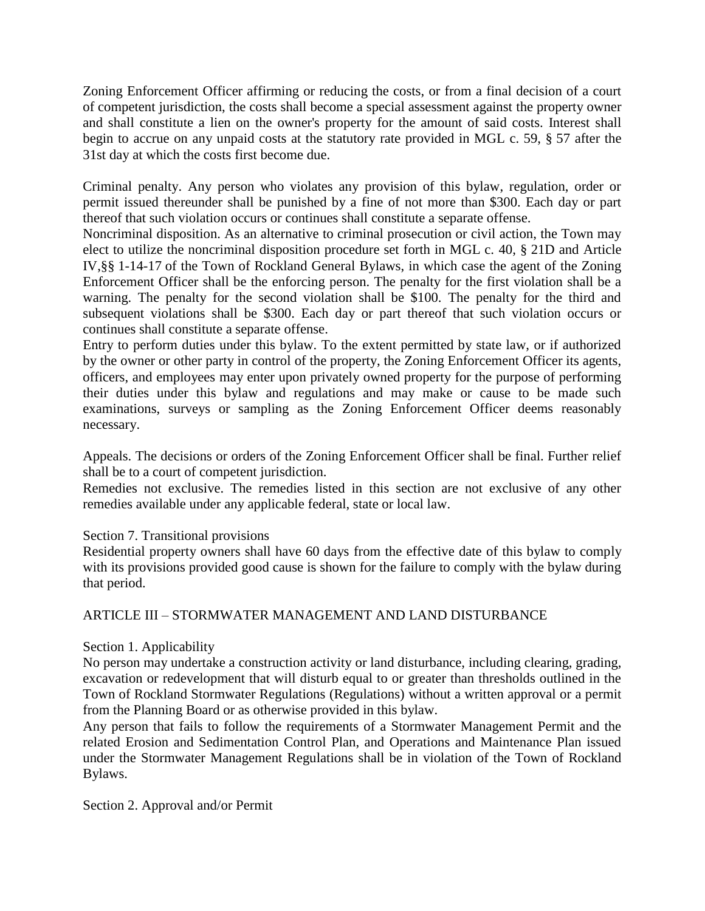Zoning Enforcement Officer affirming or reducing the costs, or from a final decision of a court of competent jurisdiction, the costs shall become a special assessment against the property owner and shall constitute a lien on the owner's property for the amount of said costs. Interest shall begin to accrue on any unpaid costs at the statutory rate provided in MGL c. 59, § 57 after the 31st day at which the costs first become due.

Criminal penalty. Any person who violates any provision of this bylaw, regulation, order or permit issued thereunder shall be punished by a fine of not more than \$300. Each day or part thereof that such violation occurs or continues shall constitute a separate offense.

Noncriminal disposition. As an alternative to criminal prosecution or civil action, the Town may elect to utilize the noncriminal disposition procedure set forth in MGL c. 40, § 21D and Article IV,§§ 1-14-17 of the Town of Rockland General Bylaws, in which case the agent of the Zoning Enforcement Officer shall be the enforcing person. The penalty for the first violation shall be a warning. The penalty for the second violation shall be \$100. The penalty for the third and subsequent violations shall be \$300. Each day or part thereof that such violation occurs or continues shall constitute a separate offense.

Entry to perform duties under this bylaw. To the extent permitted by state law, or if authorized by the owner or other party in control of the property, the Zoning Enforcement Officer its agents, officers, and employees may enter upon privately owned property for the purpose of performing their duties under this bylaw and regulations and may make or cause to be made such examinations, surveys or sampling as the Zoning Enforcement Officer deems reasonably necessary.

Appeals. The decisions or orders of the Zoning Enforcement Officer shall be final. Further relief shall be to a court of competent jurisdiction.

Remedies not exclusive. The remedies listed in this section are not exclusive of any other remedies available under any applicable federal, state or local law.

## Section 7. Transitional provisions

Residential property owners shall have 60 days from the effective date of this bylaw to comply with its provisions provided good cause is shown for the failure to comply with the bylaw during that period.

## ARTICLE III – STORMWATER MANAGEMENT AND LAND DISTURBANCE

### Section 1. Applicability

No person may undertake a construction activity or land disturbance, including clearing, grading, excavation or redevelopment that will disturb equal to or greater than thresholds outlined in the Town of Rockland Stormwater Regulations (Regulations) without a written approval or a permit from the Planning Board or as otherwise provided in this bylaw.

Any person that fails to follow the requirements of a Stormwater Management Permit and the related Erosion and Sedimentation Control Plan, and Operations and Maintenance Plan issued under the Stormwater Management Regulations shall be in violation of the Town of Rockland Bylaws.

Section 2. Approval and/or Permit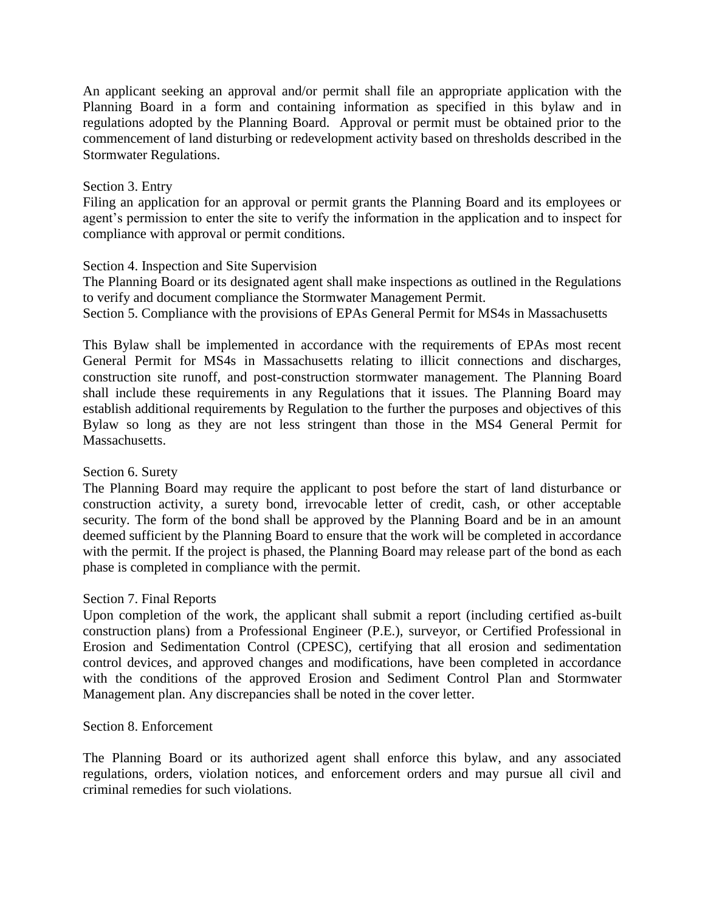An applicant seeking an approval and/or permit shall file an appropriate application with the Planning Board in a form and containing information as specified in this bylaw and in regulations adopted by the Planning Board. Approval or permit must be obtained prior to the commencement of land disturbing or redevelopment activity based on thresholds described in the Stormwater Regulations.

### Section 3. Entry

Filing an application for an approval or permit grants the Planning Board and its employees or agent's permission to enter the site to verify the information in the application and to inspect for compliance with approval or permit conditions.

#### Section 4. Inspection and Site Supervision

The Planning Board or its designated agent shall make inspections as outlined in the Regulations to verify and document compliance the Stormwater Management Permit.

Section 5. Compliance with the provisions of EPAs General Permit for MS4s in Massachusetts

This Bylaw shall be implemented in accordance with the requirements of EPAs most recent General Permit for MS4s in Massachusetts relating to illicit connections and discharges, construction site runoff, and post-construction stormwater management. The Planning Board shall include these requirements in any Regulations that it issues. The Planning Board may establish additional requirements by Regulation to the further the purposes and objectives of this Bylaw so long as they are not less stringent than those in the MS4 General Permit for Massachusetts.

### Section 6. Surety

The Planning Board may require the applicant to post before the start of land disturbance or construction activity, a surety bond, irrevocable letter of credit, cash, or other acceptable security. The form of the bond shall be approved by the Planning Board and be in an amount deemed sufficient by the Planning Board to ensure that the work will be completed in accordance with the permit. If the project is phased, the Planning Board may release part of the bond as each phase is completed in compliance with the permit.

#### Section 7. Final Reports

Upon completion of the work, the applicant shall submit a report (including certified as-built construction plans) from a Professional Engineer (P.E.), surveyor, or Certified Professional in Erosion and Sedimentation Control (CPESC), certifying that all erosion and sedimentation control devices, and approved changes and modifications, have been completed in accordance with the conditions of the approved Erosion and Sediment Control Plan and Stormwater Management plan. Any discrepancies shall be noted in the cover letter.

#### Section 8. Enforcement

The Planning Board or its authorized agent shall enforce this bylaw, and any associated regulations, orders, violation notices, and enforcement orders and may pursue all civil and criminal remedies for such violations.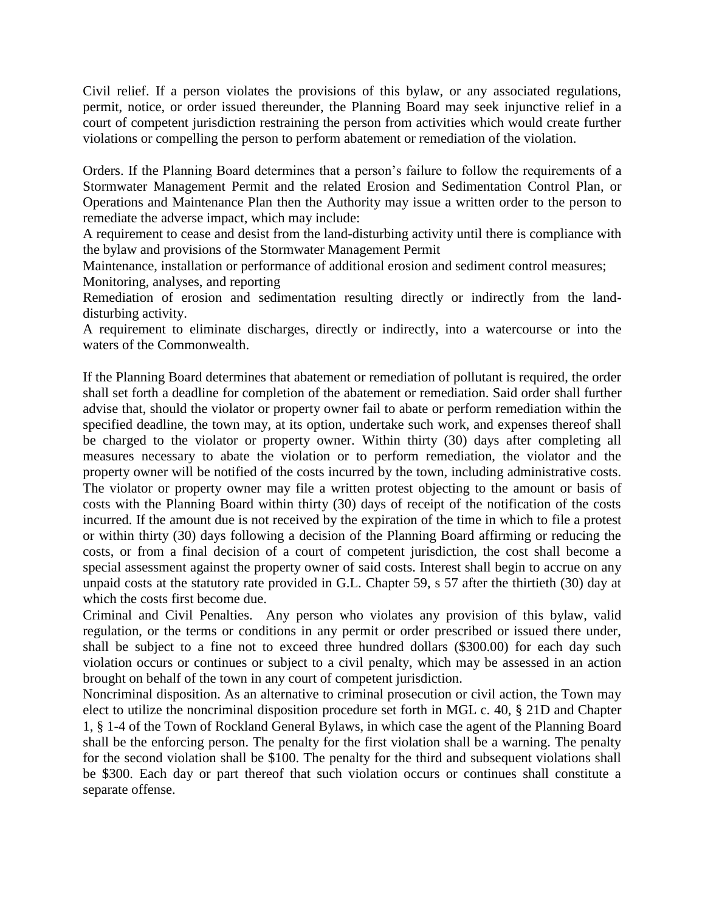Civil relief. If a person violates the provisions of this bylaw, or any associated regulations, permit, notice, or order issued thereunder, the Planning Board may seek injunctive relief in a court of competent jurisdiction restraining the person from activities which would create further violations or compelling the person to perform abatement or remediation of the violation.

Orders. If the Planning Board determines that a person's failure to follow the requirements of a Stormwater Management Permit and the related Erosion and Sedimentation Control Plan, or Operations and Maintenance Plan then the Authority may issue a written order to the person to remediate the adverse impact, which may include:

A requirement to cease and desist from the land-disturbing activity until there is compliance with the bylaw and provisions of the Stormwater Management Permit

Maintenance, installation or performance of additional erosion and sediment control measures; Monitoring, analyses, and reporting

Remediation of erosion and sedimentation resulting directly or indirectly from the landdisturbing activity.

A requirement to eliminate discharges, directly or indirectly, into a watercourse or into the waters of the Commonwealth.

If the Planning Board determines that abatement or remediation of pollutant is required, the order shall set forth a deadline for completion of the abatement or remediation. Said order shall further advise that, should the violator or property owner fail to abate or perform remediation within the specified deadline, the town may, at its option, undertake such work, and expenses thereof shall be charged to the violator or property owner. Within thirty (30) days after completing all measures necessary to abate the violation or to perform remediation, the violator and the property owner will be notified of the costs incurred by the town, including administrative costs. The violator or property owner may file a written protest objecting to the amount or basis of costs with the Planning Board within thirty (30) days of receipt of the notification of the costs incurred. If the amount due is not received by the expiration of the time in which to file a protest or within thirty (30) days following a decision of the Planning Board affirming or reducing the costs, or from a final decision of a court of competent jurisdiction, the cost shall become a special assessment against the property owner of said costs. Interest shall begin to accrue on any unpaid costs at the statutory rate provided in G.L. Chapter 59, s 57 after the thirtieth (30) day at which the costs first become due.

Criminal and Civil Penalties. Any person who violates any provision of this bylaw, valid regulation, or the terms or conditions in any permit or order prescribed or issued there under, shall be subject to a fine not to exceed three hundred dollars (\$300.00) for each day such violation occurs or continues or subject to a civil penalty, which may be assessed in an action brought on behalf of the town in any court of competent jurisdiction.

Noncriminal disposition. As an alternative to criminal prosecution or civil action, the Town may elect to utilize the noncriminal disposition procedure set forth in MGL c. 40, § 21D and Chapter 1, § 1-4 of the Town of Rockland General Bylaws, in which case the agent of the Planning Board shall be the enforcing person. The penalty for the first violation shall be a warning. The penalty for the second violation shall be \$100. The penalty for the third and subsequent violations shall be \$300. Each day or part thereof that such violation occurs or continues shall constitute a separate offense.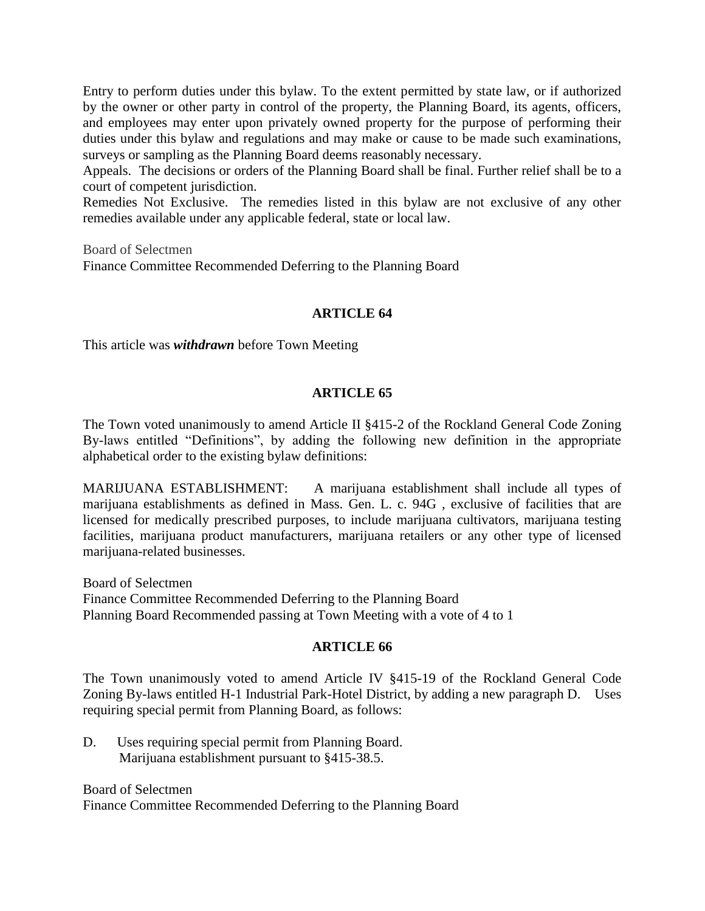Entry to perform duties under this bylaw. To the extent permitted by state law, or if authorized by the owner or other party in control of the property, the Planning Board, its agents, officers, and employees may enter upon privately owned property for the purpose of performing their duties under this bylaw and regulations and may make or cause to be made such examinations, surveys or sampling as the Planning Board deems reasonably necessary.

Appeals. The decisions or orders of the Planning Board shall be final. Further relief shall be to a court of competent jurisdiction.

Remedies Not Exclusive. The remedies listed in this bylaw are not exclusive of any other remedies available under any applicable federal, state or local law.

Board of Selectmen Finance Committee Recommended Deferring to the Planning Board

### **ARTICLE 64**

This article was *withdrawn* before Town Meeting

#### **ARTICLE 65**

The Town voted unanimously to amend Article II §415-2 of the Rockland General Code Zoning By-laws entitled "Definitions", by adding the following new definition in the appropriate alphabetical order to the existing bylaw definitions:

MARIJUANA ESTABLISHMENT: A marijuana establishment shall include all types of marijuana establishments as defined in Mass. Gen. L. c. 94G , exclusive of facilities that are licensed for medically prescribed purposes, to include marijuana cultivators, marijuana testing facilities, marijuana product manufacturers, marijuana retailers or any other type of licensed marijuana-related businesses.

Board of Selectmen Finance Committee Recommended Deferring to the Planning Board Planning Board Recommended passing at Town Meeting with a vote of 4 to 1

#### **ARTICLE 66**

The Town unanimously voted to amend Article IV §415-19 of the Rockland General Code Zoning By-laws entitled H-1 Industrial Park-Hotel District, by adding a new paragraph D. Uses requiring special permit from Planning Board, as follows:

D. Uses requiring special permit from Planning Board. Marijuana establishment pursuant to §415-38.5.

Board of Selectmen Finance Committee Recommended Deferring to the Planning Board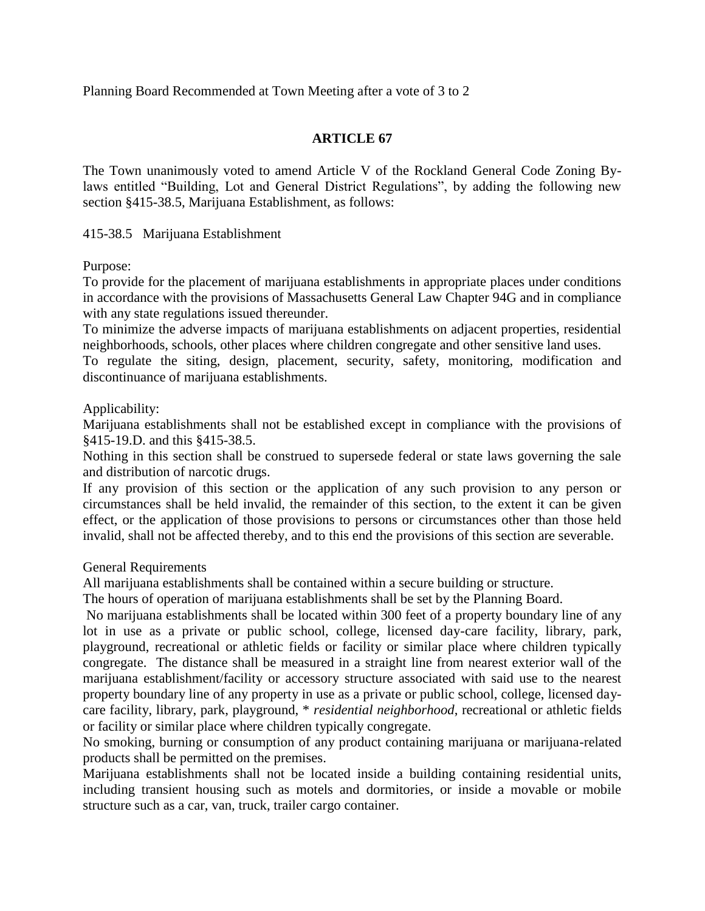Planning Board Recommended at Town Meeting after a vote of 3 to 2

## **ARTICLE 67**

The Town unanimously voted to amend Article V of the Rockland General Code Zoning Bylaws entitled "Building, Lot and General District Regulations", by adding the following new section §415-38.5, Marijuana Establishment, as follows:

415-38.5 Marijuana Establishment

Purpose:

To provide for the placement of marijuana establishments in appropriate places under conditions in accordance with the provisions of Massachusetts General Law Chapter 94G and in compliance with any state regulations issued thereunder.

To minimize the adverse impacts of marijuana establishments on adjacent properties, residential neighborhoods, schools, other places where children congregate and other sensitive land uses.

To regulate the siting, design, placement, security, safety, monitoring, modification and discontinuance of marijuana establishments.

Applicability:

Marijuana establishments shall not be established except in compliance with the provisions of §415-19.D. and this §415-38.5.

Nothing in this section shall be construed to supersede federal or state laws governing the sale and distribution of narcotic drugs.

If any provision of this section or the application of any such provision to any person or circumstances shall be held invalid, the remainder of this section, to the extent it can be given effect, or the application of those provisions to persons or circumstances other than those held invalid, shall not be affected thereby, and to this end the provisions of this section are severable.

General Requirements

All marijuana establishments shall be contained within a secure building or structure.

The hours of operation of marijuana establishments shall be set by the Planning Board.

No marijuana establishments shall be located within 300 feet of a property boundary line of any lot in use as a private or public school, college, licensed day-care facility, library, park, playground, recreational or athletic fields or facility or similar place where children typically congregate. The distance shall be measured in a straight line from nearest exterior wall of the marijuana establishment/facility or accessory structure associated with said use to the nearest property boundary line of any property in use as a private or public school, college, licensed daycare facility, library, park, playground, \* *residential neighborhood*, recreational or athletic fields or facility or similar place where children typically congregate.

No smoking, burning or consumption of any product containing marijuana or marijuana-related products shall be permitted on the premises.

Marijuana establishments shall not be located inside a building containing residential units, including transient housing such as motels and dormitories, or inside a movable or mobile structure such as a car, van, truck, trailer cargo container.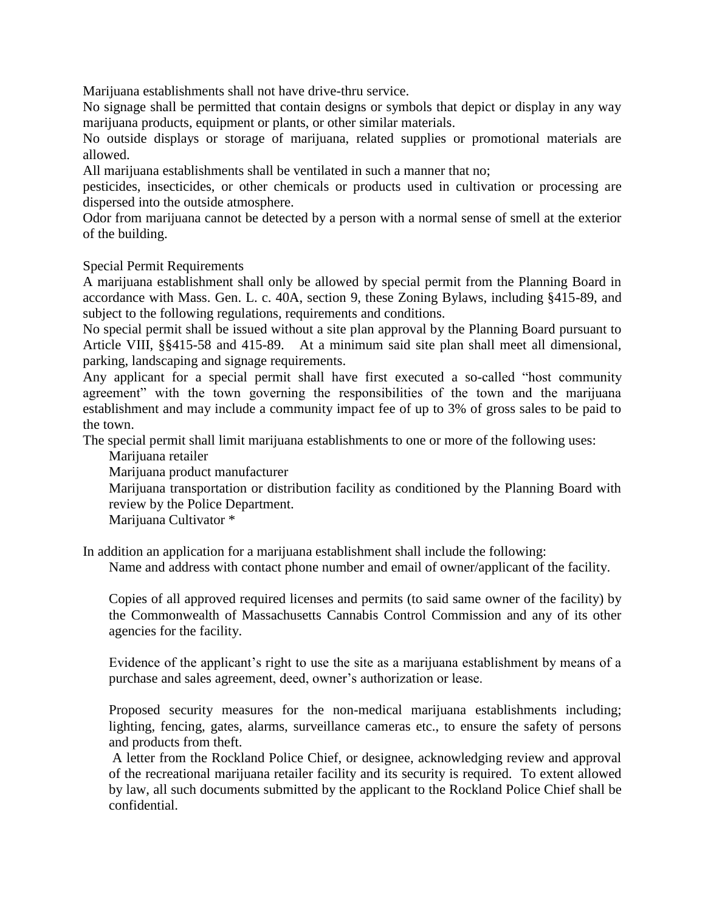Marijuana establishments shall not have drive-thru service.

No signage shall be permitted that contain designs or symbols that depict or display in any way marijuana products, equipment or plants, or other similar materials.

No outside displays or storage of marijuana, related supplies or promotional materials are allowed.

All marijuana establishments shall be ventilated in such a manner that no;

pesticides, insecticides, or other chemicals or products used in cultivation or processing are dispersed into the outside atmosphere.

Odor from marijuana cannot be detected by a person with a normal sense of smell at the exterior of the building.

Special Permit Requirements

A marijuana establishment shall only be allowed by special permit from the Planning Board in accordance with Mass. Gen. L. c. 40A, section 9, these Zoning Bylaws, including §415-89, and subject to the following regulations, requirements and conditions.

No special permit shall be issued without a site plan approval by the Planning Board pursuant to Article VIII, §§415-58 and 415-89. At a minimum said site plan shall meet all dimensional, parking, landscaping and signage requirements.

Any applicant for a special permit shall have first executed a so-called "host community agreement" with the town governing the responsibilities of the town and the marijuana establishment and may include a community impact fee of up to 3% of gross sales to be paid to the town.

The special permit shall limit marijuana establishments to one or more of the following uses:

Marijuana retailer

Marijuana product manufacturer

Marijuana transportation or distribution facility as conditioned by the Planning Board with review by the Police Department.

Marijuana Cultivator \*

In addition an application for a marijuana establishment shall include the following:

Name and address with contact phone number and email of owner/applicant of the facility.

Copies of all approved required licenses and permits (to said same owner of the facility) by the Commonwealth of Massachusetts Cannabis Control Commission and any of its other agencies for the facility.

Evidence of the applicant's right to use the site as a marijuana establishment by means of a purchase and sales agreement, deed, owner's authorization or lease.

Proposed security measures for the non-medical marijuana establishments including; lighting, fencing, gates, alarms, surveillance cameras etc., to ensure the safety of persons and products from theft.

A letter from the Rockland Police Chief, or designee, acknowledging review and approval of the recreational marijuana retailer facility and its security is required. To extent allowed by law, all such documents submitted by the applicant to the Rockland Police Chief shall be confidential.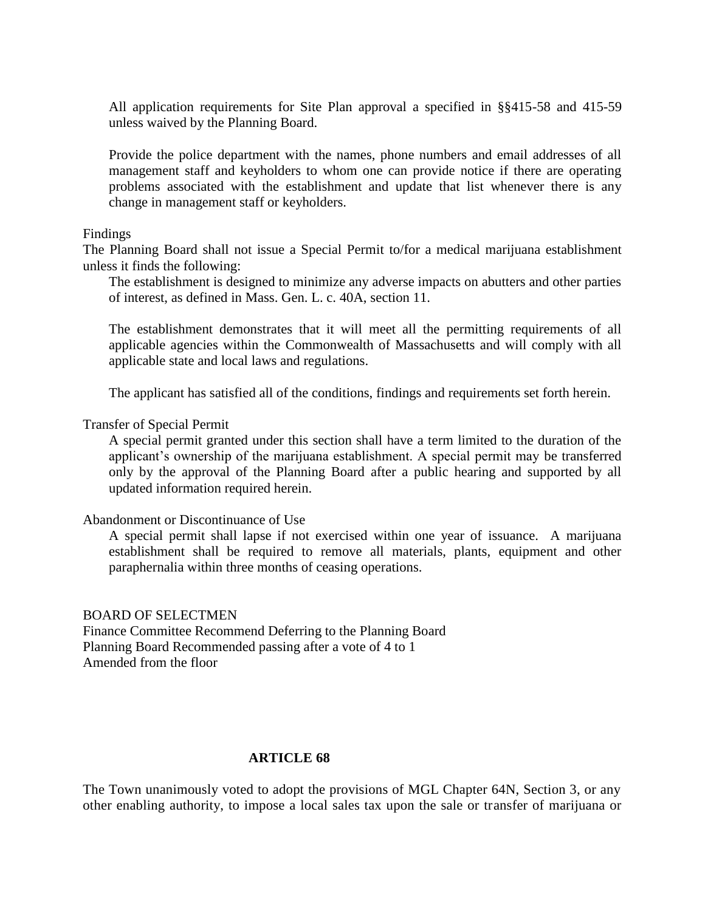All application requirements for Site Plan approval a specified in §§415-58 and 415-59 unless waived by the Planning Board.

Provide the police department with the names, phone numbers and email addresses of all management staff and keyholders to whom one can provide notice if there are operating problems associated with the establishment and update that list whenever there is any change in management staff or keyholders.

#### Findings

The Planning Board shall not issue a Special Permit to/for a medical marijuana establishment unless it finds the following:

The establishment is designed to minimize any adverse impacts on abutters and other parties of interest, as defined in Mass. Gen. L. c. 40A, section 11.

The establishment demonstrates that it will meet all the permitting requirements of all applicable agencies within the Commonwealth of Massachusetts and will comply with all applicable state and local laws and regulations.

The applicant has satisfied all of the conditions, findings and requirements set forth herein.

### Transfer of Special Permit

A special permit granted under this section shall have a term limited to the duration of the applicant's ownership of the marijuana establishment. A special permit may be transferred only by the approval of the Planning Board after a public hearing and supported by all updated information required herein.

### Abandonment or Discontinuance of Use

A special permit shall lapse if not exercised within one year of issuance. A marijuana establishment shall be required to remove all materials, plants, equipment and other paraphernalia within three months of ceasing operations.

### BOARD OF SELECTMEN

Finance Committee Recommend Deferring to the Planning Board Planning Board Recommended passing after a vote of 4 to 1 Amended from the floor

### **ARTICLE 68**

The Town unanimously voted to adopt the provisions of MGL Chapter 64N, Section 3, or any other enabling authority, to impose a local sales tax upon the sale or transfer of marijuana or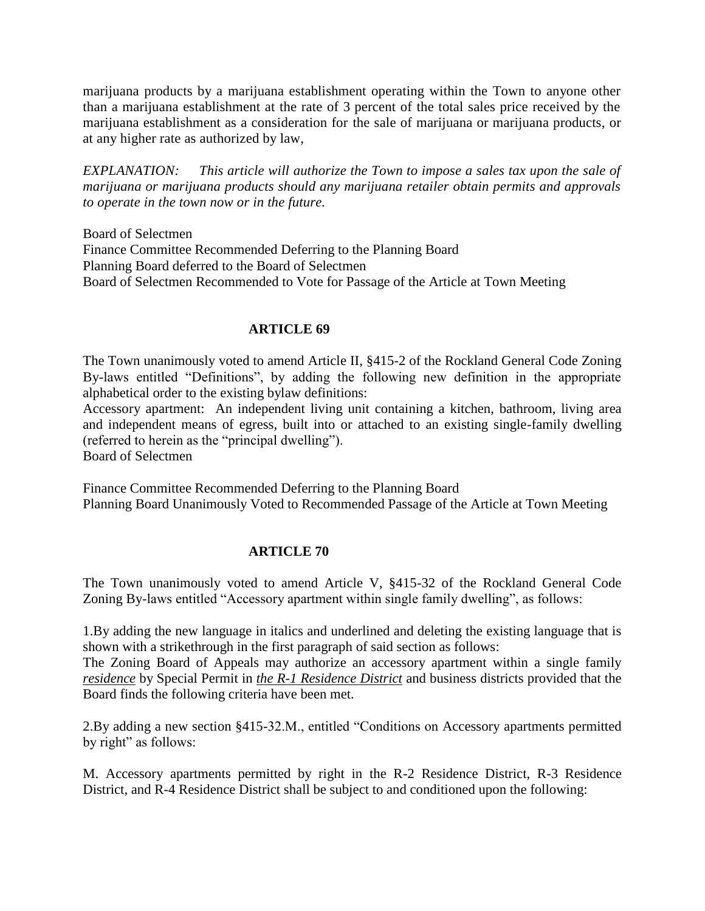marijuana products by a marijuana establishment operating within the Town to anyone other than a marijuana establishment at the rate of 3 percent of the total sales price received by the marijuana establishment as a consideration for the sale of marijuana or marijuana products, or at any higher rate as authorized by law,

*EXPLANATION: This article will authorize the Town to impose a sales tax upon the sale of marijuana or marijuana products should any marijuana retailer obtain permits and approvals to operate in the town now or in the future.* 

Board of Selectmen Finance Committee Recommended Deferring to the Planning Board Planning Board deferred to the Board of Selectmen Board of Selectmen Recommended to Vote for Passage of the Article at Town Meeting

### **ARTICLE 69**

The Town unanimously voted to amend Article II, §415-2 of the Rockland General Code Zoning By-laws entitled "Definitions", by adding the following new definition in the appropriate alphabetical order to the existing bylaw definitions:

Accessory apartment: An independent living unit containing a kitchen, bathroom, living area and independent means of egress, built into or attached to an existing single-family dwelling (referred to herein as the "principal dwelling").

Board of Selectmen

Finance Committee Recommended Deferring to the Planning Board Planning Board Unanimously Voted to Recommended Passage of the Article at Town Meeting

### **ARTICLE 70**

The Town unanimously voted to amend Article V, §415-32 of the Rockland General Code Zoning By-laws entitled "Accessory apartment within single family dwelling", as follows:

1.By adding the new language in italics and underlined and deleting the existing language that is shown with a strikethrough in the first paragraph of said section as follows:

The Zoning Board of Appeals may authorize an accessory apartment within a single family *residence* by Special Permit in *the R-1 Residence District* and business districts provided that the Board finds the following criteria have been met.

2.By adding a new section §415-32.M., entitled "Conditions on Accessory apartments permitted by right" as follows:

M. Accessory apartments permitted by right in the R-2 Residence District, R-3 Residence District, and R-4 Residence District shall be subject to and conditioned upon the following: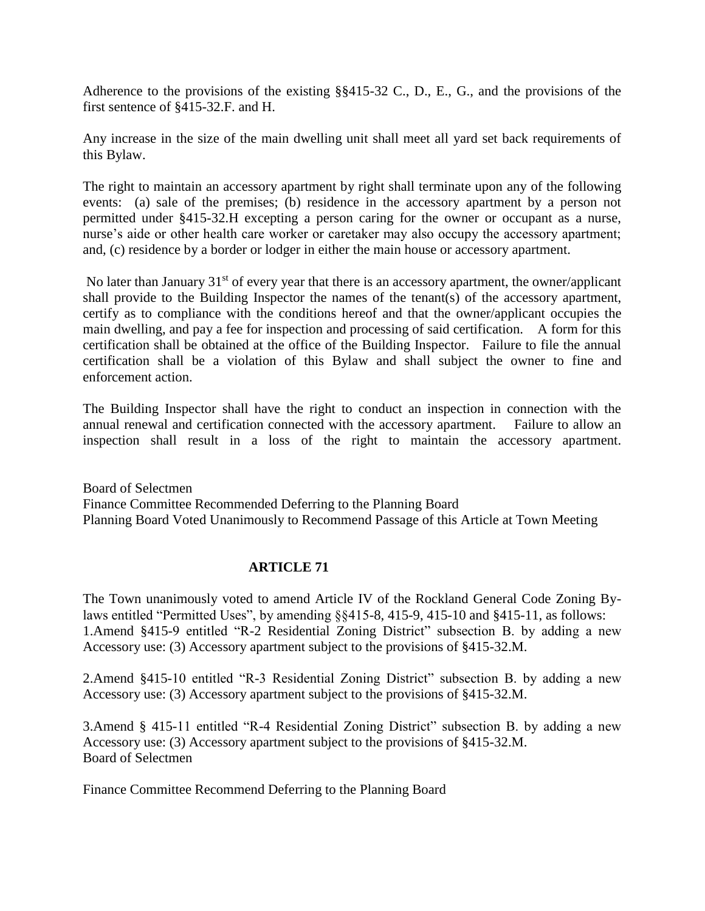Adherence to the provisions of the existing §§415-32 C., D., E., G., and the provisions of the first sentence of §415-32.F. and H.

Any increase in the size of the main dwelling unit shall meet all yard set back requirements of this Bylaw.

The right to maintain an accessory apartment by right shall terminate upon any of the following events: (a) sale of the premises; (b) residence in the accessory apartment by a person not permitted under §415-32.H excepting a person caring for the owner or occupant as a nurse, nurse's aide or other health care worker or caretaker may also occupy the accessory apartment; and, (c) residence by a border or lodger in either the main house or accessory apartment.

No later than January  $31<sup>st</sup>$  of every year that there is an accessory apartment, the owner/applicant shall provide to the Building Inspector the names of the tenant(s) of the accessory apartment, certify as to compliance with the conditions hereof and that the owner/applicant occupies the main dwelling, and pay a fee for inspection and processing of said certification. A form for this certification shall be obtained at the office of the Building Inspector. Failure to file the annual certification shall be a violation of this Bylaw and shall subject the owner to fine and enforcement action.

The Building Inspector shall have the right to conduct an inspection in connection with the annual renewal and certification connected with the accessory apartment. Failure to allow an inspection shall result in a loss of the right to maintain the accessory apartment.

Board of Selectmen Finance Committee Recommended Deferring to the Planning Board Planning Board Voted Unanimously to Recommend Passage of this Article at Town Meeting

### **ARTICLE 71**

The Town unanimously voted to amend Article IV of the Rockland General Code Zoning Bylaws entitled "Permitted Uses", by amending §§415-8, 415-9, 415-10 and §415-11, as follows: 1.Amend §415-9 entitled "R-2 Residential Zoning District" subsection B. by adding a new Accessory use: (3) Accessory apartment subject to the provisions of §415-32.M.

2.Amend §415-10 entitled "R-3 Residential Zoning District" subsection B. by adding a new Accessory use: (3) Accessory apartment subject to the provisions of §415-32.M.

3.Amend § 415-11 entitled "R-4 Residential Zoning District" subsection B. by adding a new Accessory use: (3) Accessory apartment subject to the provisions of §415-32.M. Board of Selectmen

Finance Committee Recommend Deferring to the Planning Board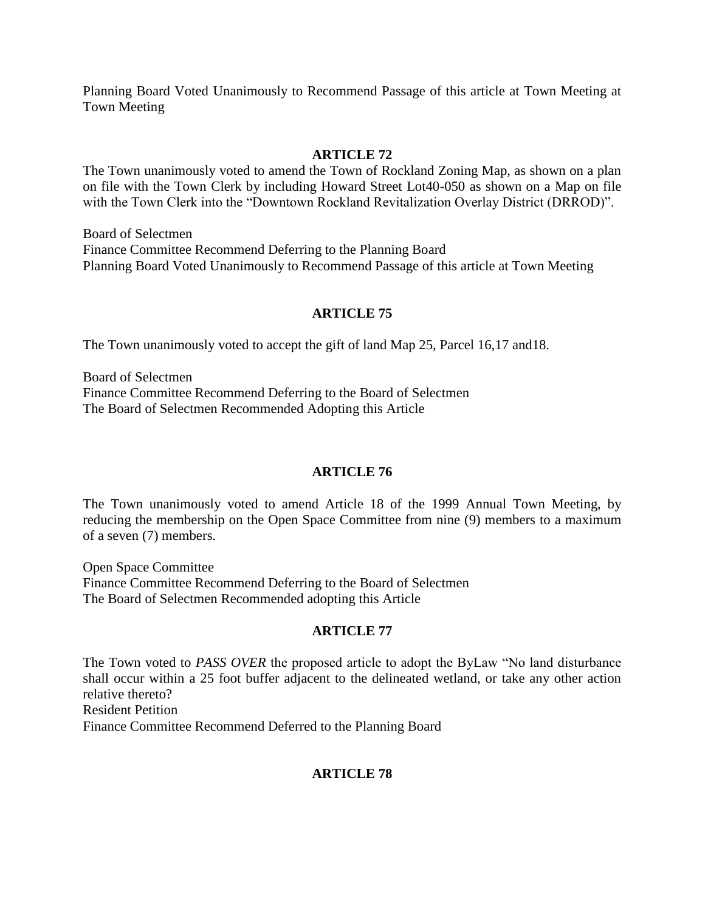Planning Board Voted Unanimously to Recommend Passage of this article at Town Meeting at Town Meeting

### **ARTICLE 72**

The Town unanimously voted to amend the Town of Rockland Zoning Map, as shown on a plan on file with the Town Clerk by including Howard Street Lot40-050 as shown on a Map on file with the Town Clerk into the "Downtown Rockland Revitalization Overlay District (DRROD)".

Board of Selectmen Finance Committee Recommend Deferring to the Planning Board Planning Board Voted Unanimously to Recommend Passage of this article at Town Meeting

## **ARTICLE 75**

The Town unanimously voted to accept the gift of land Map 25, Parcel 16,17 and18.

Board of Selectmen Finance Committee Recommend Deferring to the Board of Selectmen The Board of Selectmen Recommended Adopting this Article

## **ARTICLE 76**

The Town unanimously voted to amend Article 18 of the 1999 Annual Town Meeting, by reducing the membership on the Open Space Committee from nine (9) members to a maximum of a seven (7) members.

Open Space Committee Finance Committee Recommend Deferring to the Board of Selectmen The Board of Selectmen Recommended adopting this Article

## **ARTICLE 77**

The Town voted to *PASS OVER* the proposed article to adopt the ByLaw "No land disturbance shall occur within a 25 foot buffer adjacent to the delineated wetland, or take any other action relative thereto? Resident Petition Finance Committee Recommend Deferred to the Planning Board

## **ARTICLE 78**